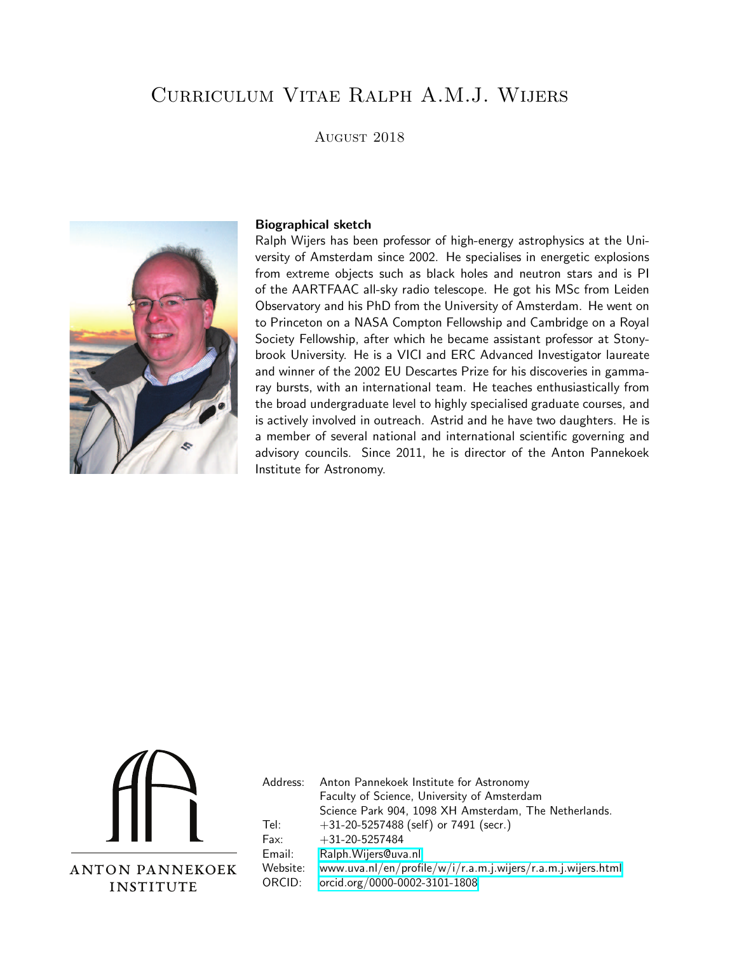# Curriculum Vitae Ralph A.M.J. Wijers

## August 2018



#### Biographical sketch

Ralph Wijers has been professor of high-energy astrophysics at the University of Amsterdam since 2002. He specialises in energetic explosions from extreme objects such as black holes and neutron stars and is PI of the AARTFAAC all-sky radio telescope. He got his MSc from Leiden Observatory and his PhD from the University of Amsterdam. He went on to Princeton on a NASA Compton Fellowship and Cambridge on a Royal Society Fellowship, after which he became assistant professor at Stonybrook University. He is a VICI and ERC Advanced Investigator laureate and winner of the 2002 EU Descartes Prize for his discoveries in gammaray bursts, with an international team. He teaches enthusiastically from the broad undergraduate level to highly specialised graduate courses, and is actively involved in outreach. Astrid and he have two daughters. He is a member of several national and international scientific governing and advisory councils. Since 2011, he is director of the Anton Pannekoek Institute for Astronomy.



| Address: | Anton Pannekoek Institute for Astronomy                      |
|----------|--------------------------------------------------------------|
|          | Faculty of Science, University of Amsterdam                  |
|          | Science Park 904, 1098 XH Amsterdam, The Netherlands.        |
| Tel:     | $+31-20-5257488$ (self) or 7491 (secr.)                      |
| Fax:     | $+31-20-5257484$                                             |
| Email:   | Ralph. Wijers@uva.nl                                         |
| Website: | www.uva.nl/en/profile/w/i/r.a.m.j.wijers/r.a.m.j.wijers.html |
| ORCID:   | orcid.org/0000-0002-3101-1808                                |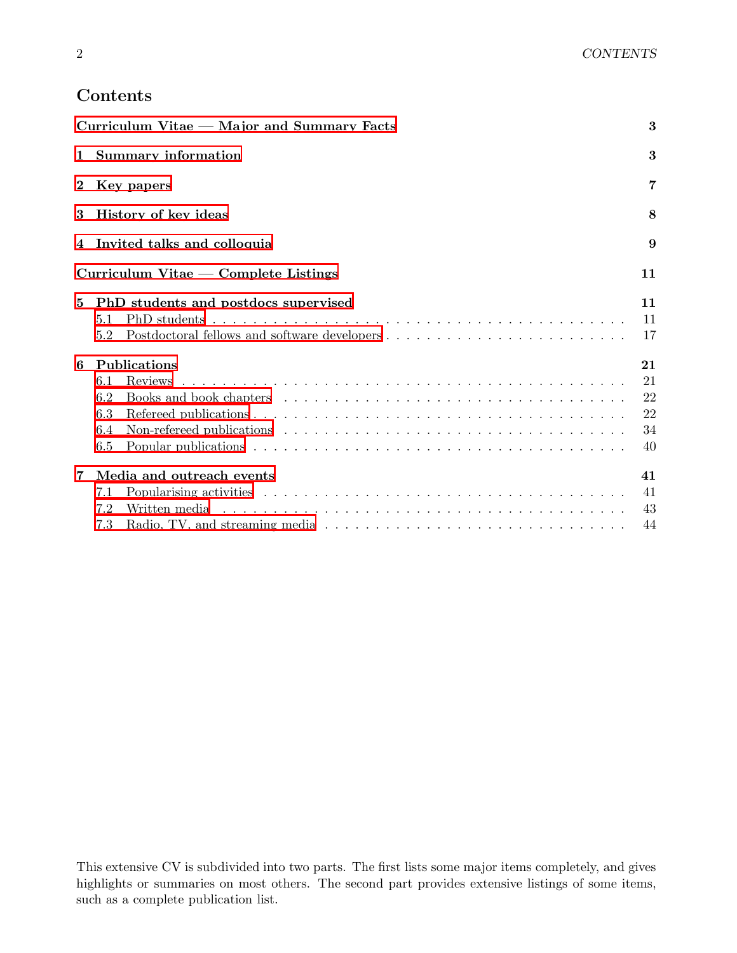## <span id="page-1-0"></span>Contents

|              | Curriculum Vitae - Major and Summary Facts         | 3                                |
|--------------|----------------------------------------------------|----------------------------------|
| $\mathbf{1}$ | <b>Summary information</b>                         | 3                                |
| $\bf{2}$     | Key papers                                         | 7                                |
| 3            | History of key ideas                               | 8                                |
|              | 4 Invited talks and colloquia                      | 9                                |
|              | $Curriculum$ Vitae — Complete Listings             | 11                               |
| 5            | PhD students and postdocs supervised<br>5.1<br>5.2 | 11<br>11<br>17                   |
| 6            | Publications<br>6.1<br>6.2<br>6.3<br>6.4<br>6.5    | 21<br>21<br>22<br>22<br>34<br>40 |
| 7            | Media and outreach events<br>7.1<br>7.2<br>7.3     | 41<br>41<br>43<br>44             |

This extensive CV is subdivided into two parts. The first lists some major items completely, and gives highlights or summaries on most others. The second part provides extensive listings of some items, such as a complete publication list.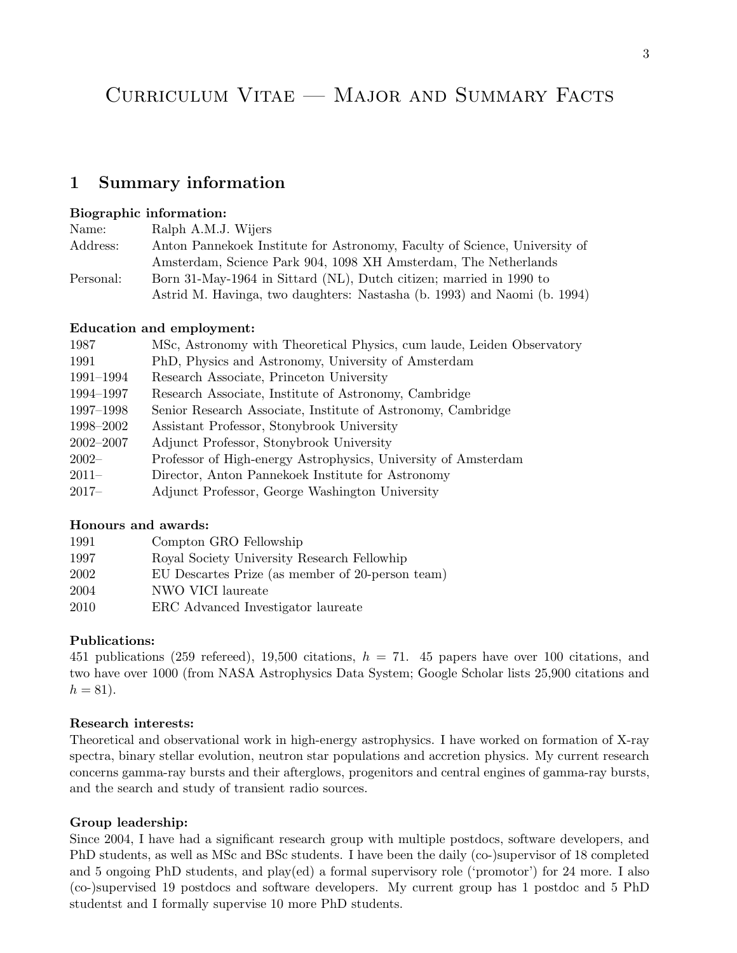# Curriculum Vitae — Major and Summary Facts

## <span id="page-2-0"></span>1 Summary information

## Biographic information:

| Name:     | Ralph A.M.J. Wijers                                                        |
|-----------|----------------------------------------------------------------------------|
| Address:  | Anton Pannekoek Institute for Astronomy, Faculty of Science, University of |
|           | Amsterdam, Science Park 904, 1098 XH Amsterdam, The Netherlands            |
| Personal: | Born 31-May-1964 in Sittard (NL), Dutch citizen; married in 1990 to        |
|           | Astrid M. Havinga, two daughters: Nastasha (b. 1993) and Naomi (b. 1994)   |

#### Education and employment:

| 1987          | MSc, Astronomy with Theoretical Physics, cum laude, Leiden Observatory |
|---------------|------------------------------------------------------------------------|
| 1991          | PhD, Physics and Astronomy, University of Amsterdam                    |
| 1991–1994     | Research Associate, Princeton University                               |
| 1994–1997     | Research Associate, Institute of Astronomy, Cambridge                  |
| 1997–1998     | Senior Research Associate, Institute of Astronomy, Cambridge           |
| 1998–2002     | Assistant Professor, Stonybrook University                             |
| $2002 - 2007$ | Adjunct Professor, Stonybrook University                               |
| $2002-$       | Professor of High-energy Astrophysics, University of Amsterdam         |
| $2011 -$      | Director, Anton Pannekoek Institute for Astronomy                      |
| $2017-$       | Adjunct Professor, George Washington University                        |
|               |                                                                        |

#### Honours and awards:

| 1991 | Compton GRO Fellowship                           |
|------|--------------------------------------------------|
| 1997 | Royal Society University Research Fellowhip      |
| 2002 | EU Descartes Prize (as member of 20-person team) |
| 2004 | NWO VICI laureate                                |
| 2010 | ERC Advanced Investigator laureate               |

## Publications:

451 publications (259 referred), 19,500 citations,  $h = 71$ . 45 papers have over 100 citations, and two have over 1000 (from NASA Astrophysics Data System; Google Scholar lists 25,900 citations and  $h = 81$ ).

## Research interests:

Theoretical and observational work in high-energy astrophysics. I have worked on formation of X-ray spectra, binary stellar evolution, neutron star populations and accretion physics. My current research concerns gamma-ray bursts and their afterglows, progenitors and central engines of gamma-ray bursts, and the search and study of transient radio sources.

#### Group leadership:

Since 2004, I have had a significant research group with multiple postdocs, software developers, and PhD students, as well as MSc and BSc students. I have been the daily (co-)supervisor of 18 completed and 5 ongoing PhD students, and play(ed) a formal supervisory role ('promotor') for 24 more. I also (co-)supervised 19 postdocs and software developers. My current group has 1 postdoc and 5 PhD studentst and I formally supervise 10 more PhD students.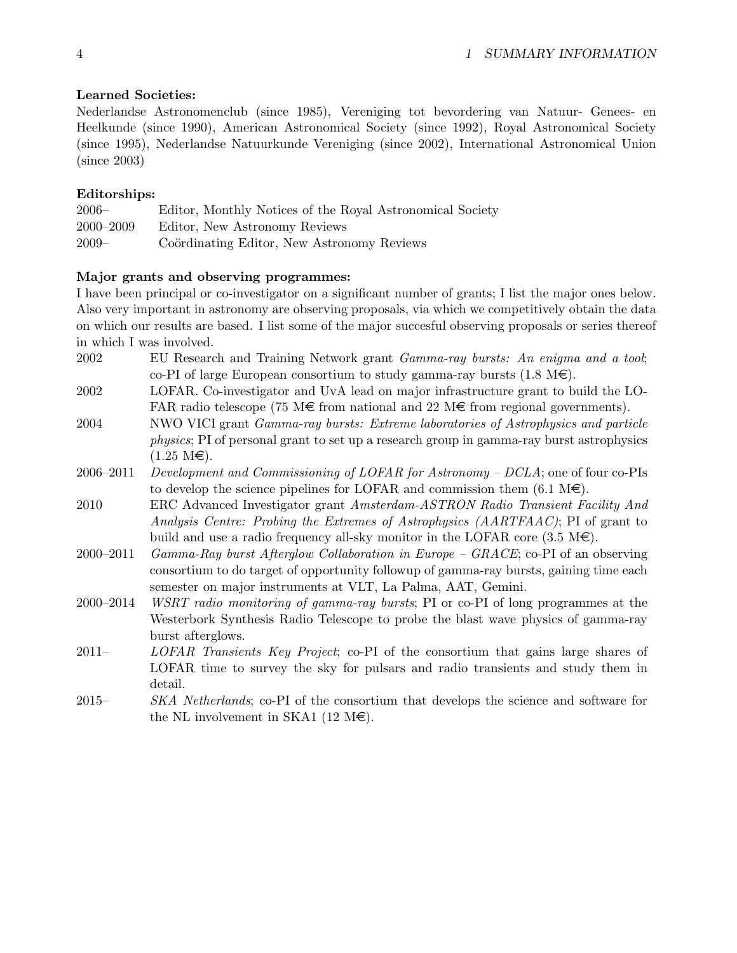#### Learned Societies:

Nederlandse Astronomenclub (since 1985), Vereniging tot bevordering van Natuur- Genees- en Heelkunde (since 1990), American Astronomical Society (since 1992), Royal Astronomical Society (since 1995), Nederlandse Natuurkunde Vereniging (since 2002), International Astronomical Union (since 2003)

## Editorships:

| $2006-$       | Editor, Monthly Notices of the Royal Astronomical Society |
|---------------|-----------------------------------------------------------|
| $2000 - 2009$ | Editor, New Astronomy Reviews                             |
| $2009 -$      | Coordinating Editor, New Astronomy Reviews                |

## Major grants and observing programmes:

I have been principal or co-investigator on a significant number of grants; I list the major ones below. Also very important in astronomy are observing proposals, via which we competitively obtain the data on which our results are based. I list some of the major succesful observing proposals or series thereof in which I was involved.

- 2002 EU Research and Training Network grant Gamma-ray bursts: An enigma and a tool; co-PI of large European consortium to study gamma-ray bursts  $(1.8 \text{ M}\epsilon)$ .
- 2002 LOFAR. Co-investigator and UvA lead on major infrastructure grant to build the LO-FAR radio telescope (75 M $\epsilon$  from national and 22 M $\epsilon$  from regional governments).
- 2004 NWO VICI grant Gamma-ray bursts: Extreme laboratories of Astrophysics and particle physics; PI of personal grant to set up a research group in gamma-ray burst astrophysics  $(1.25 \text{ M}\epsilon)$ .
- 2006–2011 Development and Commissioning of LOFAR for Astronomy  $DCLA$ ; one of four co-PIs to develop the science pipelines for LOFAR and commission them  $(6.1 \text{ M}\epsilon)$ .
- 2010 ERC Advanced Investigator grant Amsterdam-ASTRON Radio Transient Facility And Analysis Centre: Probing the Extremes of Astrophysics (AARTFAAC); PI of grant to build and use a radio frequency all-sky monitor in the LOFAR core  $(3.5 \text{ M}\epsilon)$ .
- 2000–2011 Gamma-Ray burst Afterglow Collaboration in Europe GRACE; co-PI of an observing consortium to do target of opportunity followup of gamma-ray bursts, gaining time each semester on major instruments at VLT, La Palma, AAT, Gemini.
- 2000–2014 WSRT radio monitoring of gamma-ray bursts; PI or co-PI of long programmes at the Westerbork Synthesis Radio Telescope to probe the blast wave physics of gamma-ray burst afterglows.
- 2011– LOFAR Transients Key Project; co-PI of the consortium that gains large shares of LOFAR time to survey the sky for pulsars and radio transients and study them in detail.
- 2015– SKA Netherlands; co-PI of the consortium that develops the science and software for the NL involvement in SKA1 (12 M $\in$ ).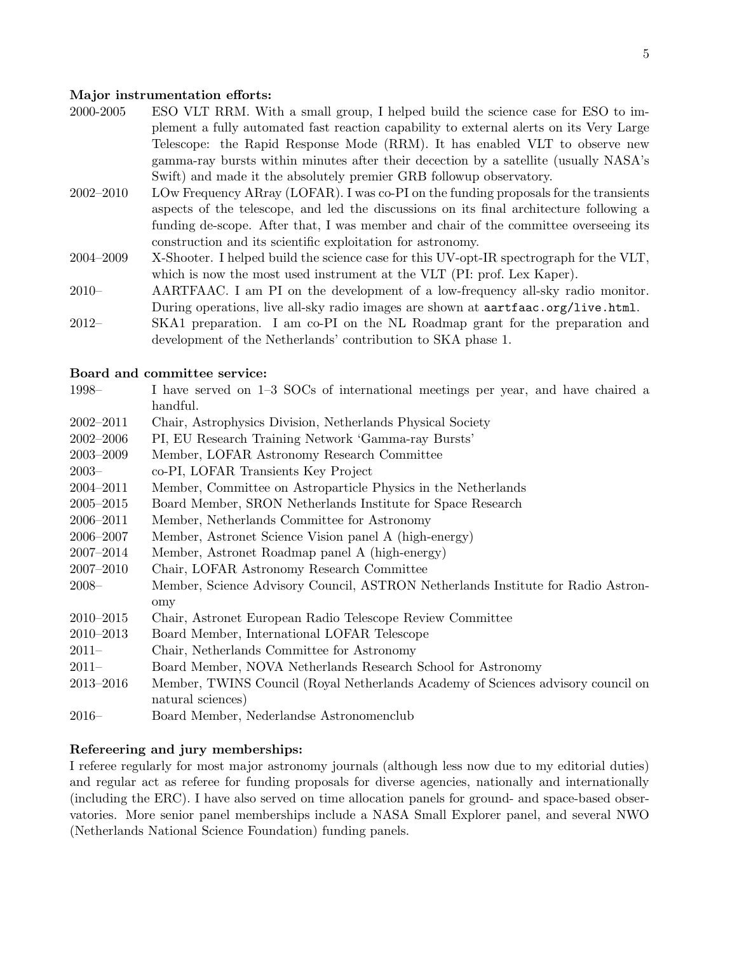#### Major instrumentation efforts:

- 2000-2005 ESO VLT RRM. With a small group, I helped build the science case for ESO to implement a fully automated fast reaction capability to external alerts on its Very Large Telescope: the Rapid Response Mode (RRM). It has enabled VLT to observe new gamma-ray bursts within minutes after their decection by a satellite (usually NASA's Swift) and made it the absolutely premier GRB followup observatory.
- 2002–2010 LOw Frequency ARray (LOFAR). I was co-PI on the funding proposals for the transients aspects of the telescope, and led the discussions on its final architecture following a funding de-scope. After that, I was member and chair of the committee overseeing its construction and its scientific exploitation for astronomy.
- 2004–2009 X-Shooter. I helped build the science case for this UV-opt-IR spectrograph for the VLT, which is now the most used instrument at the VLT (PI: prof. Lex Kaper).
- 2010– AARTFAAC. I am PI on the development of a low-frequency all-sky radio monitor. During operations, live all-sky radio images are shown at aartfaac.org/live.html.
- 2012– SKA1 preparation. I am co-PI on the NL Roadmap grant for the preparation and development of the Netherlands' contribution to SKA phase 1.

#### Board and committee service:

| 1998–         | I have served on 1–3 SOCs of international meetings per year, and have chaired a                      |
|---------------|-------------------------------------------------------------------------------------------------------|
|               | handful.                                                                                              |
| $2002 - 2011$ | Chair, Astrophysics Division, Netherlands Physical Society                                            |
| $2002 - 2006$ | PI, EU Research Training Network 'Gamma-ray Bursts'                                                   |
| $2003 - 2009$ | Member, LOFAR Astronomy Research Committee                                                            |
| $2003-$       | co-PI, LOFAR Transients Key Project                                                                   |
| $2004 - 2011$ | Member, Committee on Astroparticle Physics in the Netherlands                                         |
| $2005 - 2015$ | Board Member, SRON Netherlands Institute for Space Research                                           |
| 2006-2011     | Member, Netherlands Committee for Astronomy                                                           |
| $2006 - 2007$ | Member, Astronet Science Vision panel A (high-energy)                                                 |
| 2007-2014     | Member, Astronet Roadmap panel A (high-energy)                                                        |
| $2007 - 2010$ | Chair, LOFAR Astronomy Research Committee                                                             |
| $2008-$       | Member, Science Advisory Council, ASTRON Netherlands Institute for Radio Astron-                      |
|               | omy                                                                                                   |
| $2010 - 2015$ | Chair, Astronet European Radio Telescope Review Committee                                             |
| $2010 - 2013$ | Board Member, International LOFAR Telescope                                                           |
| $2011 -$      | Chair, Netherlands Committee for Astronomy                                                            |
| $2011 -$      | Board Member, NOVA Netherlands Research School for Astronomy                                          |
| $2013 - 2016$ | Member, TWINS Council (Royal Netherlands Academy of Sciences advisory council on<br>natural sciences) |
| 0010          |                                                                                                       |

2016– Board Member, Nederlandse Astronomenclub

#### Refereering and jury memberships:

I referee regularly for most major astronomy journals (although less now due to my editorial duties) and regular act as referee for funding proposals for diverse agencies, nationally and internationally (including the ERC). I have also served on time allocation panels for ground- and space-based observatories. More senior panel memberships include a NASA Small Explorer panel, and several NWO (Netherlands National Science Foundation) funding panels.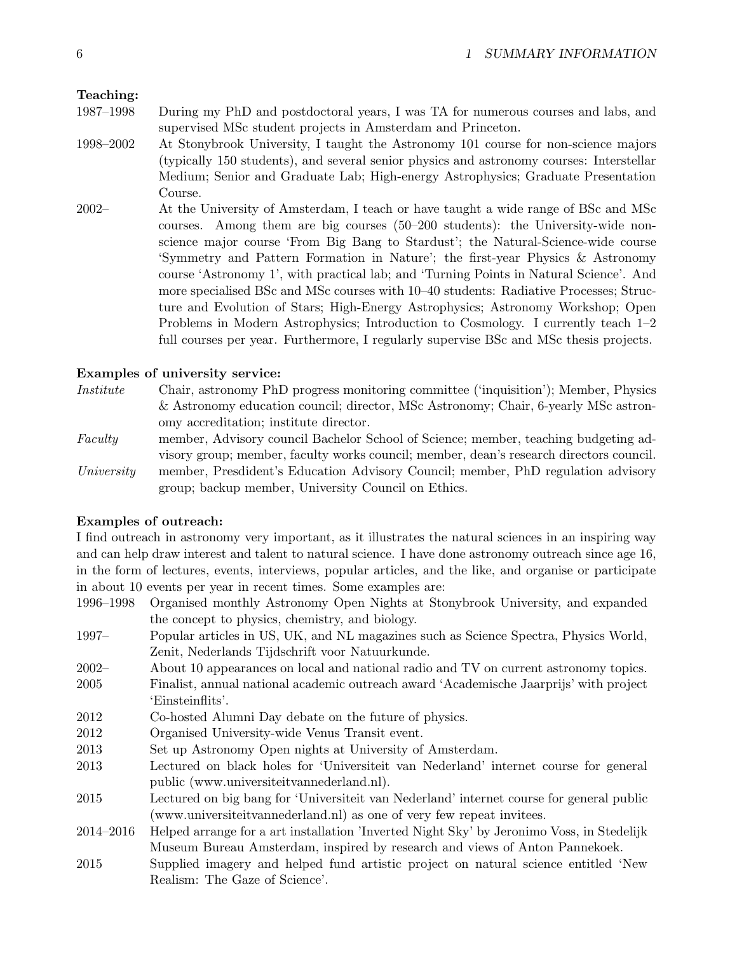## Teaching:

- 1987–1998 During my PhD and postdoctoral years, I was TA for numerous courses and labs, and supervised MSc student projects in Amsterdam and Princeton.
- 1998–2002 At Stonybrook University, I taught the Astronomy 101 course for non-science majors (typically 150 students), and several senior physics and astronomy courses: Interstellar Medium; Senior and Graduate Lab; High-energy Astrophysics; Graduate Presentation Course.
- 2002– At the University of Amsterdam, I teach or have taught a wide range of BSc and MSc courses. Among them are big courses (50–200 students): the University-wide nonscience major course 'From Big Bang to Stardust'; the Natural-Science-wide course 'Symmetry and Pattern Formation in Nature'; the first-year Physics & Astronomy course 'Astronomy 1', with practical lab; and 'Turning Points in Natural Science'. And more specialised BSc and MSc courses with 10–40 students: Radiative Processes; Structure and Evolution of Stars; High-Energy Astrophysics; Astronomy Workshop; Open Problems in Modern Astrophysics; Introduction to Cosmology. I currently teach 1–2 full courses per year. Furthermore, I regularly supervise BSc and MSc thesis projects.

## Examples of university service:

Institute Chair, astronomy PhD progress monitoring committee ('inquisition'); Member, Physics & Astronomy education council; director, MSc Astronomy; Chair, 6-yearly MSc astronomy accreditation; institute director.

Faculty member, Advisory council Bachelor School of Science; member, teaching budgeting advisory group; member, faculty works council; member, dean's research directors council. University member, Presdident's Education Advisory Council; member, PhD regulation advisory group; backup member, University Council on Ethics.

## Examples of outreach:

I find outreach in astronomy very important, as it illustrates the natural sciences in an inspiring way and can help draw interest and talent to natural science. I have done astronomy outreach since age 16, in the form of lectures, events, interviews, popular articles, and the like, and organise or participate in about 10 events per year in recent times. Some examples are:

- 1996–1998 Organised monthly Astronomy Open Nights at Stonybrook University, and expanded the concept to physics, chemistry, and biology.
- 1997– Popular articles in US, UK, and NL magazines such as Science Spectra, Physics World, Zenit, Nederlands Tijdschrift voor Natuurkunde.
- 2002– About 10 appearances on local and national radio and TV on current astronomy topics. 2005 Finalist, annual national academic outreach award 'Academische Jaarprijs' with project 'Einsteinflits'.
- 2012 Co-hosted Alumni Day debate on the future of physics.
- 2012 Organised University-wide Venus Transit event.
- 2013 Set up Astronomy Open nights at University of Amsterdam.
- 2013 Lectured on black holes for 'Universiteit van Nederland' internet course for general public (www.universiteitvannederland.nl).
- 2015 Lectured on big bang for 'Universiteit van Nederland' internet course for general public (www.universiteitvannederland.nl) as one of very few repeat invitees.
- 2014–2016 Helped arrange for a art installation 'Inverted Night Sky' by Jeronimo Voss, in Stedelijk Museum Bureau Amsterdam, inspired by research and views of Anton Pannekoek.
- 2015 Supplied imagery and helped fund artistic project on natural science entitled 'New Realism: The Gaze of Science'.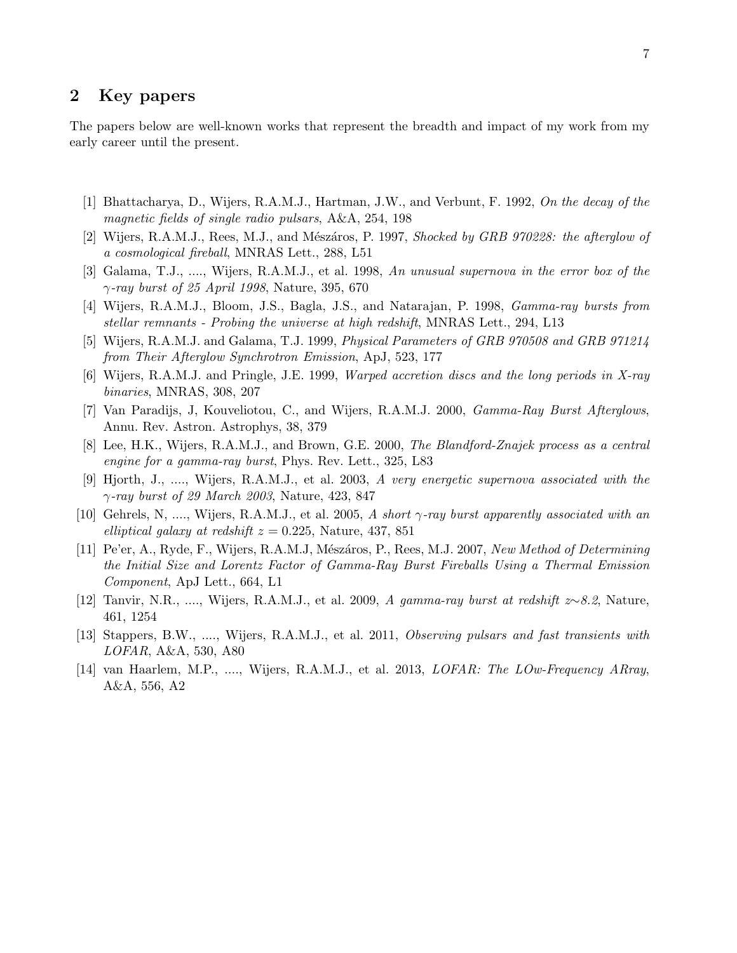## <span id="page-6-0"></span>2 Key papers

The papers below are well-known works that represent the breadth and impact of my work from my early career until the present.

- [1] Bhattacharya, D., Wijers, R.A.M.J., Hartman, J.W., and Verbunt, F. 1992, On the decay of the magnetic fields of single radio pulsars, A&A, 254, 198
- [2] Wijers, R.A.M.J., Rees, M.J., and Mészáros, P. 1997, Shocked by GRB 970228: the afterglow of a cosmological fireball, MNRAS Lett., 288, L51
- [3] Galama, T.J., ...., Wijers, R.A.M.J., et al. 1998, An unusual supernova in the error box of the  $\gamma$ -ray burst of 25 April 1998, Nature, 395, 670
- [4] Wijers, R.A.M.J., Bloom, J.S., Bagla, J.S., and Natarajan, P. 1998, Gamma-ray bursts from stellar remnants - Probing the universe at high redshift, MNRAS Lett., 294, L13
- [5] Wijers, R.A.M.J. and Galama, T.J. 1999, Physical Parameters of GRB 970508 and GRB 971214 from Their Afterglow Synchrotron Emission, ApJ, 523, 177
- [6] Wijers, R.A.M.J. and Pringle, J.E. 1999, Warped accretion discs and the long periods in X-ray binaries, MNRAS, 308, 207
- [7] Van Paradijs, J, Kouveliotou, C., and Wijers, R.A.M.J. 2000, *Gamma-Ray Burst Afterglows*, Annu. Rev. Astron. Astrophys, 38, 379
- [8] Lee, H.K., Wijers, R.A.M.J., and Brown, G.E. 2000, The Blandford-Znajek process as a central engine for a gamma-ray burst, Phys. Rev. Lett., 325, L83
- [9] Hjorth, J., ...., Wijers, R.A.M.J., et al. 2003, A very energetic supernova associated with the  $\gamma$ -ray burst of 29 March 2003, Nature, 423, 847
- [10] Gehrels, N, ...., Wijers, R.A.M.J., et al. 2005, A short  $\gamma$ -ray burst apparently associated with an elliptical galaxy at redshift  $z = 0.225$ , Nature, 437, 851
- [11] Pe'er, A., Ryde, F., Wijers, R.A.M.J, Mészáros, P., Rees, M.J. 2007, New Method of Determining the Initial Size and Lorentz Factor of Gamma-Ray Burst Fireballs Using a Thermal Emission Component, ApJ Lett., 664, L1
- [12] Tanvir, N.R., ...., Wijers, R.A.M.J., et al. 2009, A gamma-ray burst at redshift z∼8.2, Nature, 461, 1254
- [13] Stappers, B.W., ...., Wijers, R.A.M.J., et al. 2011, Observing pulsars and fast transients with LOFAR, A&A, 530, A80
- [14] van Haarlem, M.P., ...., Wijers, R.A.M.J., et al. 2013, LOFAR: The LOw-Frequency ARray, A&A, 556, A2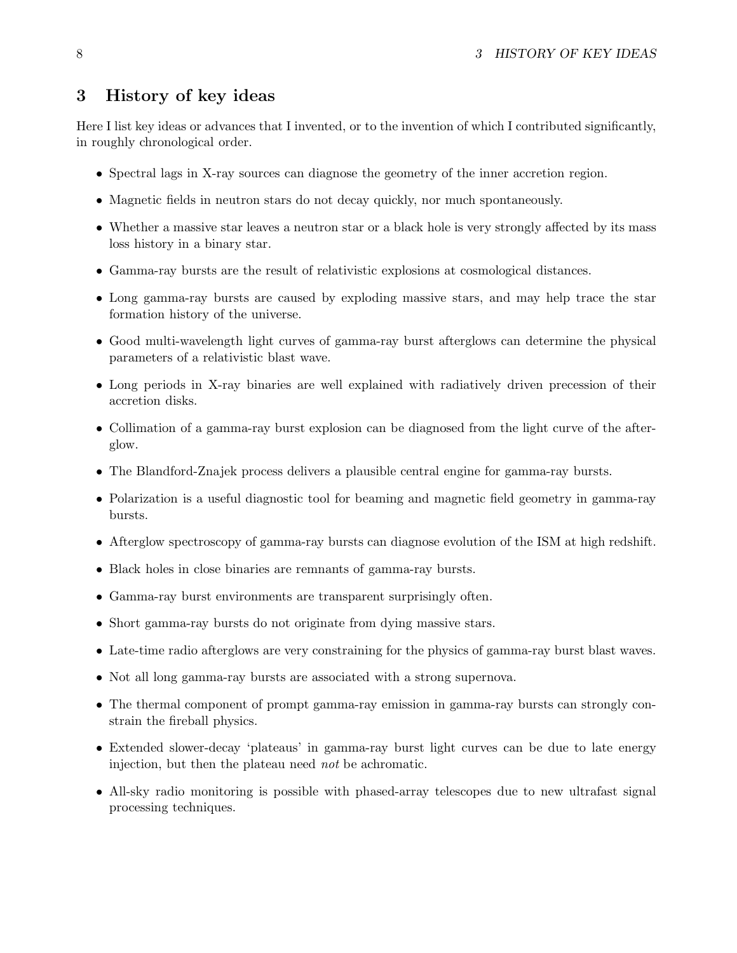## <span id="page-7-0"></span>3 History of key ideas

Here I list key ideas or advances that I invented, or to the invention of which I contributed significantly, in roughly chronological order.

- Spectral lags in X-ray sources can diagnose the geometry of the inner accretion region.
- Magnetic fields in neutron stars do not decay quickly, nor much spontaneously.
- Whether a massive star leaves a neutron star or a black hole is very strongly affected by its mass loss history in a binary star.
- Gamma-ray bursts are the result of relativistic explosions at cosmological distances.
- Long gamma-ray bursts are caused by exploding massive stars, and may help trace the star formation history of the universe.
- Good multi-wavelength light curves of gamma-ray burst afterglows can determine the physical parameters of a relativistic blast wave.
- Long periods in X-ray binaries are well explained with radiatively driven precession of their accretion disks.
- Collimation of a gamma-ray burst explosion can be diagnosed from the light curve of the afterglow.
- The Blandford-Znajek process delivers a plausible central engine for gamma-ray bursts.
- Polarization is a useful diagnostic tool for beaming and magnetic field geometry in gamma-ray bursts.
- Afterglow spectroscopy of gamma-ray bursts can diagnose evolution of the ISM at high redshift.
- Black holes in close binaries are remnants of gamma-ray bursts.
- Gamma-ray burst environments are transparent surprisingly often.
- Short gamma-ray bursts do not originate from dying massive stars.
- Late-time radio afterglows are very constraining for the physics of gamma-ray burst blast waves.
- Not all long gamma-ray bursts are associated with a strong supernova.
- The thermal component of prompt gamma-ray emission in gamma-ray bursts can strongly constrain the fireball physics.
- Extended slower-decay 'plateaus' in gamma-ray burst light curves can be due to late energy injection, but then the plateau need not be achromatic.
- All-sky radio monitoring is possible with phased-array telescopes due to new ultrafast signal processing techniques.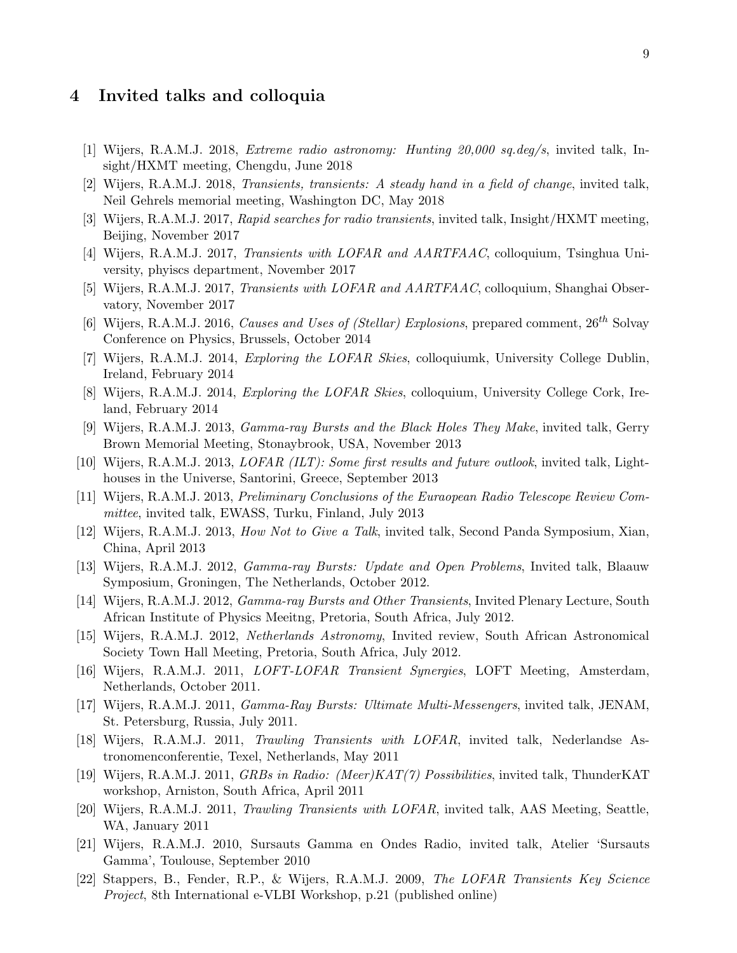## <span id="page-8-1"></span><span id="page-8-0"></span>4 Invited talks and colloquia

- [1] Wijers, R.A.M.J. 2018, Extreme radio astronomy: Hunting 20,000 sq.deg/s, invited talk, Insight/HXMT meeting, Chengdu, June 2018
- [2] Wijers, R.A.M.J. 2018, Transients, transients: A steady hand in a field of change, invited talk, Neil Gehrels memorial meeting, Washington DC, May 2018
- [3] Wijers, R.A.M.J. 2017, Rapid searches for radio transients, invited talk, Insight/HXMT meeting, Beijing, November 2017
- [4] Wijers, R.A.M.J. 2017, Transients with LOFAR and AARTFAAC, colloquium, Tsinghua University, phyiscs department, November 2017
- [5] Wijers, R.A.M.J. 2017, Transients with LOFAR and AARTFAAC, colloquium, Shanghai Observatory, November 2017
- [6] Wijers, R.A.M.J. 2016, Causes and Uses of (Stellar) Explosions, prepared comment,  $26^{th}$  Solvay Conference on Physics, Brussels, October 2014
- [7] Wijers, R.A.M.J. 2014, *Exploring the LOFAR Skies*, colloquiumk, University College Dublin, Ireland, February 2014
- [8] Wijers, R.A.M.J. 2014, Exploring the LOFAR Skies, colloquium, University College Cork, Ireland, February 2014
- [9] Wijers, R.A.M.J. 2013, Gamma-ray Bursts and the Black Holes They Make, invited talk, Gerry Brown Memorial Meeting, Stonaybrook, USA, November 2013
- [10] Wijers, R.A.M.J. 2013, LOFAR (ILT): Some first results and future outlook, invited talk, Lighthouses in the Universe, Santorini, Greece, September 2013
- [11] Wijers, R.A.M.J. 2013, Preliminary Conclusions of the Euraopean Radio Telescope Review Committee, invited talk, EWASS, Turku, Finland, July 2013
- [12] Wijers, R.A.M.J. 2013, How Not to Give a Talk, invited talk, Second Panda Symposium, Xian, China, April 2013
- [13] Wijers, R.A.M.J. 2012, Gamma-ray Bursts: Update and Open Problems, Invited talk, Blaauw Symposium, Groningen, The Netherlands, October 2012.
- [14] Wijers, R.A.M.J. 2012, Gamma-ray Bursts and Other Transients, Invited Plenary Lecture, South African Institute of Physics Meeitng, Pretoria, South Africa, July 2012.
- [15] Wijers, R.A.M.J. 2012, Netherlands Astronomy, Invited review, South African Astronomical Society Town Hall Meeting, Pretoria, South Africa, July 2012.
- [16] Wijers, R.A.M.J. 2011, LOFT-LOFAR Transient Synergies, LOFT Meeting, Amsterdam, Netherlands, October 2011.
- [17] Wijers, R.A.M.J. 2011, Gamma-Ray Bursts: Ultimate Multi-Messengers, invited talk, JENAM, St. Petersburg, Russia, July 2011.
- [18] Wijers, R.A.M.J. 2011, Trawling Transients with LOFAR, invited talk, Nederlandse Astronomenconferentie, Texel, Netherlands, May 2011
- [19] Wijers, R.A.M.J. 2011, GRBs in Radio: (Meer)KAT(7) Possibilities, invited talk, ThunderKAT workshop, Arniston, South Africa, April 2011
- [20] Wijers, R.A.M.J. 2011, Trawling Transients with LOFAR, invited talk, AAS Meeting, Seattle, WA, January 2011
- [21] Wijers, R.A.M.J. 2010, Sursauts Gamma en Ondes Radio, invited talk, Atelier 'Sursauts Gamma', Toulouse, September 2010
- [22] Stappers, B., Fender, R.P., & Wijers, R.A.M.J. 2009, The LOFAR Transients Key Science Project, 8th International e-VLBI Workshop, p.21 (published online)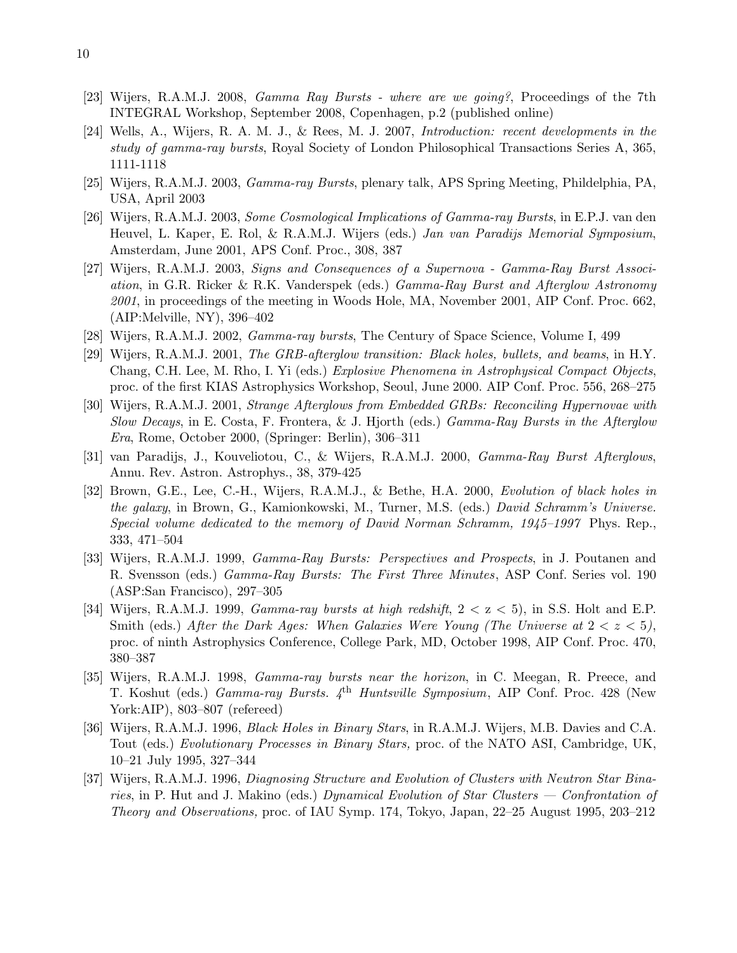- [23] Wijers, R.A.M.J. 2008, Gamma Ray Bursts where are we going?, Proceedings of the 7th INTEGRAL Workshop, September 2008, Copenhagen, p.2 (published online)
- [24] Wells, A., Wijers, R. A. M. J., & Rees, M. J. 2007, Introduction: recent developments in the study of gamma-ray bursts, Royal Society of London Philosophical Transactions Series A, 365, 1111-1118
- [25] Wijers, R.A.M.J. 2003, Gamma-ray Bursts, plenary talk, APS Spring Meeting, Phildelphia, PA, USA, April 2003
- [26] Wijers, R.A.M.J. 2003, Some Cosmological Implications of Gamma-ray Bursts, in E.P.J. van den Heuvel, L. Kaper, E. Rol, & R.A.M.J. Wijers (eds.) Jan van Paradijs Memorial Symposium, Amsterdam, June 2001, APS Conf. Proc., 308, 387
- [27] Wijers, R.A.M.J. 2003, Signs and Consequences of a Supernova Gamma-Ray Burst Association, in G.R. Ricker & R.K. Vanderspek (eds.) Gamma-Ray Burst and Afterglow Astronomy 2001, in proceedings of the meeting in Woods Hole, MA, November 2001, AIP Conf. Proc. 662, (AIP:Melville, NY), 396–402
- [28] Wijers, R.A.M.J. 2002, Gamma-ray bursts, The Century of Space Science, Volume I, 499
- [29] Wijers, R.A.M.J. 2001, The GRB-afterglow transition: Black holes, bullets, and beams, in H.Y. Chang, C.H. Lee, M. Rho, I. Yi (eds.) Explosive Phenomena in Astrophysical Compact Objects, proc. of the first KIAS Astrophysics Workshop, Seoul, June 2000. AIP Conf. Proc. 556, 268–275
- [30] Wijers, R.A.M.J. 2001, Strange Afterglows from Embedded GRBs: Reconciling Hypernovae with Slow Decays, in E. Costa, F. Frontera, & J. Hjorth (eds.) Gamma-Ray Bursts in the Afterglow Era, Rome, October 2000, (Springer: Berlin), 306–311
- [31] van Paradijs, J., Kouveliotou, C., & Wijers, R.A.M.J. 2000, Gamma-Ray Burst Afterglows, Annu. Rev. Astron. Astrophys., 38, 379-425
- [32] Brown, G.E., Lee, C.-H., Wijers, R.A.M.J., & Bethe, H.A. 2000, Evolution of black holes in the galaxy, in Brown, G., Kamionkowski, M., Turner, M.S. (eds.) David Schramm's Universe. Special volume dedicated to the memory of David Norman Schramm, 1945–1997 Phys. Rep., 333, 471–504
- [33] Wijers, R.A.M.J. 1999, Gamma-Ray Bursts: Perspectives and Prospects, in J. Poutanen and R. Svensson (eds.) Gamma-Ray Bursts: The First Three Minutes, ASP Conf. Series vol. 190 (ASP:San Francisco), 297–305
- [34] Wijers, R.A.M.J. 1999, *Gamma-ray bursts at high redshift*,  $2 < z < 5$ ), in S.S. Holt and E.P. Smith (eds.) After the Dark Ages: When Galaxies Were Young (The Universe at  $2 < z < 5$ ), proc. of ninth Astrophysics Conference, College Park, MD, October 1998, AIP Conf. Proc. 470, 380–387
- [35] Wijers, R.A.M.J. 1998, Gamma-ray bursts near the horizon, in C. Meegan, R. Preece, and T. Koshut (eds.) *Gamma-ray Bursts.* 4<sup>th</sup> Huntsville Symposium, AIP Conf. Proc. 428 (New York:AIP), 803–807 (refereed)
- [36] Wijers, R.A.M.J. 1996, Black Holes in Binary Stars, in R.A.M.J. Wijers, M.B. Davies and C.A. Tout (eds.) Evolutionary Processes in Binary Stars, proc. of the NATO ASI, Cambridge, UK, 10–21 July 1995, 327–344
- [37] Wijers, R.A.M.J. 1996, Diagnosing Structure and Evolution of Clusters with Neutron Star Binaries, in P. Hut and J. Makino (eds.) Dynamical Evolution of Star Clusters — Confrontation of Theory and Observations, proc. of IAU Symp. 174, Tokyo, Japan, 22–25 August 1995, 203–212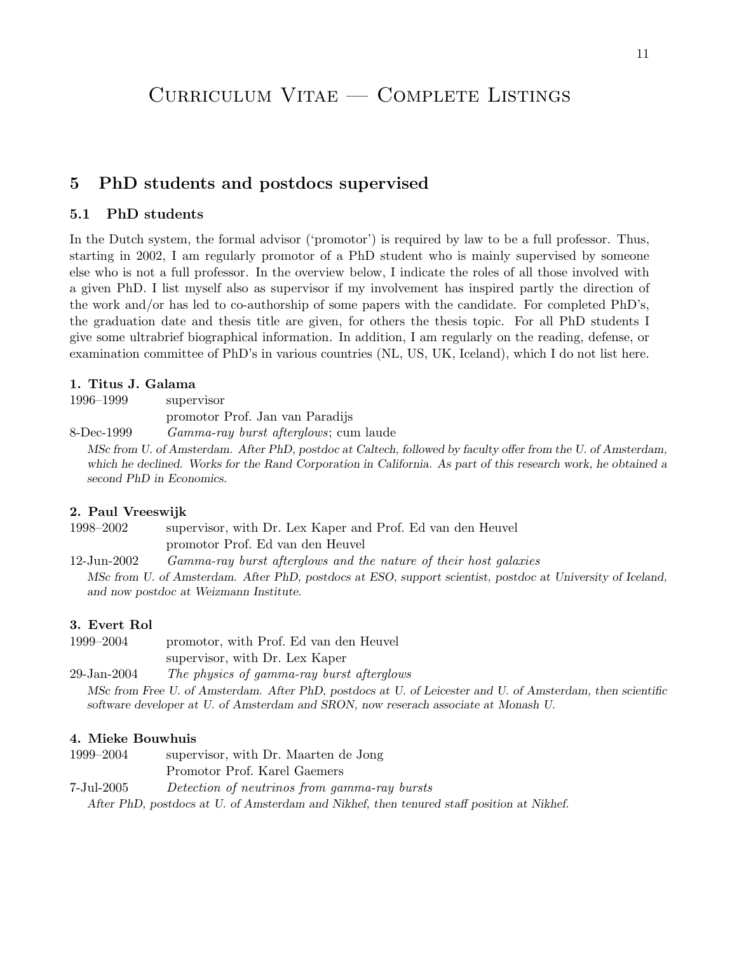## <span id="page-10-1"></span><span id="page-10-0"></span>5 PhD students and postdocs supervised

## 5.1 PhD students

In the Dutch system, the formal advisor ('promotor') is required by law to be a full professor. Thus, starting in 2002, I am regularly promotor of a PhD student who is mainly supervised by someone else who is not a full professor. In the overview below, I indicate the roles of all those involved with a given PhD. I list myself also as supervisor if my involvement has inspired partly the direction of the work and/or has led to co-authorship of some papers with the candidate. For completed PhD's, the graduation date and thesis title are given, for others the thesis topic. For all PhD students I give some ultrabrief biographical information. In addition, I am regularly on the reading, defense, or examination committee of PhD's in various countries (NL, US, UK, Iceland), which I do not list here.

## 1. Titus J. Galama

1996–1999 supervisor promotor Prof. Jan van Paradijs

8-Dec-1999 Gamma-ray burst afterglows; cum laude MSc from U. of Amsterdam. After PhD, postdoc at Caltech, followed by faculty offer from the U. of Amsterdam, which he declined. Works for the Rand Corporation in California. As part of this research work, he obtained a second PhD in Economics.

## 2. Paul Vreeswijk

1998–2002 supervisor, with Dr. Lex Kaper and Prof. Ed van den Heuvel promotor Prof. Ed van den Heuvel

12-Jun-2002 Gamma-ray burst afterglows and the nature of their host galaxies MSc from U. of Amsterdam. After PhD, postdocs at ESO, support scientist, postdoc at University of Iceland, and now postdoc at Weizmann Institute.

## 3. Evert Rol

1999–2004 promotor, with Prof. Ed van den Heuvel supervisor, with Dr. Lex Kaper

29-Jan-2004 The physics of gamma-ray burst afterglows MSc from Free U. of Amsterdam. After PhD, postdocs at U. of Leicester and U. of Amsterdam, then scientific software developer at U. of Amsterdam and SRON, now reserach associate at Monash U.

## 4. Mieke Bouwhuis

1999–2004 supervisor, with Dr. Maarten de Jong

Promotor Prof. Karel Gaemers

7-Jul-2005 Detection of neutrinos from gamma-ray bursts

After PhD, postdocs at U. of Amsterdam and Nikhef, then tenured staff position at Nikhef.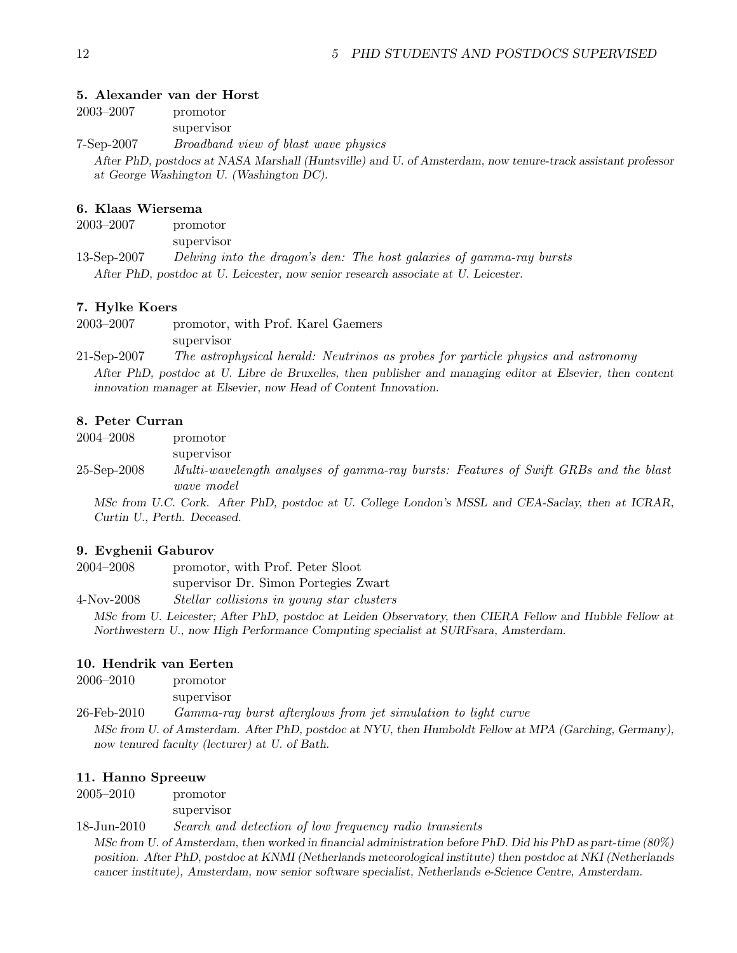#### 5. Alexander van der Horst

|            | After PhD, postdocs at NASA Marshall (Huntsville) and U. of Amsterdam, now tenure-track assistant professor<br>at George Washington U. (Washington DC). |
|------------|---------------------------------------------------------------------------------------------------------------------------------------------------------|
| 7-Sep-2007 | <i>Broadband view of blast wave physics</i>                                                                                                             |
|            | supervisor                                                                                                                                              |
| 2003–2007  | promotor                                                                                                                                                |

#### 6. Klaas Wiersema

2003–2007 promotor supervisor 13-Sep-2007 Delving into the dragon's den: The host galaxies of gamma-ray bursts After PhD, postdoc at U. Leicester, now senior research associate at U. Leicester.

#### 7. Hylke Koers

2003–2007 promotor, with Prof. Karel Gaemers supervisor

21-Sep-2007 The astrophysical herald: Neutrinos as probes for particle physics and astronomy After PhD, postdoc at U. Libre de Bruxelles, then publisher and managing editor at Elsevier, then content innovation manager at Elsevier, now Head of Content Innovation.

#### 8. Peter Curran

2004–2008 promotor

supervisor

25-Sep-2008 Multi-wavelength analyses of gamma-ray bursts: Features of Swift GRBs and the blast wave model

MSc from U.C. Cork. After PhD, postdoc at U. College London's MSSL and CEA-Saclay, then at ICRAR, Curtin U., Perth. Deceased.

#### 9. Evghenii Gaburov

2004–2008 promotor, with Prof. Peter Sloot supervisor Dr. Simon Portegies Zwart

4-Nov-2008 Stellar collisions in young star clusters

MSc from U. Leicester; After PhD, postdoc at Leiden Observatory, then CIERA Fellow and Hubble Fellow at Northwestern U., now High Performance Computing specialist at SURFsara, Amsterdam.

#### 10. Hendrik van Eerten

| $2006\hbox{--}2010$ | promotor                                                                                              |
|---------------------|-------------------------------------------------------------------------------------------------------|
|                     | supervisor                                                                                            |
| 26-Feb-2010         | Gamma-ray burst afterglows from jet simulation to light curve                                         |
|                     | MSc from U. of Amsterdam. After PhD, postdoc at NYU, then Humboldt Fellow at MPA (Garching, Germany), |
|                     | now tenured faculty (lecturer) at U. of Bath.                                                         |

#### 11. Hanno Spreeuw

2005–2010 promotor

supervisor

18-Jun-2010 Search and detection of low frequency radio transients

MSc from U. of Amsterdam, then worked in financial administration before PhD. Did his PhD as part-time (80%) position. After PhD, postdoc at KNMI (Netherlands meteorological institute) then postdoc at NKI (Netherlands cancer institute), Amsterdam, now senior software specialist, Netherlands e-Science Centre, Amsterdam.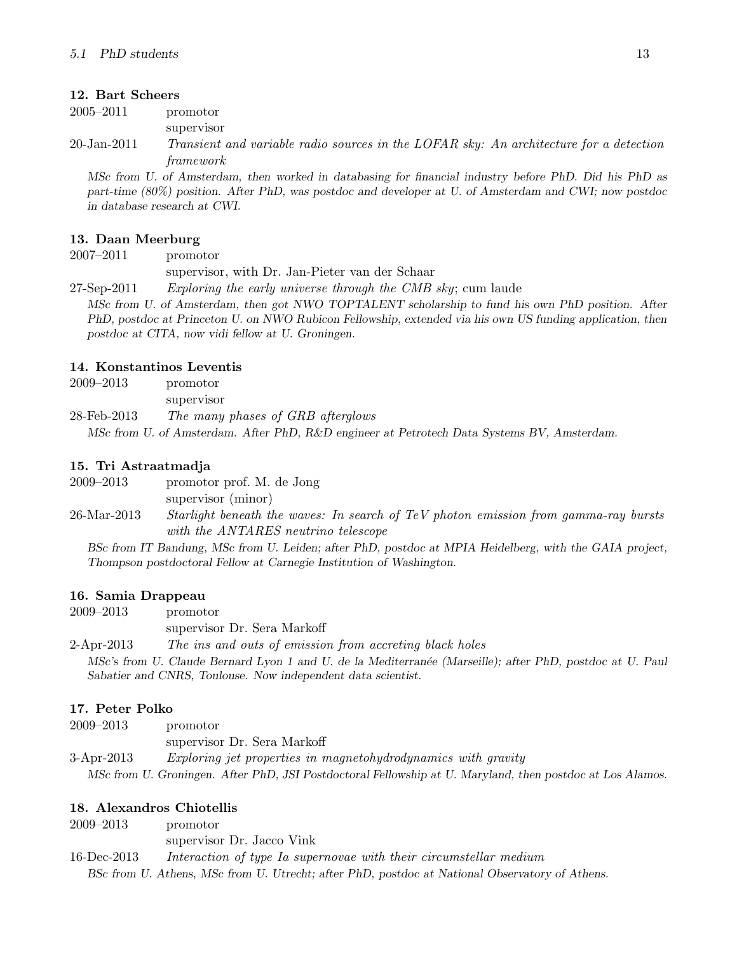#### 12. Bart Scheers

2005–2011 promotor

supervisor

20-Jan-2011 Transient and variable radio sources in the LOFAR sky: An architecture for a detection framework

MSc from U. of Amsterdam, then worked in databasing for financial industry before PhD. Did his PhD as part-time (80%) position. After PhD, was postdoc and developer at U. of Amsterdam and CWI; now postdoc in database research at CWI.

#### 13. Daan Meerburg

2007–2011 promotor

supervisor, with Dr. Jan-Pieter van der Schaar

27-Sep-2011 Exploring the early universe through the CMB sky; cum laude

MSc from U. of Amsterdam, then got NWO TOPTALENT scholarship to fund his own PhD position. After PhD, postdoc at Princeton U. on NWO Rubicon Fellowship, extended via his own US funding application, then postdoc at CITA, now vidi fellow at U. Groningen.

#### 14. Konstantinos Leventis

2009–2013 promotor

supervisor

28-Feb-2013 The many phases of GRB afterglows

MSc from U. of Amsterdam. After PhD, R&D engineer at Petrotech Data Systems BV, Amsterdam.

#### 15. Tri Astraatmadja

2009–2013 promotor prof. M. de Jong

supervisor (minor)

26-Mar-2013 Starlight beneath the waves: In search of TeV photon emission from gamma-ray bursts with the ANTARES neutrino telescope

BSc from IT Bandung, MSc from U. Leiden; after PhD, postdoc at MPIA Heidelberg, with the GAIA project, Thompson postdoctoral Fellow at Carnegie Institution of Washington.

## 16. Samia Drappeau

2009–2013 promotor

supervisor Dr. Sera Markoff

2-Apr-2013 The ins and outs of emission from accreting black holes

MSc's from U. Claude Bernard Lyon 1 and U. de la Mediterranée (Marseille); after PhD, postdoc at U. Paul Sabatier and CNRS, Toulouse. Now independent data scientist.

## 17. Peter Polko

| $2009 - 2013$ | promotor                                                      |
|---------------|---------------------------------------------------------------|
|               | supervisor Dr. Sera Markoff                                   |
| $3-Apr-2013$  | Exploring jet properties in magnetohydrodynamics with gravity |

MSc from U. Groningen. After PhD, JSI Postdoctoral Fellowship at U. Maryland, then postdoc at Los Alamos.

## 18. Alexandros Chiotellis

2009–2013 promotor supervisor Dr. Jacco Vink 16-Dec-2013 Interaction of type Ia supernovae with their circumstellar medium BSc from U. Athens, MSc from U. Utrecht; after PhD, postdoc at National Observatory of Athens.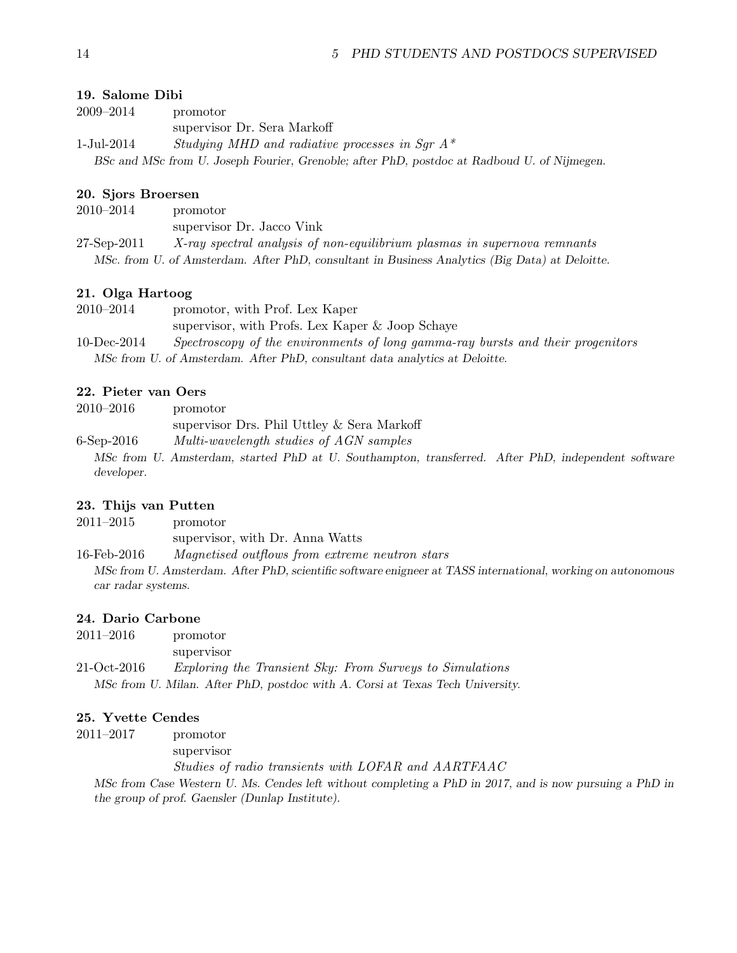#### 19. Salome Dibi

| 2009–2014  | promotor                                                                                    |
|------------|---------------------------------------------------------------------------------------------|
|            | supervisor Dr. Sera Markoff                                                                 |
| 1-Jul-2014 | Studying MHD and radiative processes in Sqr $A^*$                                           |
|            | BSc and MSc from U. Joseph Fourier, Grenoble; after PhD, postdoc at Radboud U. of Nijmegen. |

#### 20. Sjors Broersen

| 2010–2014   | promotor                                                                                       |
|-------------|------------------------------------------------------------------------------------------------|
|             | supervisor Dr. Jacco Vink                                                                      |
| 27-Sep-2011 | X-ray spectral analysis of non-equilibrium plasmas in supernova remnants                       |
|             | MSc. from U. of Amsterdam. After PhD, consultant in Business Analytics (Big Data) at Deloitte. |

## 21. Olga Hartoog

| 2010–2014   | promotor, with Prof. Lex Kaper                                                  |
|-------------|---------------------------------------------------------------------------------|
|             | supervisor, with Profs. Lex Kaper & Joop Schaye                                 |
| 10-Dec-2014 | Spectroscopy of the environments of long gamma-ray bursts and their progenitors |
|             | MSc from U. of Amsterdam. After PhD, consultant data analytics at Deloitte.     |

## 22. Pieter van Oers

| $2010 - 2016$ | promotor                                                                                           |  |
|---------------|----------------------------------------------------------------------------------------------------|--|
|               | supervisor Drs. Phil Uttley & Sera Markoff                                                         |  |
| $6$ -Sep-2016 | Multi-wavelength studies of AGN samples                                                            |  |
|               | MSc from U. Amsterdam, started PhD at U. Southampton, transferred. After PhD, independent software |  |
| developer.    |                                                                                                    |  |

#### 23. Thijs van Putten

| $2011 - 2015$ | promotor                        |
|---------------|---------------------------------|
|               | supervisor, with Dr. Anna Watts |

16-Feb-2016 Magnetised outflows from extreme neutron stars MSc from U. Amsterdam. After PhD, scientific software enigneer at TASS international, working on autonomous

car radar systems.

#### 24. Dario Carbone

| $2011 - 2016$ | promotor                                                                      |
|---------------|-------------------------------------------------------------------------------|
|               | supervisor                                                                    |
| 21-Oct-2016   | <i>Exploring the Transient Sky: From Surveys to Simulations</i>               |
|               | MSc from U. Milan. After PhD, postdoc with A. Corsi at Texas Tech University. |

#### 25. Yvette Cendes

2011–2017 promotor

supervisor

Studies of radio transients with LOFAR and AARTFAAC

MSc from Case Western U. Ms. Cendes left without completing a PhD in 2017, and is now pursuing a PhD in the group of prof. Gaensler (Dunlap Institute).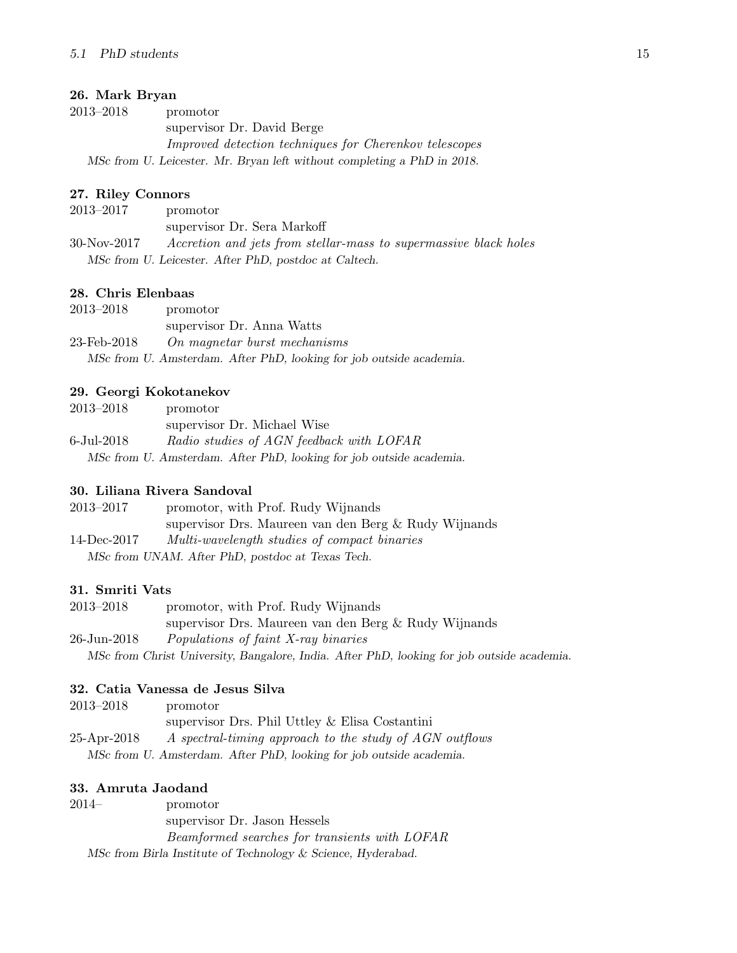## 26. Mark Bryan

2013–2018 promotor supervisor Dr. David Berge Improved detection techniques for Cherenkov telescopes MSc from U. Leicester. Mr. Bryan left without completing a PhD in 2018.

## 27. Riley Connors

2013–2017 promotor supervisor Dr. Sera Markoff 30-Nov-2017 Accretion and jets from stellar-mass to supermassive black holes MSc from U. Leicester. After PhD, postdoc at Caltech.

## 28. Chris Elenbaas

| $2013 - 2018$ | promotor                                                            |
|---------------|---------------------------------------------------------------------|
|               | supervisor Dr. Anna Watts                                           |
| 23-Feb-2018   | On magnetar burst mechanisms                                        |
|               | MSc from U. Amsterdam. After PhD, looking for job outside academia. |

## 29. Georgi Kokotanekov

| $2013 - 2018$ | promotor                                                            |
|---------------|---------------------------------------------------------------------|
|               | supervisor Dr. Michael Wise                                         |
| 6-Jul-2018    | Radio studies of AGN feedback with LOFAR                            |
|               | MSc from U. Amsterdam. After PhD, looking for job outside academia. |

## 30. Liliana Rivera Sandoval

| 2013–2017   | promotor, with Prof. Rudy Wijnands                   |
|-------------|------------------------------------------------------|
|             | supervisor Drs. Maureen van den Berg & Rudy Wijnands |
| 14-Dec-2017 | Multi-wavelength studies of compact binaries         |
|             | MSc from UNAM. After PhD, postdoc at Texas Tech.     |

## 31. Smriti Vats

| 2013–2018   | promotor, with Prof. Rudy Wijnands                                                         |
|-------------|--------------------------------------------------------------------------------------------|
|             | supervisor Drs. Maureen van den Berg & Rudy Wijnands                                       |
| 26-Jun-2018 | Populations of faint X-ray binaries                                                        |
|             | MSc from Christ University, Bangalore, India. After PhD, looking for job outside academia. |

## 32. Catia Vanessa de Jesus Silva

| 2013–2018   | promotor                                                            |
|-------------|---------------------------------------------------------------------|
|             | supervisor Drs. Phil Uttley & Elisa Costantini                      |
| 25-Apr-2018 | A spectral-timing approach to the study of AGN outflows             |
|             | MSc from U. Amsterdam. After PhD, looking for job outside academia. |

## 33. Amruta Jaodand

2014– promotor supervisor Dr. Jason Hessels Beamformed searches for transients with LOFAR MSc from Birla Institute of Technology & Science, Hyderabad.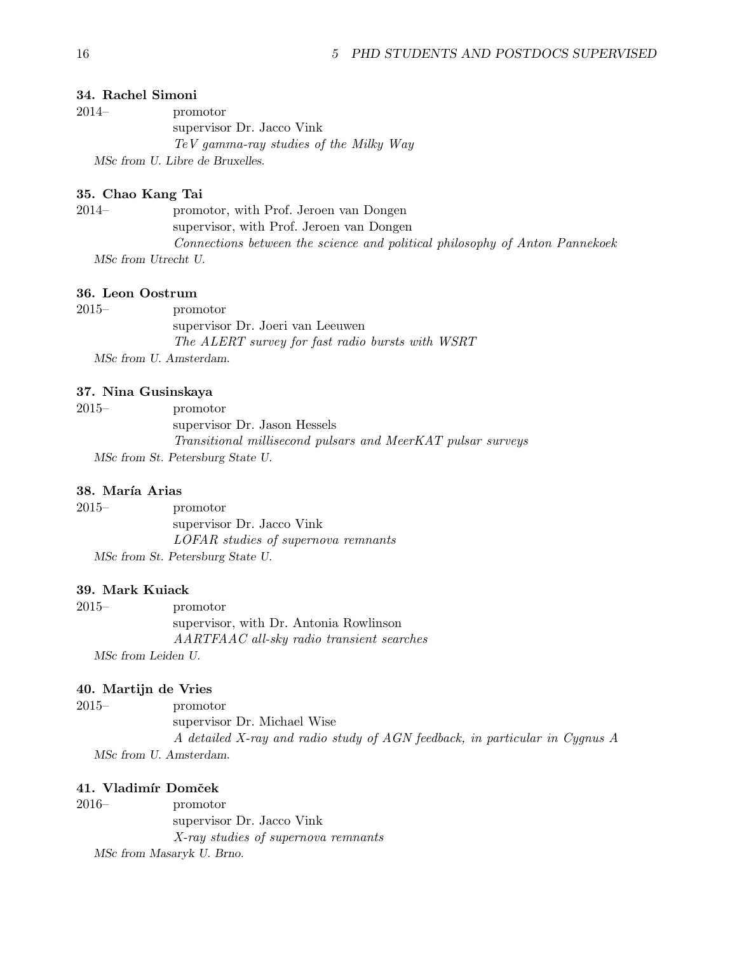#### 34. Rachel Simoni

2014– promotor supervisor Dr. Jacco Vink TeV gamma-ray studies of the Milky Way MSc from U. Libre de Bruxelles.

#### 35. Chao Kang Tai

2014– promotor, with Prof. Jeroen van Dongen supervisor, with Prof. Jeroen van Dongen Connections between the science and political philosophy of Anton Pannekoek MSc from Utrecht U.

## 36. Leon Oostrum

| $2015-$                | promotor                                         |
|------------------------|--------------------------------------------------|
|                        | supervisor Dr. Joeri van Leeuwen                 |
|                        | The ALERT survey for fast radio bursts with WSRT |
| MSc from U. Amsterdam. |                                                  |

#### 37. Nina Gusinskaya

| 2015– | promotor                                                    |
|-------|-------------------------------------------------------------|
|       | supervisor Dr. Jason Hessels                                |
|       | Transitional millisecond pulsars and MeerKAT pulsar surveys |
|       | MSc from St. Petersburg State U.                            |

## 38. María Arias

2015– promotor supervisor Dr. Jacco Vink LOFAR studies of supernova remnants MSc from St. Petersburg State U.

#### 39. Mark Kuiack

2015– promotor supervisor, with Dr. Antonia Rowlinson AARTFAAC all-sky radio transient searches MSc from Leiden U.

## 40. Martijn de Vries

2015– promotor supervisor Dr. Michael Wise A detailed X-ray and radio study of AGN feedback, in particular in Cygnus A MSc from U. Amsterdam.

## 41. Vladimír Domček

2016– promotor supervisor Dr. Jacco Vink X-ray studies of supernova remnants MSc from Masaryk U. Brno.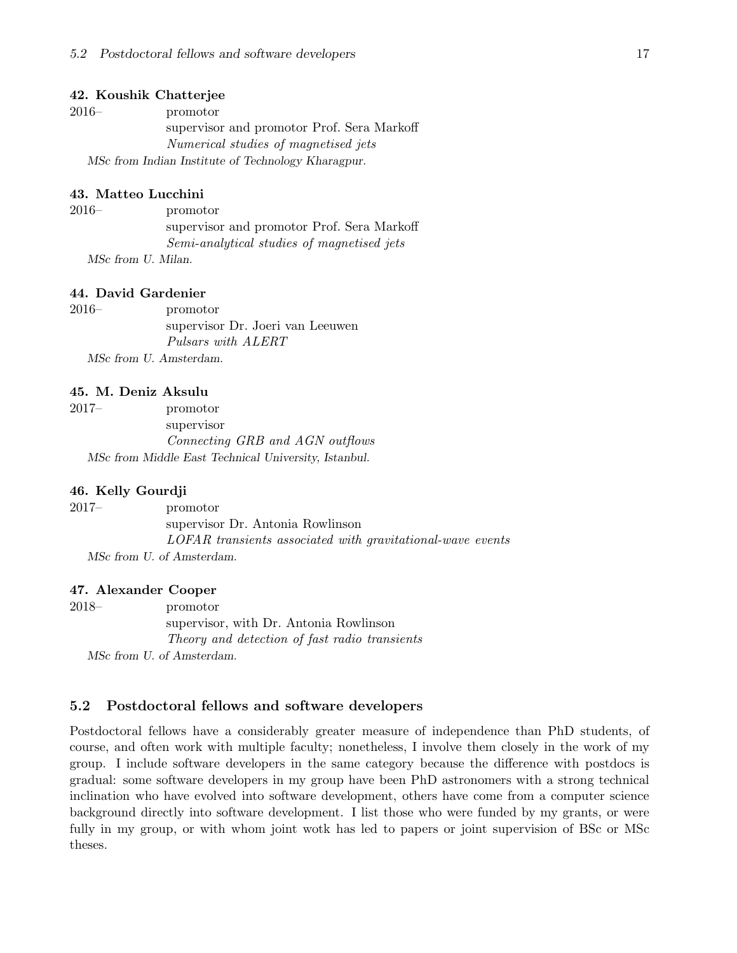#### 42. Koushik Chatterjee

| $2016-$ | promotor                                           |
|---------|----------------------------------------------------|
|         | supervisor and promotor Prof. Sera Markoff         |
|         | Numerical studies of magnetised jets               |
|         | MSc from Indian Institute of Technology Kharagpur. |

#### 43. Matteo Lucchini

2016– promotor supervisor and promotor Prof. Sera Markoff Semi-analytical studies of magnetised jets MSc from U. Milan.

#### 44. David Gardenier

2016– promotor supervisor Dr. Joeri van Leeuwen Pulsars with ALERT MSc from U. Amsterdam.

#### 45. M. Deniz Aksulu

| $2017-$ | promotor                                             |
|---------|------------------------------------------------------|
|         | supervisor                                           |
|         | Connecting GRB and AGN outflows                      |
|         | MSc from Middle East Technical University, Istanbul. |

#### 46. Kelly Gourdji

2017– promotor supervisor Dr. Antonia Rowlinson LOFAR transients associated with gravitational-wave events MSc from U. of Amsterdam.

#### 47. Alexander Cooper

2018– promotor supervisor, with Dr. Antonia Rowlinson Theory and detection of fast radio transients MSc from U. of Amsterdam.

#### <span id="page-16-0"></span>5.2 Postdoctoral fellows and software developers

Postdoctoral fellows have a considerably greater measure of independence than PhD students, of course, and often work with multiple faculty; nonetheless, I involve them closely in the work of my group. I include software developers in the same category because the difference with postdocs is gradual: some software developers in my group have been PhD astronomers with a strong technical inclination who have evolved into software development, others have come from a computer science background directly into software development. I list those who were funded by my grants, or were fully in my group, or with whom joint wotk has led to papers or joint supervision of BSc or MSc theses.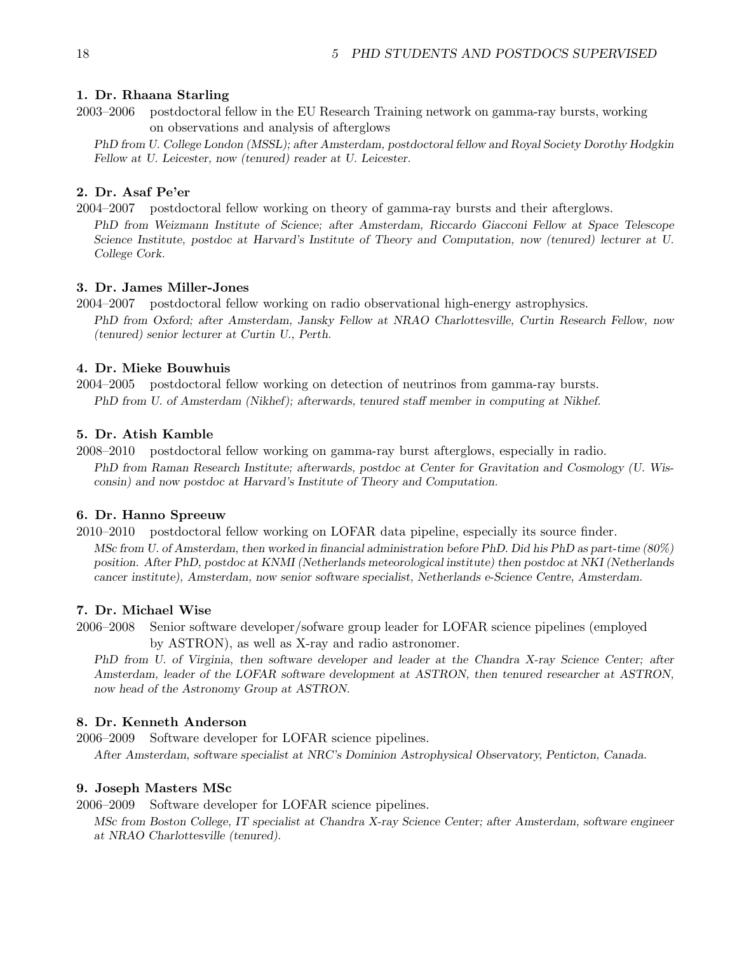## 1. Dr. Rhaana Starling

2003–2006 postdoctoral fellow in the EU Research Training network on gamma-ray bursts, working on observations and analysis of afterglows

PhD from U. College London (MSSL); after Amsterdam, postdoctoral fellow and Royal Society Dorothy Hodgkin Fellow at U. Leicester, now (tenured) reader at U. Leicester.

## 2. Dr. Asaf Pe'er

2004–2007 postdoctoral fellow working on theory of gamma-ray bursts and their afterglows. PhD from Weizmann Institute of Science; after Amsterdam, Riccardo Giacconi Fellow at Space Telescope Science Institute, postdoc at Harvard's Institute of Theory and Computation, now (tenured) lecturer at U. College Cork.

### 3. Dr. James Miller-Jones

2004–2007 postdoctoral fellow working on radio observational high-energy astrophysics. PhD from Oxford; after Amsterdam, Jansky Fellow at NRAO Charlottesville, Curtin Research Fellow, now (tenured) senior lecturer at Curtin U., Perth.

#### 4. Dr. Mieke Bouwhuis

2004–2005 postdoctoral fellow working on detection of neutrinos from gamma-ray bursts. PhD from U. of Amsterdam (Nikhef); afterwards, tenured staff member in computing at Nikhef.

#### 5. Dr. Atish Kamble

2008–2010 postdoctoral fellow working on gamma-ray burst afterglows, especially in radio. PhD from Raman Research Institute; afterwards, postdoc at Center for Gravitation and Cosmology (U. Wisconsin) and now postdoc at Harvard's Institute of Theory and Computation.

## 6. Dr. Hanno Spreeuw

2010–2010 postdoctoral fellow working on LOFAR data pipeline, especially its source finder. MSc from U. of Amsterdam, then worked in financial administration before PhD. Did his PhD as part-time (80%) position. After PhD, postdoc at KNMI (Netherlands meteorological institute) then postdoc at NKI (Netherlands cancer institute), Amsterdam, now senior software specialist, Netherlands e-Science Centre, Amsterdam.

## 7. Dr. Michael Wise

2006–2008 Senior software developer/sofware group leader for LOFAR science pipelines (employed by ASTRON), as well as X-ray and radio astronomer.

PhD from U. of Virginia, then software developer and leader at the Chandra X-ray Science Center; after Amsterdam, leader of the LOFAR software development at ASTRON, then tenured researcher at ASTRON, now head of the Astronomy Group at ASTRON.

## 8. Dr. Kenneth Anderson

2006–2009 Software developer for LOFAR science pipelines.

After Amsterdam, software specialist at NRC's Dominion Astrophysical Observatory, Penticton, Canada.

## 9. Joseph Masters MSc

2006–2009 Software developer for LOFAR science pipelines.

MSc from Boston College, IT specialist at Chandra X-ray Science Center; after Amsterdam, software engineer at NRAO Charlottesville (tenured).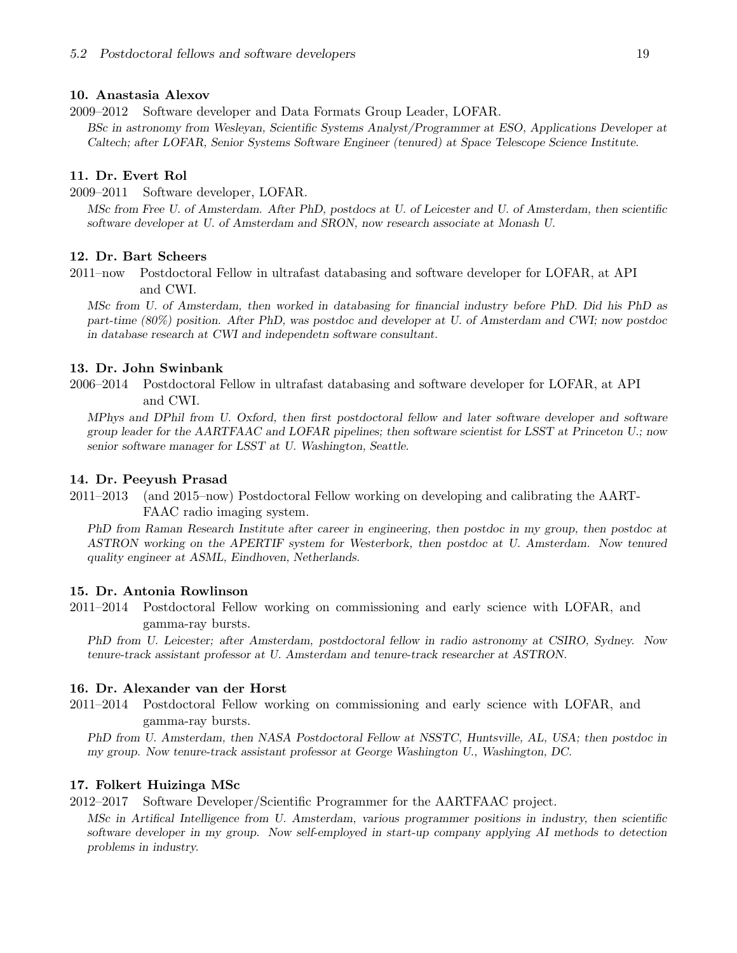#### 10. Anastasia Alexov

2009–2012 Software developer and Data Formats Group Leader, LOFAR.

BSc in astronomy from Wesleyan, Scientific Systems Analyst/Programmer at ESO, Applications Developer at Caltech; after LOFAR, Senior Systems Software Engineer (tenured) at Space Telescope Science Institute.

#### 11. Dr. Evert Rol

2009–2011 Software developer, LOFAR.

MSc from Free U. of Amsterdam. After PhD, postdocs at U. of Leicester and U. of Amsterdam, then scientific software developer at U. of Amsterdam and SRON, now research associate at Monash U.

#### 12. Dr. Bart Scheers

2011–now Postdoctoral Fellow in ultrafast databasing and software developer for LOFAR, at API and CWI.

MSc from U. of Amsterdam, then worked in databasing for financial industry before PhD. Did his PhD as part-time (80%) position. After PhD, was postdoc and developer at U. of Amsterdam and CWI; now postdoc in database research at CWI and independetn software consultant.

#### 13. Dr. John Swinbank

2006–2014 Postdoctoral Fellow in ultrafast databasing and software developer for LOFAR, at API and CWI.

MPhys and DPhil from U. Oxford, then first postdoctoral fellow and later software developer and software group leader for the AARTFAAC and LOFAR pipelines; then software scientist for LSST at Princeton U.; now senior software manager for LSST at U. Washington, Seattle.

#### 14. Dr. Peeyush Prasad

2011–2013 (and 2015–now) Postdoctoral Fellow working on developing and calibrating the AART-FAAC radio imaging system.

PhD from Raman Research Institute after career in engineering, then postdoc in my group, then postdoc at ASTRON working on the APERTIF system for Westerbork, then postdoc at U. Amsterdam. Now tenured quality engineer at ASML, Eindhoven, Netherlands.

#### 15. Dr. Antonia Rowlinson

2011–2014 Postdoctoral Fellow working on commissioning and early science with LOFAR, and gamma-ray bursts.

PhD from U. Leicester; after Amsterdam, postdoctoral fellow in radio astronomy at CSIRO, Sydney. Now tenure-track assistant professor at U. Amsterdam and tenure-track researcher at ASTRON.

## 16. Dr. Alexander van der Horst

2011–2014 Postdoctoral Fellow working on commissioning and early science with LOFAR, and gamma-ray bursts.

PhD from U. Amsterdam, then NASA Postdoctoral Fellow at NSSTC, Huntsville, AL, USA; then postdoc in my group. Now tenure-track assistant professor at George Washington U., Washington, DC.

#### 17. Folkert Huizinga MSc

2012–2017 Software Developer/Scientific Programmer for the AARTFAAC project.

MSc in Artifical Intelligence from U. Amsterdam, various programmer positions in industry, then scientific software developer in my group. Now self-employed in start-up company applying AI methods to detection problems in industry.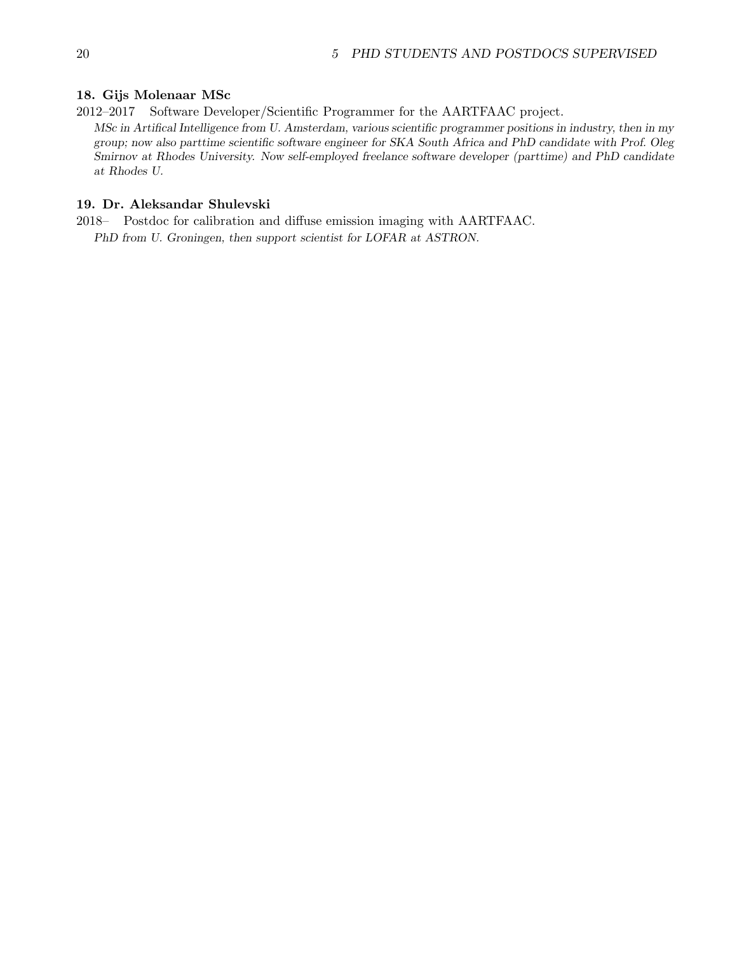#### 18. Gijs Molenaar MSc

2012–2017 Software Developer/Scientific Programmer for the AARTFAAC project.

MSc in Artifical Intelligence from U. Amsterdam, various scientific programmer positions in industry, then in my group; now also parttime scientific software engineer for SKA South Africa and PhD candidate with Prof. Oleg Smirnov at Rhodes University. Now self-employed freelance software developer (parttime) and PhD candidate at Rhodes U.

## 19. Dr. Aleksandar Shulevski

2018– Postdoc for calibration and diffuse emission imaging with AARTFAAC. PhD from U. Groningen, then support scientist for LOFAR at ASTRON.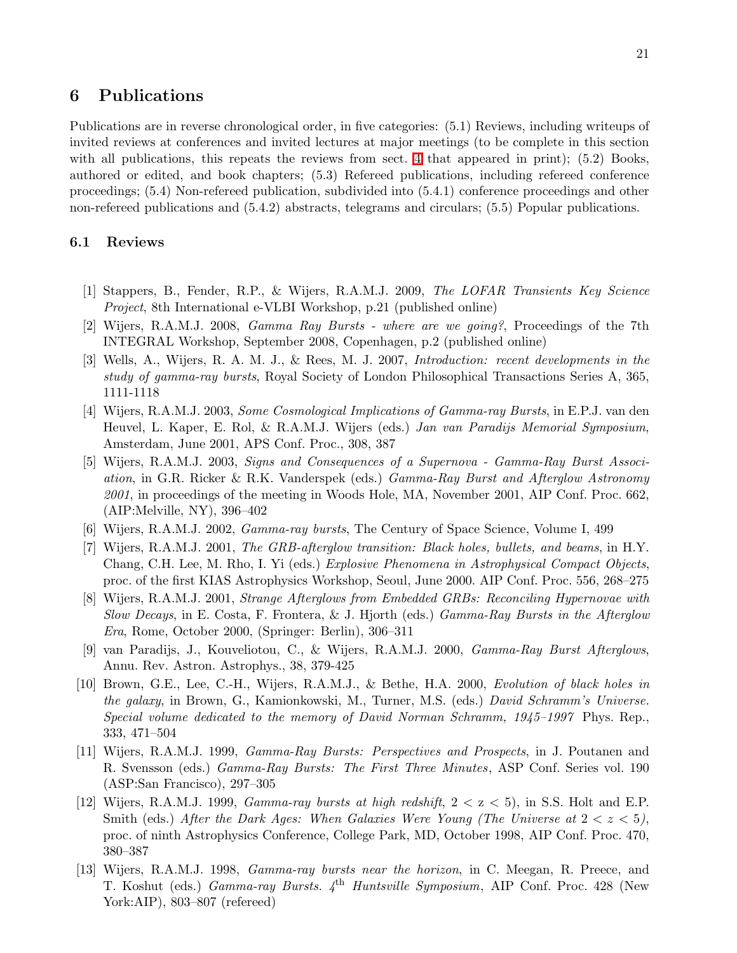## <span id="page-20-0"></span>6 Publications

Publications are in reverse chronological order, in five categories: (5.1) Reviews, including writeups of invited reviews at conferences and invited lectures at major meetings (to be complete in this section with all publications, this repeats the reviews from sect. [4](#page-8-0) that appeared in print); (5.2) Books, authored or edited, and book chapters; (5.3) Refereed publications, including refereed conference proceedings; (5.4) Non-refereed publication, subdivided into (5.4.1) conference proceedings and other non-refereed publications and (5.4.2) abstracts, telegrams and circulars; (5.5) Popular publications.

## <span id="page-20-1"></span>6.1 Reviews

- [1] Stappers, B., Fender, R.P., & Wijers, R.A.M.J. 2009, The LOFAR Transients Key Science Project, 8th International e-VLBI Workshop, p.21 (published online)
- [2] Wijers, R.A.M.J. 2008, Gamma Ray Bursts where are we going?, Proceedings of the 7th INTEGRAL Workshop, September 2008, Copenhagen, p.2 (published online)
- [3] Wells, A., Wijers, R. A. M. J., & Rees, M. J. 2007, Introduction: recent developments in the study of gamma-ray bursts, Royal Society of London Philosophical Transactions Series A, 365, 1111-1118
- [4] Wijers, R.A.M.J. 2003, Some Cosmological Implications of Gamma-ray Bursts, in E.P.J. van den Heuvel, L. Kaper, E. Rol, & R.A.M.J. Wijers (eds.) Jan van Paradijs Memorial Symposium, Amsterdam, June 2001, APS Conf. Proc., 308, 387
- [5] Wijers, R.A.M.J. 2003, Signs and Consequences of a Supernova Gamma-Ray Burst Association, in G.R. Ricker & R.K. Vanderspek (eds.) Gamma-Ray Burst and Afterglow Astronomy 2001, in proceedings of the meeting in Woods Hole, MA, November 2001, AIP Conf. Proc. 662, (AIP:Melville, NY), 396–402
- [6] Wijers, R.A.M.J. 2002, Gamma-ray bursts, The Century of Space Science, Volume I, 499
- [7] Wijers, R.A.M.J. 2001, The GRB-afterglow transition: Black holes, bullets, and beams, in H.Y. Chang, C.H. Lee, M. Rho, I. Yi (eds.) Explosive Phenomena in Astrophysical Compact Objects, proc. of the first KIAS Astrophysics Workshop, Seoul, June 2000. AIP Conf. Proc. 556, 268–275
- [8] Wijers, R.A.M.J. 2001, Strange Afterglows from Embedded GRBs: Reconciling Hypernovae with Slow Decays, in E. Costa, F. Frontera, & J. Hjorth (eds.) Gamma-Ray Bursts in the Afterglow Era, Rome, October 2000, (Springer: Berlin), 306–311
- [9] van Paradijs, J., Kouveliotou, C., & Wijers, R.A.M.J. 2000, Gamma-Ray Burst Afterglows, Annu. Rev. Astron. Astrophys., 38, 379-425
- [10] Brown, G.E., Lee, C.-H., Wijers, R.A.M.J., & Bethe, H.A. 2000, Evolution of black holes in the galaxy, in Brown, G., Kamionkowski, M., Turner, M.S. (eds.) David Schramm's Universe. Special volume dedicated to the memory of David Norman Schramm, 1945–1997 Phys. Rep., 333, 471–504
- [11] Wijers, R.A.M.J. 1999, Gamma-Ray Bursts: Perspectives and Prospects, in J. Poutanen and R. Svensson (eds.) Gamma-Ray Bursts: The First Three Minutes, ASP Conf. Series vol. 190 (ASP:San Francisco), 297–305
- [12] Wijers, R.A.M.J. 1999, *Gamma-ray bursts at high redshift*,  $2 < z < 5$ ), in S.S. Holt and E.P. Smith (eds.) After the Dark Ages: When Galaxies Were Young (The Universe at  $2 < z < 5$ ), proc. of ninth Astrophysics Conference, College Park, MD, October 1998, AIP Conf. Proc. 470, 380–387
- [13] Wijers, R.A.M.J. 1998, Gamma-ray bursts near the horizon, in C. Meegan, R. Preece, and T. Koshut (eds.) Gamma-ray Bursts. 4<sup>th</sup> Huntsville Symposium, AIP Conf. Proc. 428 (New York:AIP), 803–807 (refereed)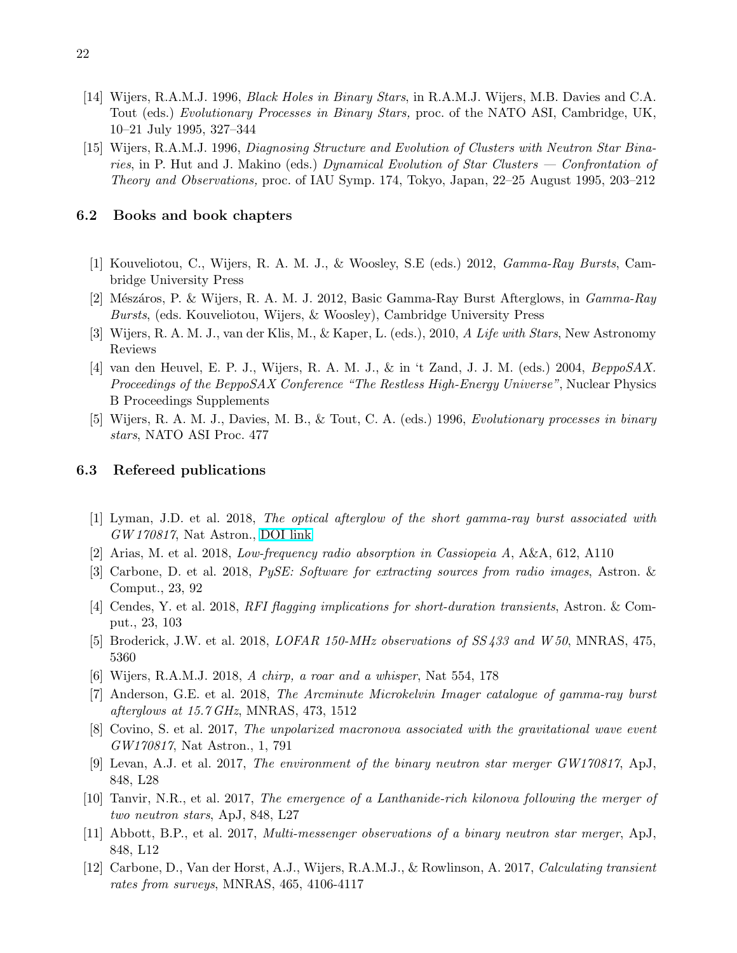- [14] Wijers, R.A.M.J. 1996, Black Holes in Binary Stars, in R.A.M.J. Wijers, M.B. Davies and C.A. Tout (eds.) Evolutionary Processes in Binary Stars, proc. of the NATO ASI, Cambridge, UK, 10–21 July 1995, 327–344
- [15] Wijers, R.A.M.J. 1996, Diagnosing Structure and Evolution of Clusters with Neutron Star Binaries, in P. Hut and J. Makino (eds.) Dynamical Evolution of Star Clusters — Confrontation of Theory and Observations, proc. of IAU Symp. 174, Tokyo, Japan, 22–25 August 1995, 203–212

#### <span id="page-21-0"></span>6.2 Books and book chapters

- [1] Kouveliotou, C., Wijers, R. A. M. J., & Woosley, S.E (eds.) 2012, Gamma-Ray Bursts, Cambridge University Press
- [2] Mészáros, P. & Wijers, R. A. M. J. 2012, Basic Gamma-Ray Burst Afterglows, in *Gamma-Ray* Bursts, (eds. Kouveliotou, Wijers, & Woosley), Cambridge University Press
- [3] Wijers, R. A. M. J., van der Klis, M., & Kaper, L. (eds.), 2010, A Life with Stars, New Astronomy Reviews
- [4] van den Heuvel, E. P. J., Wijers, R. A. M. J., & in 't Zand, J. J. M. (eds.) 2004, BeppoSAX. Proceedings of the BeppoSAX Conference "The Restless High-Energy Universe", Nuclear Physics B Proceedings Supplements
- [5] Wijers, R. A. M. J., Davies, M. B., & Tout, C. A. (eds.) 1996, Evolutionary processes in binary stars, NATO ASI Proc. 477

## <span id="page-21-1"></span>6.3 Refereed publications

- [1] Lyman, J.D. et al. 2018, The optical afterglow of the short gamma-ray burst associated with GW 170817, Nat Astron., [DOI link](https://doi.org/10.1038/s41550-018-0511-3)
- [2] Arias, M. et al. 2018, Low-frequency radio absorption in Cassiopeia A, A&A, 612, A110
- [3] Carbone, D. et al. 2018, PySE: Software for extracting sources from radio images, Astron. & Comput., 23, 92
- [4] Cendes, Y. et al. 2018, RFI flagging implications for short-duration transients, Astron. & Comput., 23, 103
- [5] Broderick, J.W. et al. 2018, *LOFAR 150-MHz observations of SS433 and W50*, MNRAS, 475, 5360
- [6] Wijers, R.A.M.J. 2018, A chirp, a roar and a whisper, Nat 554, 178
- [7] Anderson, G.E. et al. 2018, The Arcminute Microkelvin Imager catalogue of gamma-ray burst afterglows at 15.7 GHz, MNRAS, 473, 1512
- [8] Covino, S. et al. 2017, The unpolarized macronova associated with the gravitational wave event GW170817, Nat Astron., 1, 791
- [9] Levan, A.J. et al. 2017, The environment of the binary neutron star merger GW170817, ApJ, 848, L28
- [10] Tanvir, N.R., et al. 2017, The emergence of a Lanthanide-rich kilonova following the merger of two neutron stars, ApJ, 848, L27
- [11] Abbott, B.P., et al. 2017, Multi-messenger observations of a binary neutron star merger, ApJ, 848, L12
- [12] Carbone, D., Van der Horst, A.J., Wijers, R.A.M.J., & Rowlinson, A. 2017, Calculating transient rates from surveys, MNRAS, 465, 4106-4117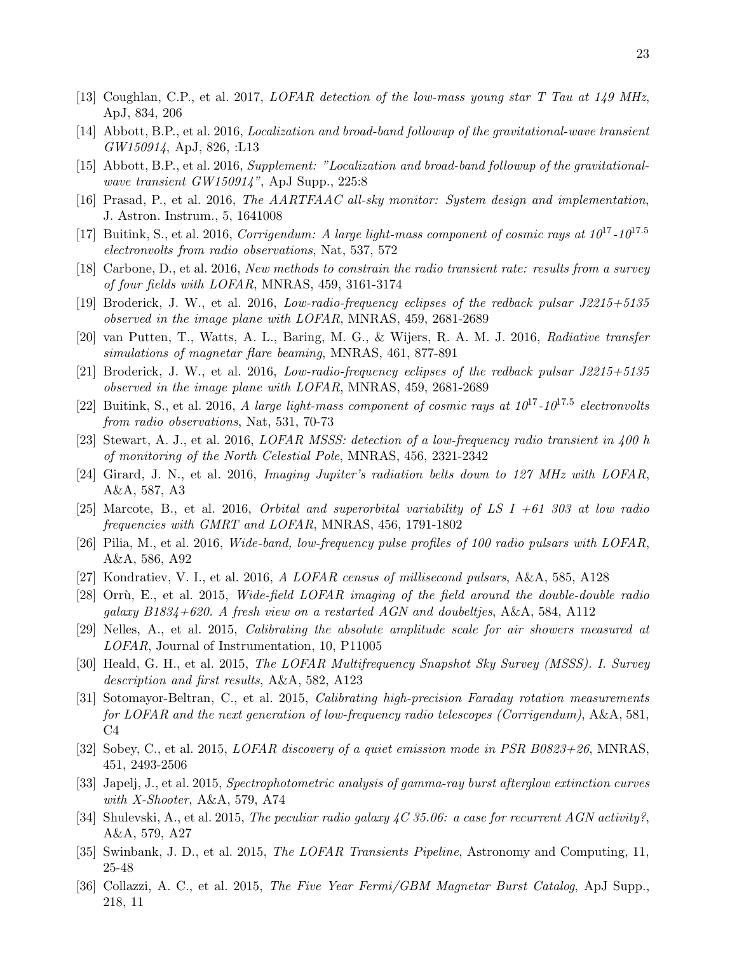- [13] Coughlan, C.P., et al. 2017, LOFAR detection of the low-mass young star T Tau at 149 MHz, ApJ, 834, 206
- [14] Abbott, B.P., et al. 2016, Localization and broad-band followup of the gravitational-wave transient GW150914, ApJ, 826, :L13
- [15] Abbott, B.P., et al. 2016, Supplement: "Localization and broad-band followup of the gravitationalwave transient GW150914", ApJ Supp., 225:8
- [16] Prasad, P., et al. 2016, The AARTFAAC all-sky monitor: System design and implementation, J. Astron. Instrum., 5, 1641008
- [17] Buitink, S., et al. 2016, *Corrigendum: A large light-mass component of cosmic rays at*  $10^{17}$ *-10*<sup>17.5</sup> electronvolts from radio observations, Nat, 537, 572
- [18] Carbone, D., et al. 2016, New methods to constrain the radio transient rate: results from a survey of four fields with LOFAR, MNRAS, 459, 3161-3174
- [19] Broderick, J. W., et al. 2016, Low-radio-frequency eclipses of the redback pulsar J2215+5135 observed in the image plane with LOFAR, MNRAS, 459, 2681-2689
- [20] van Putten, T., Watts, A. L., Baring, M. G., & Wijers, R. A. M. J. 2016, Radiative transfer simulations of magnetar flare beaming, MNRAS, 461, 877-891
- [21] Broderick, J. W., et al. 2016, Low-radio-frequency eclipses of the redback pulsar J2215+5135 observed in the image plane with LOFAR, MNRAS, 459, 2681-2689
- [22] Buitink, S., et al. 2016, A large light-mass component of cosmic rays at  $10^{17}$ - $10^{17.5}$  electronvolts from radio observations, Nat, 531, 70-73
- [23] Stewart, A. J., et al. 2016, LOFAR MSSS: detection of a low-frequency radio transient in 400 h of monitoring of the North Celestial Pole, MNRAS, 456, 2321-2342
- [24] Girard, J. N., et al. 2016, Imaging Jupiter's radiation belts down to 127 MHz with LOFAR, A&A, 587, A3
- [25] Marcote, B., et al. 2016, *Orbital and superorbital variability of LS I +61 303 at low radio* frequencies with GMRT and LOFAR, MNRAS, 456, 1791-1802
- [26] Pilia, M., et al. 2016, Wide-band, low-frequency pulse profiles of 100 radio pulsars with LOFAR, A&A, 586, A92
- [27] Kondratiev, V. I., et al. 2016, A LOFAR census of millisecond pulsars, A&A, 585, A128
- [28] Orrù, E., et al. 2015, Wide-field LOFAR imaging of the field around the double-double radio galaxy B1834+620. A fresh view on a restarted AGN and doubeltjes, A&A, 584, A112
- [29] Nelles, A., et al. 2015, Calibrating the absolute amplitude scale for air showers measured at LOFAR, Journal of Instrumentation, 10, P11005
- [30] Heald, G. H., et al. 2015, The LOFAR Multifrequency Snapshot Sky Survey (MSSS). I. Survey description and first results, A&A, 582, A123
- [31] Sotomayor-Beltran, C., et al. 2015, Calibrating high-precision Faraday rotation measurements for LOFAR and the next generation of low-frequency radio telescopes (Corrigendum), A&A, 581,  $C<sub>4</sub>$
- [32] Sobey, C., et al. 2015, LOFAR discovery of a quiet emission mode in PSR B0823+26, MNRAS, 451, 2493-2506
- [33] Japelj, J., et al. 2015, Spectrophotometric analysis of gamma-ray burst afterglow extinction curves with X-Shooter, A&A, 579, A74
- [34] Shulevski, A., et al. 2015, The peculiar radio galaxy  $\angle C$  35.06: a case for recurrent AGN activity?, A&A, 579, A27
- [35] Swinbank, J. D., et al. 2015, The LOFAR Transients Pipeline, Astronomy and Computing, 11, 25-48
- [36] Collazzi, A. C., et al. 2015, The Five Year Fermi/GBM Magnetar Burst Catalog, ApJ Supp., 218, 11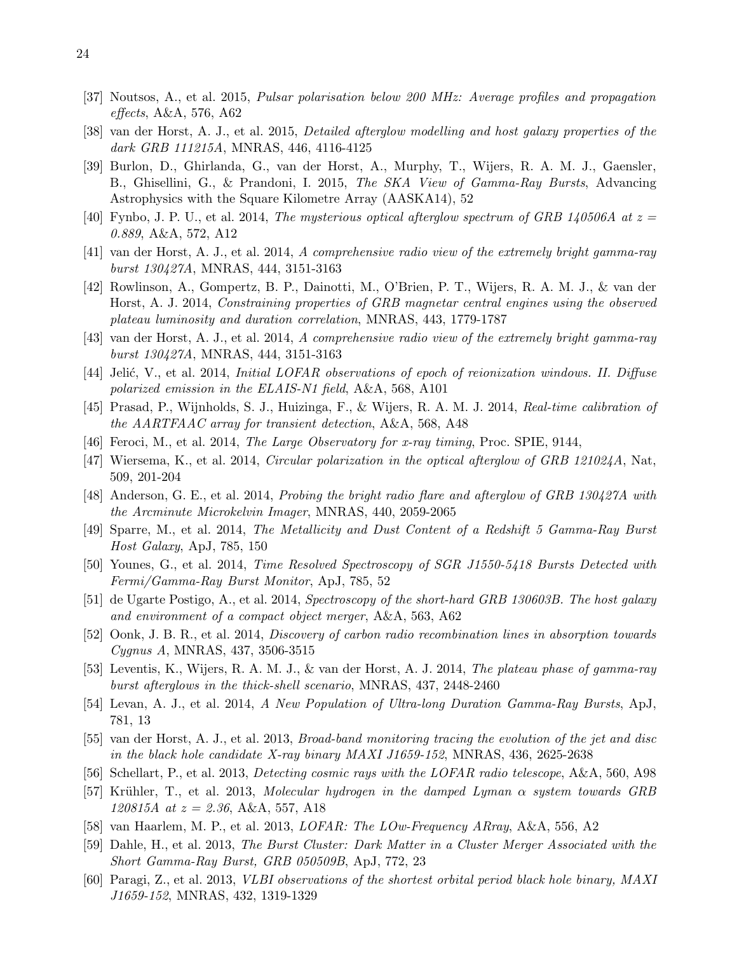- [37] Noutsos, A., et al. 2015, Pulsar polarisation below 200 MHz: Average profiles and propagation effects, A&A, 576, A62
- [38] van der Horst, A. J., et al. 2015, Detailed afterglow modelling and host galaxy properties of the dark GRB 111215A, MNRAS, 446, 4116-4125
- [39] Burlon, D., Ghirlanda, G., van der Horst, A., Murphy, T., Wijers, R. A. M. J., Gaensler, B., Ghisellini, G., & Prandoni, I. 2015, The SKA View of Gamma-Ray Bursts, Advancing Astrophysics with the Square Kilometre Array (AASKA14), 52
- [40] Fynbo, J. P. U., et al. 2014, The mysterious optical afterglow spectrum of GRB 140506A at  $z =$ 0.889, A&A, 572, A12
- [41] van der Horst, A. J., et al. 2014, A comprehensive radio view of the extremely bright gamma-ray burst 130427A, MNRAS, 444, 3151-3163
- [42] Rowlinson, A., Gompertz, B. P., Dainotti, M., O'Brien, P. T., Wijers, R. A. M. J., & van der Horst, A. J. 2014, Constraining properties of GRB magnetar central engines using the observed plateau luminosity and duration correlation, MNRAS, 443, 1779-1787
- [43] van der Horst, A. J., et al. 2014, A comprehensive radio view of the extremely bright gamma-ray burst 130427A, MNRAS, 444, 3151-3163
- [44] Jelić, V., et al. 2014, Initial LOFAR observations of epoch of reionization windows. II. Diffuse polarized emission in the ELAIS-N1 field, A&A, 568, A101
- [45] Prasad, P., Wijnholds, S. J., Huizinga, F., & Wijers, R. A. M. J. 2014, Real-time calibration of the AARTFAAC array for transient detection, A&A, 568, A48
- [46] Feroci, M., et al. 2014, The Large Observatory for x-ray timing, Proc. SPIE, 9144,
- [47] Wiersema, K., et al. 2014, Circular polarization in the optical afterglow of GRB 121024A, Nat, 509, 201-204
- [48] Anderson, G. E., et al. 2014, Probing the bright radio flare and afterglow of GRB 130427A with the Arcminute Microkelvin Imager, MNRAS, 440, 2059-2065
- [49] Sparre, M., et al. 2014, The Metallicity and Dust Content of a Redshift 5 Gamma-Ray Burst Host Galaxy, ApJ, 785, 150
- [50] Younes, G., et al. 2014, Time Resolved Spectroscopy of SGR J1550-5418 Bursts Detected with Fermi/Gamma-Ray Burst Monitor, ApJ, 785, 52
- [51] de Ugarte Postigo, A., et al. 2014, Spectroscopy of the short-hard GRB 130603B. The host galaxy and environment of a compact object merger, A&A, 563, A62
- [52] Oonk, J. B. R., et al. 2014, Discovery of carbon radio recombination lines in absorption towards Cygnus A, MNRAS, 437, 3506-3515
- [53] Leventis, K., Wijers, R. A. M. J., & van der Horst, A. J. 2014, The plateau phase of gamma-ray burst afterglows in the thick-shell scenario, MNRAS, 437, 2448-2460
- [54] Levan, A. J., et al. 2014, A New Population of Ultra-long Duration Gamma-Ray Bursts, ApJ, 781, 13
- [55] van der Horst, A. J., et al. 2013, Broad-band monitoring tracing the evolution of the jet and disc in the black hole candidate X-ray binary MAXI J1659-152, MNRAS, 436, 2625-2638
- [56] Schellart, P., et al. 2013, Detecting cosmic rays with the LOFAR radio telescope, A&A, 560, A98
- [57] Krühler, T., et al. 2013, Molecular hydrogen in the damped Lyman  $\alpha$  system towards GRB 120815A at  $z = 2.36$ , A&A, 557, A18
- [58] van Haarlem, M. P., et al. 2013, LOFAR: The LOw-Frequency ARray, A&A, 556, A2
- [59] Dahle, H., et al. 2013, The Burst Cluster: Dark Matter in a Cluster Merger Associated with the Short Gamma-Ray Burst, GRB 050509B, ApJ, 772, 23
- [60] Paragi, Z., et al. 2013, VLBI observations of the shortest orbital period black hole binary, MAXI J1659-152, MNRAS, 432, 1319-1329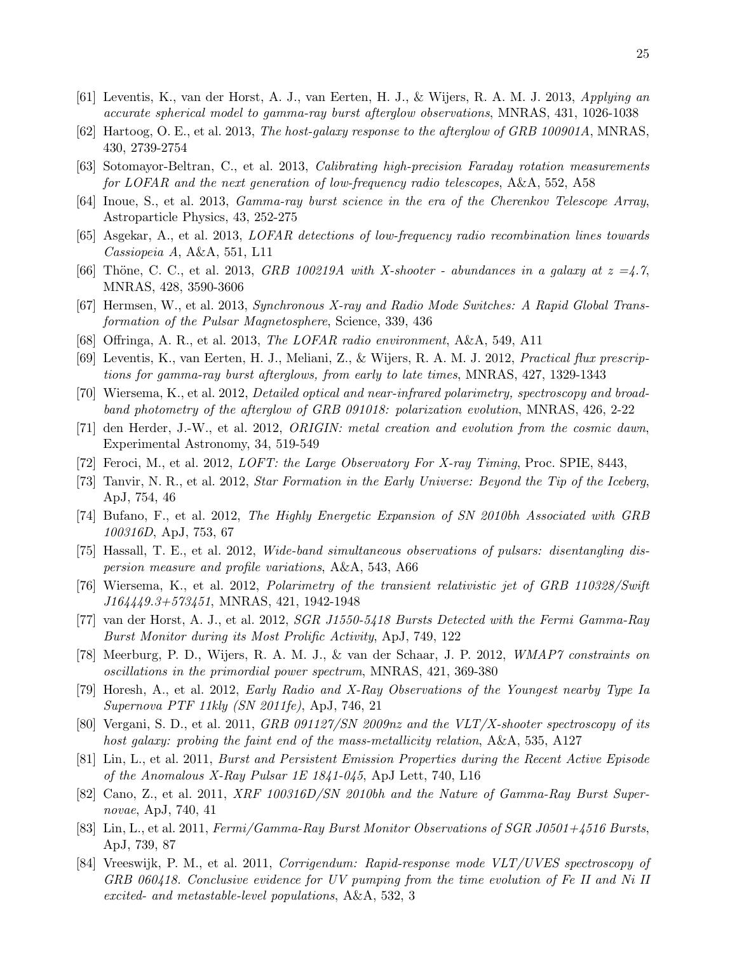- [61] Leventis, K., van der Horst, A. J., van Eerten, H. J., & Wijers, R. A. M. J. 2013, Applying an accurate spherical model to gamma-ray burst afterglow observations, MNRAS, 431, 1026-1038
- [62] Hartoog, O. E., et al. 2013, The host-galaxy response to the afterglow of GRB 100901A, MNRAS, 430, 2739-2754
- [63] Sotomayor-Beltran, C., et al. 2013, Calibrating high-precision Faraday rotation measurements for LOFAR and the next generation of low-frequency radio telescopes, A&A, 552, A58
- [64] Inoue, S., et al. 2013, Gamma-ray burst science in the era of the Cherenkov Telescope Array, Astroparticle Physics, 43, 252-275
- [65] Asgekar, A., et al. 2013, LOFAR detections of low-frequency radio recombination lines towards Cassiopeia A, A&A, 551, L11
- [66] Thöne, C. C., et al. 2013, GRB 100219A with X-shooter abundances in a galaxy at  $z = 4.7$ , MNRAS, 428, 3590-3606
- [67] Hermsen, W., et al. 2013, Synchronous X-ray and Radio Mode Switches: A Rapid Global Transformation of the Pulsar Magnetosphere, Science, 339, 436
- [68] Offringa, A. R., et al. 2013, The LOFAR radio environment, A&A, 549, A11
- [69] Leventis, K., van Eerten, H. J., Meliani, Z., & Wijers, R. A. M. J. 2012, Practical flux prescriptions for gamma-ray burst afterglows, from early to late times, MNRAS, 427, 1329-1343
- [70] Wiersema, K., et al. 2012, Detailed optical and near-infrared polarimetry, spectroscopy and broadband photometry of the afterglow of GRB 091018: polarization evolution, MNRAS, 426, 2-22
- [71] den Herder, J.-W., et al. 2012, ORIGIN: metal creation and evolution from the cosmic dawn, Experimental Astronomy, 34, 519-549
- [72] Feroci, M., et al. 2012, *LOFT: the Large Observatory For X-ray Timing*, Proc. SPIE, 8443,
- [73] Tanvir, N. R., et al. 2012, Star Formation in the Early Universe: Beyond the Tip of the Iceberg, ApJ, 754, 46
- [74] Bufano, F., et al. 2012, The Highly Energetic Expansion of SN 2010bh Associated with GRB 100316D, ApJ, 753, 67
- [75] Hassall, T. E., et al. 2012, Wide-band simultaneous observations of pulsars: disentangling dispersion measure and profile variations, A&A, 543, A66
- [76] Wiersema, K., et al. 2012, Polarimetry of the transient relativistic jet of GRB 110328/Swift J164449.3+573451, MNRAS, 421, 1942-1948
- [77] van der Horst, A. J., et al. 2012, SGR J1550-5418 Bursts Detected with the Fermi Gamma-Ray Burst Monitor during its Most Prolific Activity, ApJ, 749, 122
- [78] Meerburg, P. D., Wijers, R. A. M. J., & van der Schaar, J. P. 2012, WMAP7 constraints on oscillations in the primordial power spectrum, MNRAS, 421, 369-380
- [79] Horesh, A., et al. 2012, Early Radio and X-Ray Observations of the Youngest nearby Type Ia Supernova PTF 11kly (SN 2011fe), ApJ, 746, 21
- [80] Vergani, S. D., et al. 2011, GRB 091127/SN 2009nz and the VLT/X-shooter spectroscopy of its host galaxy: probing the faint end of the mass-metallicity relation, A&A, 535, A127
- [81] Lin, L., et al. 2011, Burst and Persistent Emission Properties during the Recent Active Episode of the Anomalous X-Ray Pulsar 1E 1841-045, ApJ Lett, 740, L16
- [82] Cano, Z., et al. 2011, XRF 100316D/SN 2010bh and the Nature of Gamma-Ray Burst Supernovae, ApJ, 740, 41
- [83] Lin, L., et al. 2011, Fermi/Gamma-Ray Burst Monitor Observations of SGR J0501+4516 Bursts, ApJ, 739, 87
- [84] Vreeswijk, P. M., et al. 2011, Corrigendum: Rapid-response mode VLT/UVES spectroscopy of GRB 060418. Conclusive evidence for UV pumping from the time evolution of Fe II and Ni II excited- and metastable-level populations, A&A, 532, 3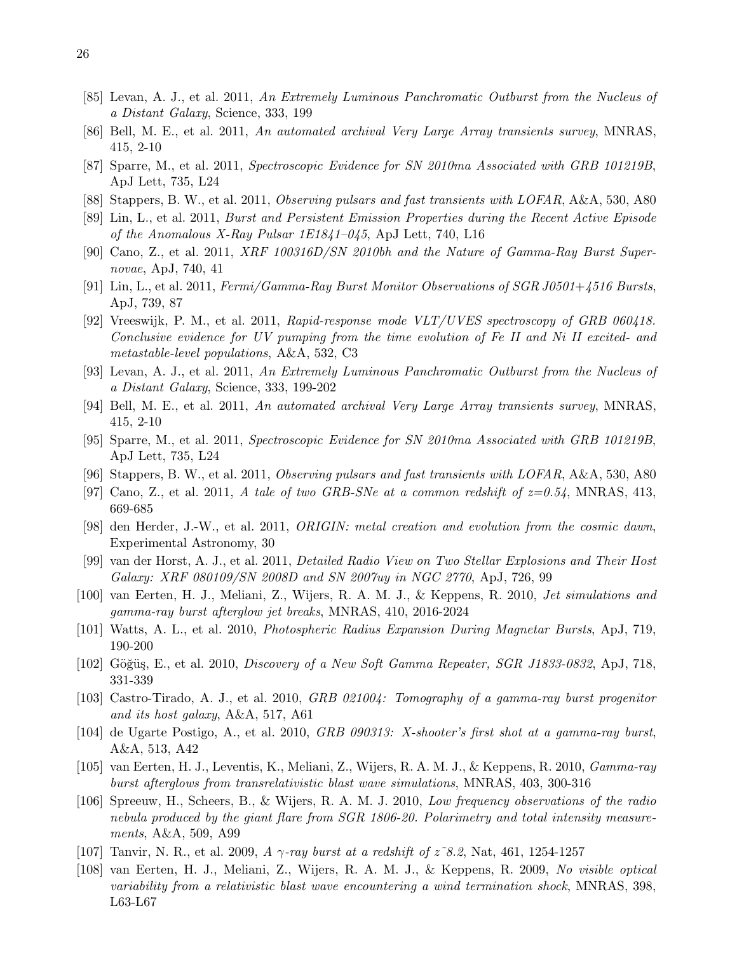- [85] Levan, A. J., et al. 2011, An Extremely Luminous Panchromatic Outburst from the Nucleus of a Distant Galaxy, Science, 333, 199
- [86] Bell, M. E., et al. 2011, An automated archival Very Large Array transients survey, MNRAS, 415, 2-10
- [87] Sparre, M., et al. 2011, Spectroscopic Evidence for SN 2010ma Associated with GRB 101219B, ApJ Lett, 735, L24
- [88] Stappers, B. W., et al. 2011, Observing pulsars and fast transients with LOFAR, A&A, 530, A80
- [89] Lin, L., et al. 2011, Burst and Persistent Emission Properties during the Recent Active Episode of the Anomalous X-Ray Pulsar  $1E1841-045$ , ApJ Lett, 740, L16
- [90] Cano, Z., et al. 2011, XRF 100316D/SN 2010bh and the Nature of Gamma-Ray Burst Supernovae, ApJ, 740, 41
- [91] Lin, L., et al. 2011, Fermi/Gamma-Ray Burst Monitor Observations of SGR J0501+4516 Bursts, ApJ, 739, 87
- [92] Vreeswijk, P. M., et al. 2011, Rapid-response mode  $VLT/UVES$  spectroscopy of GRB 060418. Conclusive evidence for UV pumping from the time evolution of Fe II and Ni II excited- and metastable-level populations, A&A, 532, C3
- [93] Levan, A. J., et al. 2011, An Extremely Luminous Panchromatic Outburst from the Nucleus of a Distant Galaxy, Science, 333, 199-202
- [94] Bell, M. E., et al. 2011, An automated archival Very Large Array transients survey, MNRAS, 415, 2-10
- [95] Sparre, M., et al. 2011, Spectroscopic Evidence for SN 2010ma Associated with GRB 101219B, ApJ Lett, 735, L24
- [96] Stappers, B. W., et al. 2011, Observing pulsars and fast transients with LOFAR, A&A, 530, A80
- [97] Cano, Z., et al. 2011, A tale of two GRB-SNe at a common redshift of  $z=0.54$ , MNRAS, 413, 669-685
- [98] den Herder, J.-W., et al. 2011, ORIGIN: metal creation and evolution from the cosmic dawn, Experimental Astronomy, 30
- [99] van der Horst, A. J., et al. 2011, Detailed Radio View on Two Stellar Explosions and Their Host Galaxy: XRF 080109/SN 2008D and SN 2007uy in NGC 2770, ApJ, 726, 99
- [100] van Eerten, H. J., Meliani, Z., Wijers, R. A. M. J., & Keppens, R. 2010, Jet simulations and gamma-ray burst afterglow jet breaks, MNRAS, 410, 2016-2024
- [101] Watts, A. L., et al. 2010, Photospheric Radius Expansion During Magnetar Bursts, ApJ, 719, 190-200
- [102] Göğüs, E., et al. 2010, *Discovery of a New Soft Gamma Repeater, SGR J1833-0832*, ApJ, 718, 331-339
- [103] Castro-Tirado, A. J., et al. 2010, GRB 021004: Tomography of a gamma-ray burst progenitor and its host galaxy, A&A, 517, A61
- [104] de Ugarte Postigo, A., et al. 2010, GRB 090313: X-shooter's first shot at a gamma-ray burst, A&A, 513, A42
- [105] van Eerten, H. J., Leventis, K., Meliani, Z., Wijers, R. A. M. J., & Keppens, R. 2010, Gamma-ray burst afterglows from transrelativistic blast wave simulations, MNRAS, 403, 300-316
- [106] Spreeuw, H., Scheers, B., & Wijers, R. A. M. J. 2010, Low frequency observations of the radio nebula produced by the giant flare from SGR 1806-20. Polarimetry and total intensity measurements, A&A, 509, A99
- [107] Tanvir, N. R., et al. 2009, A  $\gamma$ -ray burst at a redshift of  $z$  8.2, Nat, 461, 1254-1257
- [108] van Eerten, H. J., Meliani, Z., Wijers, R. A. M. J., & Keppens, R. 2009, No visible optical variability from a relativistic blast wave encountering a wind termination shock, MNRAS, 398, L63-L67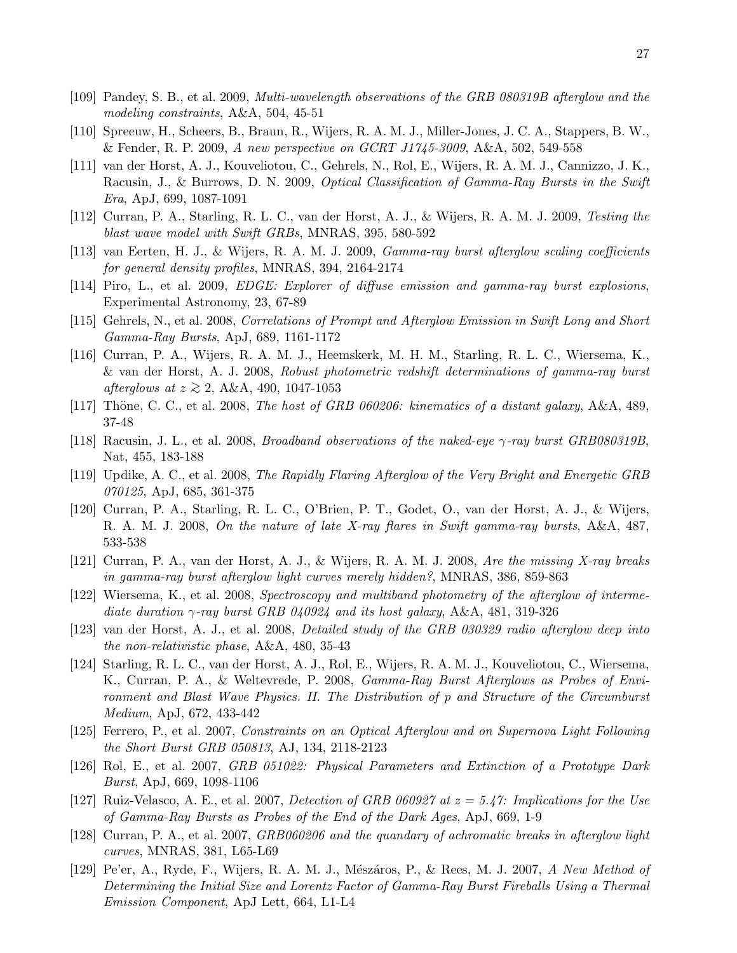- [109] Pandey, S. B., et al. 2009, Multi-wavelength observations of the GRB 080319B afterglow and the modeling constraints, A&A, 504, 45-51
- [110] Spreeuw, H., Scheers, B., Braun, R., Wijers, R. A. M. J., Miller-Jones, J. C. A., Stappers, B. W., & Fender, R. P. 2009, A new perspective on GCRT J1745-3009, A&A, 502, 549-558
- [111] van der Horst, A. J., Kouveliotou, C., Gehrels, N., Rol, E., Wijers, R. A. M. J., Cannizzo, J. K., Racusin, J., & Burrows, D. N. 2009, *Optical Classification of Gamma-Ray Bursts in the Swift* Era, ApJ, 699, 1087-1091
- [112] Curran, P. A., Starling, R. L. C., van der Horst, A. J., & Wijers, R. A. M. J. 2009, Testing the blast wave model with Swift GRBs, MNRAS, 395, 580-592
- [113] van Eerten, H. J., & Wijers, R. A. M. J. 2009, Gamma-ray burst afterglow scaling coefficients for general density profiles, MNRAS, 394, 2164-2174
- [114] Piro, L., et al. 2009, EDGE: Explorer of diffuse emission and gamma-ray burst explosions, Experimental Astronomy, 23, 67-89
- [115] Gehrels, N., et al. 2008, Correlations of Prompt and Afterglow Emission in Swift Long and Short Gamma-Ray Bursts, ApJ, 689, 1161-1172
- [116] Curran, P. A., Wijers, R. A. M. J., Heemskerk, M. H. M., Starling, R. L. C., Wiersema, K., & van der Horst, A. J. 2008, Robust photometric redshift determinations of gamma-ray burst afterglows at  $z \gtrsim 2$ , A&A, 490, 1047-1053
- [117] Thöne, C. C., et al. 2008, The host of GRB 060206: kinematics of a distant galaxy, A&A, 489, 37-48
- [118] Racusin, J. L., et al. 2008, *Broadband observations of the naked-eye*  $\gamma$ -ray burst GRB080319B, Nat, 455, 183-188
- [119] Updike, A. C., et al. 2008, The Rapidly Flaring Afterglow of the Very Bright and Energetic GRB 070125, ApJ, 685, 361-375
- [120] Curran, P. A., Starling, R. L. C., O'Brien, P. T., Godet, O., van der Horst, A. J., & Wijers, R. A. M. J. 2008, On the nature of late X-ray flares in Swift gamma-ray bursts, A&A, 487, 533-538
- [121] Curran, P. A., van der Horst, A. J., & Wijers, R. A. M. J. 2008, Are the missing X-ray breaks in gamma-ray burst afterglow light curves merely hidden?, MNRAS, 386, 859-863
- [122] Wiersema, K., et al. 2008, Spectroscopy and multiband photometry of the afterglow of intermediate duration  $\gamma$ -ray burst GRB 040924 and its host galaxy, A&A, 481, 319-326
- [123] van der Horst, A. J., et al. 2008, Detailed study of the GRB 030329 radio afterglow deep into the non-relativistic phase, A&A, 480, 35-43
- [124] Starling, R. L. C., van der Horst, A. J., Rol, E., Wijers, R. A. M. J., Kouveliotou, C., Wiersema, K., Curran, P. A., & Weltevrede, P. 2008, Gamma-Ray Burst Afterglows as Probes of Environment and Blast Wave Physics. II. The Distribution of p and Structure of the Circumburst Medium, ApJ, 672, 433-442
- [125] Ferrero, P., et al. 2007, Constraints on an Optical Afterglow and on Supernova Light Following the Short Burst GRB 050813, AJ, 134, 2118-2123
- [126] Rol, E., et al. 2007, GRB 051022: Physical Parameters and Extinction of a Prototype Dark Burst, ApJ, 669, 1098-1106
- [127] Ruiz-Velasco, A. E., et al. 2007, Detection of GRB 060927 at  $z = 5.47$ : Implications for the Use of Gamma-Ray Bursts as Probes of the End of the Dark Ages, ApJ, 669, 1-9
- [128] Curran, P. A., et al. 2007, GRB060206 and the quandary of achromatic breaks in afterglow light curves, MNRAS, 381, L65-L69
- [129] Pe'er, A., Ryde, F., Wijers, R. A. M. J., Mészáros, P., & Rees, M. J. 2007, A New Method of Determining the Initial Size and Lorentz Factor of Gamma-Ray Burst Fireballs Using a Thermal Emission Component, ApJ Lett, 664, L1-L4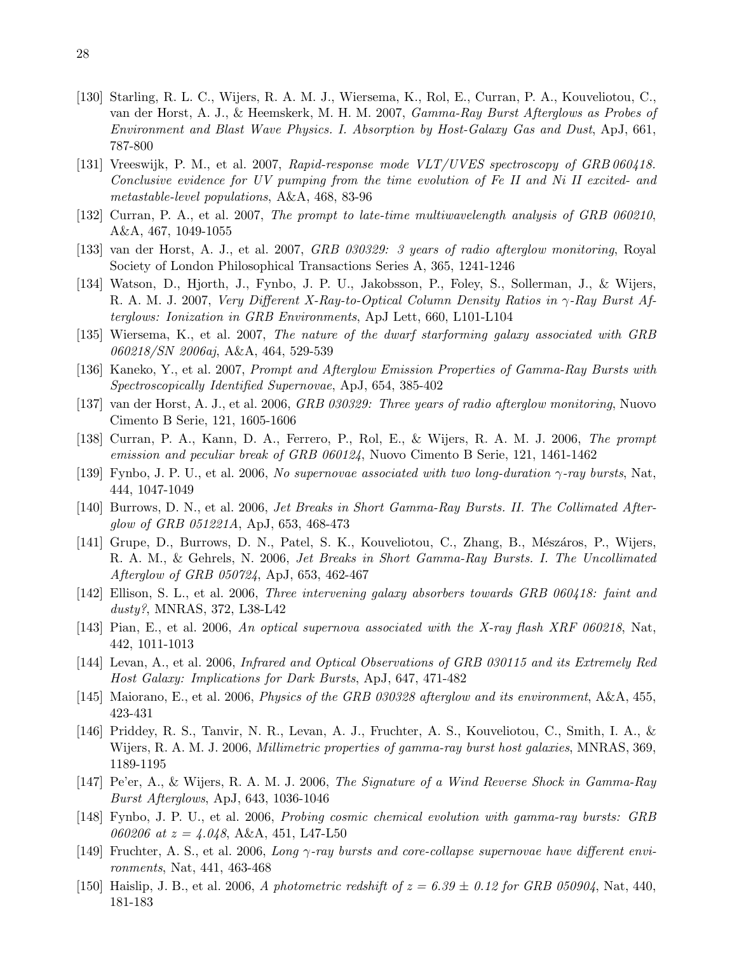- [130] Starling, R. L. C., Wijers, R. A. M. J., Wiersema, K., Rol, E., Curran, P. A., Kouveliotou, C., van der Horst, A. J., & Heemskerk, M. H. M. 2007, Gamma-Ray Burst Afterglows as Probes of Environment and Blast Wave Physics. I. Absorption by Host-Galaxy Gas and Dust, ApJ, 661, 787-800
- [131] Vreeswijk, P. M., et al. 2007, Rapid-response mode VLT/UVES spectroscopy of GRB 060418. Conclusive evidence for UV pumping from the time evolution of Fe II and Ni II excited- and metastable-level populations, A&A, 468, 83-96
- [132] Curran, P. A., et al. 2007, The prompt to late-time multiwavelength analysis of GRB 060210, A&A, 467, 1049-1055
- [133] van der Horst, A. J., et al. 2007, GRB 030329: 3 years of radio afterglow monitoring, Royal Society of London Philosophical Transactions Series A, 365, 1241-1246
- [134] Watson, D., Hjorth, J., Fynbo, J. P. U., Jakobsson, P., Foley, S., Sollerman, J., & Wijers, R. A. M. J. 2007, Very Different X-Ray-to-Optical Column Density Ratios in γ-Ray Burst Afterglows: Ionization in GRB Environments, ApJ Lett, 660, L101-L104
- [135] Wiersema, K., et al. 2007, The nature of the dwarf starforming galaxy associated with GRB 060218/SN 2006aj, A&A, 464, 529-539
- [136] Kaneko, Y., et al. 2007, Prompt and Afterglow Emission Properties of Gamma-Ray Bursts with Spectroscopically Identified Supernovae, ApJ, 654, 385-402
- [137] van der Horst, A. J., et al. 2006, GRB 030329: Three years of radio afterglow monitoring, Nuovo Cimento B Serie, 121, 1605-1606
- [138] Curran, P. A., Kann, D. A., Ferrero, P., Rol, E., & Wijers, R. A. M. J. 2006, The prompt emission and peculiar break of GRB 060124, Nuovo Cimento B Serie, 121, 1461-1462
- [139] Fynbo, J. P. U., et al. 2006, No supernovae associated with two long-duration  $\gamma$ -ray bursts, Nat, 444, 1047-1049
- [140] Burrows, D. N., et al. 2006, Jet Breaks in Short Gamma-Ray Bursts. II. The Collimated Afterglow of GRB 051221A, ApJ, 653, 468-473
- [141] Grupe, D., Burrows, D. N., Patel, S. K., Kouveliotou, C., Zhang, B., Mészáros, P., Wijers, R. A. M., & Gehrels, N. 2006, Jet Breaks in Short Gamma-Ray Bursts. I. The Uncollimated Afterglow of GRB 050724, ApJ, 653, 462-467
- [142] Ellison, S. L., et al. 2006, Three intervening galaxy absorbers towards GRB 060418: faint and dusty?, MNRAS, 372, L38-L42
- [143] Pian, E., et al. 2006, An optical supernova associated with the X-ray flash XRF 060218, Nat, 442, 1011-1013
- [144] Levan, A., et al. 2006, Infrared and Optical Observations of GRB 030115 and its Extremely Red Host Galaxy: Implications for Dark Bursts, ApJ, 647, 471-482
- [145] Maiorano, E., et al. 2006, Physics of the GRB 030328 afterglow and its environment, A&A, 455, 423-431
- [146] Priddey, R. S., Tanvir, N. R., Levan, A. J., Fruchter, A. S., Kouveliotou, C., Smith, I. A., & Wijers, R. A. M. J. 2006, Millimetric properties of gamma-ray burst host galaxies, MNRAS, 369, 1189-1195
- [147] Pe'er, A., & Wijers, R. A. M. J. 2006, The Signature of a Wind Reverse Shock in Gamma-Ray Burst Afterglows, ApJ, 643, 1036-1046
- [148] Fynbo, J. P. U., et al. 2006, Probing cosmic chemical evolution with gamma-ray bursts: GRB 060206 at  $z = 4.048$ , A&A, 451, L47-L50
- [149] Fruchter, A. S., et al. 2006, Long γ-ray bursts and core-collapse supernovae have different environments, Nat, 441, 463-468
- [150] Haislip, J. B., et al. 2006, A photometric redshift of  $z = 6.39 \pm 0.12$  for GRB 050904, Nat, 440, 181-183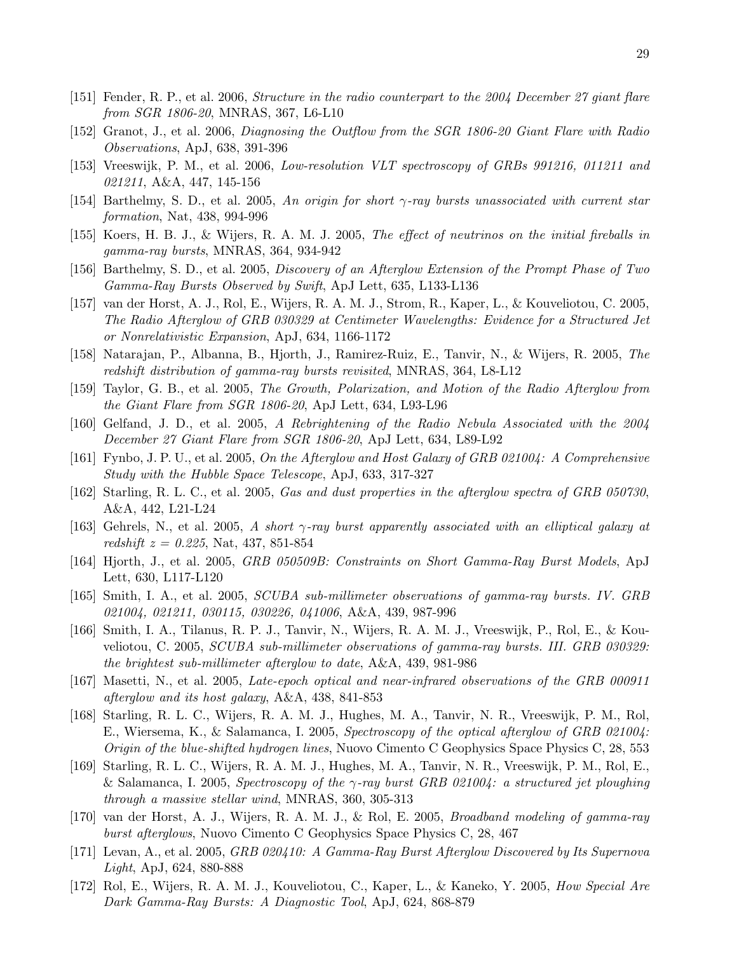- [151] Fender, R. P., et al. 2006, Structure in the radio counterpart to the 2004 December 27 giant flare from SGR 1806-20, MNRAS, 367, L6-L10
- [152] Granot, J., et al. 2006, Diagnosing the Outflow from the SGR 1806-20 Giant Flare with Radio Observations, ApJ, 638, 391-396
- [153] Vreeswijk, P. M., et al. 2006, Low-resolution VLT spectroscopy of GRBs 991216, 011211 and 021211, A&A, 447, 145-156
- [154] Barthelmy, S. D., et al. 2005, An origin for short  $\gamma$ -ray bursts unassociated with current star formation, Nat, 438, 994-996
- [155] Koers, H. B. J., & Wijers, R. A. M. J. 2005, The effect of neutrinos on the initial fireballs in gamma-ray bursts, MNRAS, 364, 934-942
- [156] Barthelmy, S. D., et al. 2005, *Discovery of an Afterglow Extension of the Prompt Phase of Two* Gamma-Ray Bursts Observed by Swift, ApJ Lett, 635, L133-L136
- [157] van der Horst, A. J., Rol, E., Wijers, R. A. M. J., Strom, R., Kaper, L., & Kouveliotou, C. 2005, The Radio Afterglow of GRB 030329 at Centimeter Wavelengths: Evidence for a Structured Jet or Nonrelativistic Expansion, ApJ, 634, 1166-1172
- [158] Natarajan, P., Albanna, B., Hjorth, J., Ramirez-Ruiz, E., Tanvir, N., & Wijers, R. 2005, The redshift distribution of gamma-ray bursts revisited, MNRAS, 364, L8-L12
- [159] Taylor, G. B., et al. 2005, The Growth, Polarization, and Motion of the Radio Afterglow from the Giant Flare from SGR 1806-20, ApJ Lett, 634, L93-L96
- [160] Gelfand, J. D., et al. 2005, A Rebrightening of the Radio Nebula Associated with the 2004 December 27 Giant Flare from SGR 1806-20, ApJ Lett, 634, L89-L92
- [161] Fynbo, J. P. U., et al. 2005, On the Afterglow and Host Galaxy of GRB 021004: A Comprehensive Study with the Hubble Space Telescope, ApJ, 633, 317-327
- [162] Starling, R. L. C., et al. 2005, Gas and dust properties in the afterglow spectra of GRB 050730, A&A, 442, L21-L24
- [163] Gehrels, N., et al. 2005, A short  $\gamma$ -ray burst apparently associated with an elliptical galaxy at redshift  $z = 0.225$ , Nat, 437, 851-854
- [164] Hjorth, J., et al. 2005, *GRB 050509B: Constraints on Short Gamma-Ray Burst Models*, ApJ Lett, 630, L117-L120
- [165] Smith, I. A., et al. 2005, SCUBA sub-millimeter observations of gamma-ray bursts. IV. GRB 021004, 021211, 030115, 030226, 041006, A&A, 439, 987-996
- [166] Smith, I. A., Tilanus, R. P. J., Tanvir, N., Wijers, R. A. M. J., Vreeswijk, P., Rol, E., & Kouveliotou, C. 2005, SCUBA sub-millimeter observations of gamma-ray bursts. III. GRB 030329: the brightest sub-millimeter afterglow to date, A&A, 439, 981-986
- [167] Masetti, N., et al. 2005, Late-epoch optical and near-infrared observations of the GRB 000911 afterglow and its host galaxy, A&A, 438, 841-853
- [168] Starling, R. L. C., Wijers, R. A. M. J., Hughes, M. A., Tanvir, N. R., Vreeswijk, P. M., Rol, E., Wiersema, K., & Salamanca, I. 2005, Spectroscopy of the optical afterglow of GRB 021004: Origin of the blue-shifted hydrogen lines, Nuovo Cimento C Geophysics Space Physics C, 28, 553
- [169] Starling, R. L. C., Wijers, R. A. M. J., Hughes, M. A., Tanvir, N. R., Vreeswijk, P. M., Rol, E., & Salamanca, I. 2005, Spectroscopy of the  $\gamma$ -ray burst GRB 021004: a structured jet ploughing through a massive stellar wind, MNRAS, 360, 305-313
- [170] van der Horst, A. J., Wijers, R. A. M. J., & Rol, E. 2005, Broadband modeling of gamma-ray burst afterglows, Nuovo Cimento C Geophysics Space Physics C, 28, 467
- [171] Levan, A., et al. 2005, GRB 020410: A Gamma-Ray Burst Afterglow Discovered by Its Supernova Light, ApJ, 624, 880-888
- [172] Rol, E., Wijers, R. A. M. J., Kouveliotou, C., Kaper, L., & Kaneko, Y. 2005, How Special Are Dark Gamma-Ray Bursts: A Diagnostic Tool, ApJ, 624, 868-879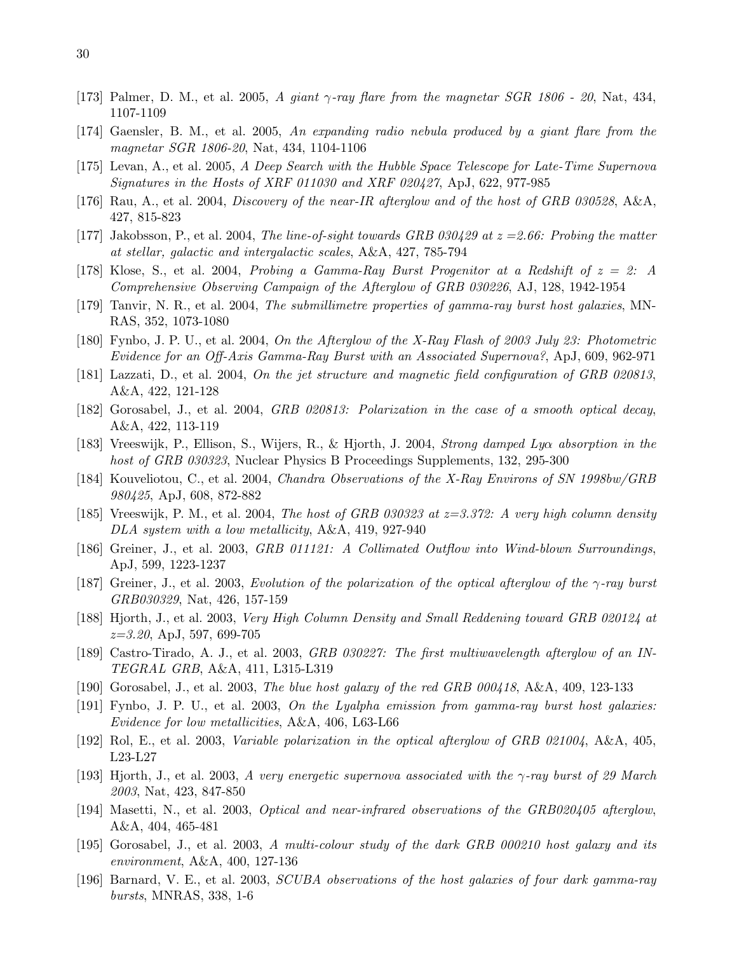- [173] Palmer, D. M., et al. 2005, A giant  $\gamma$ -ray flare from the magnetar SGR 1806 20, Nat, 434, 1107-1109
- [174] Gaensler, B. M., et al. 2005, An expanding radio nebula produced by a giant flare from the magnetar SGR 1806-20, Nat, 434, 1104-1106
- [175] Levan, A., et al. 2005, A Deep Search with the Hubble Space Telescope for Late-Time Supernova Signatures in the Hosts of XRF 011030 and XRF 020427, ApJ, 622, 977-985
- [176] Rau, A., et al. 2004, Discovery of the near-IR afterglow and of the host of GRB 030528, A&A, 427, 815-823
- [177] Jakobsson, P., et al. 2004, The line-of-sight towards GRB 030429 at  $z = 2.66$ : Probing the matter at stellar, galactic and intergalactic scales, A&A, 427, 785-794
- [178] Klose, S., et al. 2004, Probing a Gamma-Ray Burst Progenitor at a Redshift of  $z = 2$ : A Comprehensive Observing Campaign of the Afterglow of GRB 030226, AJ, 128, 1942-1954
- [179] Tanvir, N. R., et al. 2004, The submillimetre properties of gamma-ray burst host galaxies, MN-RAS, 352, 1073-1080
- [180] Fynbo, J. P. U., et al. 2004, On the Afterglow of the X-Ray Flash of 2003 July 23: Photometric Evidence for an Off-Axis Gamma-Ray Burst with an Associated Supernova?, ApJ, 609, 962-971
- [181] Lazzati, D., et al. 2004, On the jet structure and magnetic field configuration of GRB 020813, A&A, 422, 121-128
- [182] Gorosabel, J., et al. 2004, GRB 020813: Polarization in the case of a smooth optical decay, A&A, 422, 113-119
- [183] Vreeswijk, P., Ellison, S., Wijers, R., & Hjorth, J. 2004, Strong damped Lyα absorption in the host of GRB 030323, Nuclear Physics B Proceedings Supplements, 132, 295-300
- [184] Kouveliotou, C., et al. 2004, Chandra Observations of the X-Ray Environs of SN 1998bw/GRB 980425, ApJ, 608, 872-882
- [185] Vreeswijk, P. M., et al. 2004, The host of GRB 030323 at  $z=3.372$ : A very high column density DLA system with a low metallicity, A&A, 419, 927-940
- [186] Greiner, J., et al. 2003, GRB 011121: A Collimated Outflow into Wind-blown Surroundings, ApJ, 599, 1223-1237
- [187] Greiner, J., et al. 2003, Evolution of the polarization of the optical afterglow of the γ-ray burst GRB030329, Nat, 426, 157-159
- [188] Hjorth, J., et al. 2003, Very High Column Density and Small Reddening toward GRB 020124 at  $z=3.20,$  ApJ, 597, 699-705
- [189] Castro-Tirado, A. J., et al. 2003, GRB 030227: The first multiwavelength afterglow of an IN-TEGRAL GRB, A&A, 411, L315-L319
- [190] Gorosabel, J., et al. 2003, The blue host galaxy of the red GRB 000418, A&A, 409, 123-133
- [191] Fynbo, J. P. U., et al. 2003, On the Lyalpha emission from gamma-ray burst host galaxies: Evidence for low metallicities, A&A, 406, L63-L66
- [192] Rol, E., et al. 2003, *Variable polarization in the optical afterglow of GRB 021004*, A&A, 405, L23-L27
- [193] Hjorth, J., et al. 2003, A very energetic supernova associated with the γ-ray burst of 29 March 2003, Nat, 423, 847-850
- [194] Masetti, N., et al. 2003, Optical and near-infrared observations of the GRB020405 afterglow, A&A, 404, 465-481
- [195] Gorosabel, J., et al. 2003, A multi-colour study of the dark GRB 000210 host galaxy and its environment, A&A, 400, 127-136
- [196] Barnard, V. E., et al. 2003, SCUBA observations of the host galaxies of four dark gamma-ray bursts, MNRAS, 338, 1-6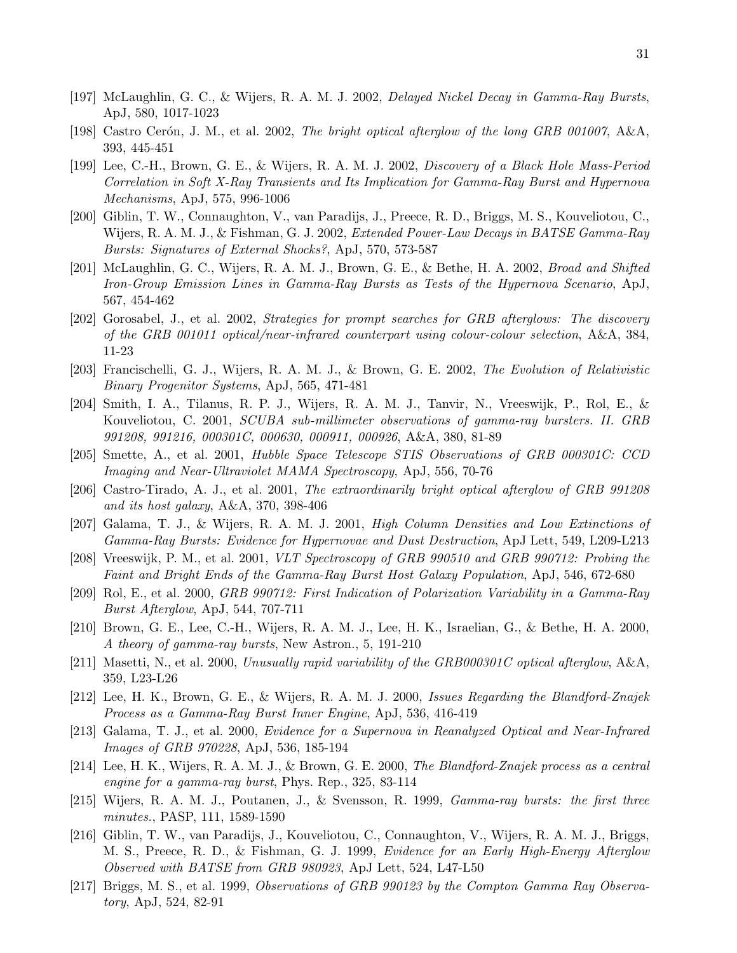- [197] McLaughlin, G. C., & Wijers, R. A. M. J. 2002, Delayed Nickel Decay in Gamma-Ray Bursts, ApJ, 580, 1017-1023
- [198] Castro Cerón, J. M., et al. 2002, The bright optical afterglow of the long GRB 001007, A&A, 393, 445-451
- [199] Lee, C.-H., Brown, G. E., & Wijers, R. A. M. J. 2002, Discovery of a Black Hole Mass-Period Correlation in Soft X-Ray Transients and Its Implication for Gamma-Ray Burst and Hypernova Mechanisms, ApJ, 575, 996-1006
- [200] Giblin, T. W., Connaughton, V., van Paradijs, J., Preece, R. D., Briggs, M. S., Kouveliotou, C., Wijers, R. A. M. J., & Fishman, G. J. 2002, Extended Power-Law Decays in BATSE Gamma-Ray Bursts: Signatures of External Shocks?, ApJ, 570, 573-587
- [201] McLaughlin, G. C., Wijers, R. A. M. J., Brown, G. E., & Bethe, H. A. 2002, Broad and Shifted Iron-Group Emission Lines in Gamma-Ray Bursts as Tests of the Hypernova Scenario, ApJ, 567, 454-462
- [202] Gorosabel, J., et al. 2002, Strategies for prompt searches for GRB afterglows: The discovery of the GRB 001011 optical/near-infrared counterpart using colour-colour selection, A&A, 384, 11-23
- [203] Francischelli, G. J., Wijers, R. A. M. J., & Brown, G. E. 2002, The Evolution of Relativistic Binary Progenitor Systems, ApJ, 565, 471-481
- [204] Smith, I. A., Tilanus, R. P. J., Wijers, R. A. M. J., Tanvir, N., Vreeswijk, P., Rol, E., & Kouveliotou, C. 2001, SCUBA sub-millimeter observations of gamma-ray bursters. II. GRB 991208, 991216, 000301C, 000630, 000911, 000926, A&A, 380, 81-89
- [205] Smette, A., et al. 2001, Hubble Space Telescope STIS Observations of GRB 000301C: CCD Imaging and Near-Ultraviolet MAMA Spectroscopy, ApJ, 556, 70-76
- [206] Castro-Tirado, A. J., et al. 2001, The extraordinarily bright optical afterglow of GRB 991208 and its host galaxy, A&A, 370, 398-406
- [207] Galama, T. J., & Wijers, R. A. M. J. 2001, High Column Densities and Low Extinctions of Gamma-Ray Bursts: Evidence for Hypernovae and Dust Destruction, ApJ Lett, 549, L209-L213
- [208] Vreeswijk, P. M., et al. 2001, VLT Spectroscopy of GRB 990510 and GRB 990712: Probing the Faint and Bright Ends of the Gamma-Ray Burst Host Galaxy Population, ApJ, 546, 672-680
- [209] Rol, E., et al. 2000, GRB 990712: First Indication of Polarization Variability in a Gamma-Ray Burst Afterglow, ApJ, 544, 707-711
- [210] Brown, G. E., Lee, C.-H., Wijers, R. A. M. J., Lee, H. K., Israelian, G., & Bethe, H. A. 2000, A theory of gamma-ray bursts, New Astron., 5, 191-210
- [211] Masetti, N., et al. 2000, Unusually rapid variability of the GRB000301C optical afterglow, A&A, 359, L23-L26
- [212] Lee, H. K., Brown, G. E., & Wijers, R. A. M. J. 2000, Issues Regarding the Blandford-Znajek Process as a Gamma-Ray Burst Inner Engine, ApJ, 536, 416-419
- [213] Galama, T. J., et al. 2000, Evidence for a Supernova in Reanalyzed Optical and Near-Infrared Images of GRB 970228, ApJ, 536, 185-194
- [214] Lee, H. K., Wijers, R. A. M. J., & Brown, G. E. 2000, The Blandford-Znajek process as a central engine for a gamma-ray burst, Phys. Rep., 325, 83-114
- [215] Wijers, R. A. M. J., Poutanen, J., & Svensson, R. 1999, Gamma-ray bursts: the first three minutes., PASP, 111, 1589-1590
- [216] Giblin, T. W., van Paradijs, J., Kouveliotou, C., Connaughton, V., Wijers, R. A. M. J., Briggs, M. S., Preece, R. D., & Fishman, G. J. 1999, Evidence for an Early High-Energy Afterglow Observed with BATSE from GRB 980923, ApJ Lett, 524, L47-L50
- [217] Briggs, M. S., et al. 1999, Observations of GRB 990123 by the Compton Gamma Ray Observatory, ApJ, 524, 82-91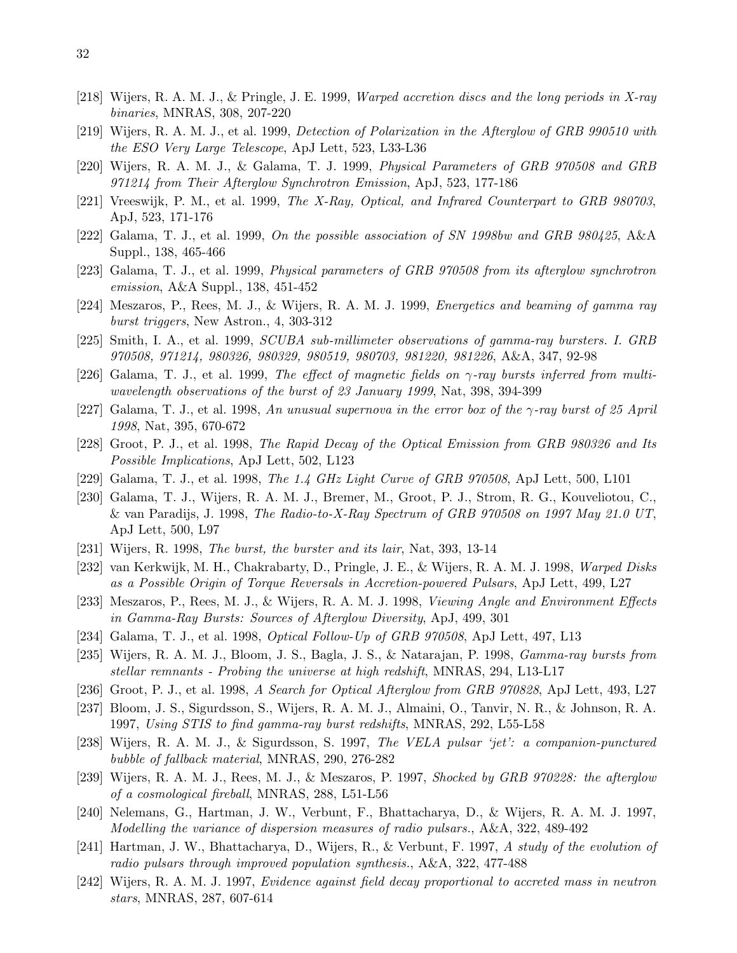- [218] Wijers, R. A. M. J., & Pringle, J. E. 1999, Warped accretion discs and the long periods in X-ray binaries, MNRAS, 308, 207-220
- [219] Wijers, R. A. M. J., et al. 1999, Detection of Polarization in the Afterglow of GRB 990510 with the ESO Very Large Telescope, ApJ Lett, 523, L33-L36
- [220] Wijers, R. A. M. J., & Galama, T. J. 1999, Physical Parameters of GRB 970508 and GRB 971214 from Their Afterglow Synchrotron Emission, ApJ, 523, 177-186
- [221] Vreeswijk, P. M., et al. 1999, The X-Ray, Optical, and Infrared Counterpart to GRB 980703, ApJ, 523, 171-176
- [222] Galama, T. J., et al. 1999, On the possible association of SN 1998bw and GRB 980425, A&A Suppl., 138, 465-466
- [223] Galama, T. J., et al. 1999, Physical parameters of GRB 970508 from its afterglow synchrotron emission, A&A Suppl., 138, 451-452
- [224] Meszaros, P., Rees, M. J., & Wijers, R. A. M. J. 1999, Energetics and beaming of gamma ray burst triggers, New Astron., 4, 303-312
- [225] Smith, I. A., et al. 1999, SCUBA sub-millimeter observations of gamma-ray bursters. I. GRB 970508, 971214, 980326, 980329, 980519, 980703, 981220, 981226, A&A, 347, 92-98
- [226] Galama, T. J., et al. 1999, The effect of magnetic fields on  $\gamma$ -ray bursts inferred from multiwavelength observations of the burst of 23 January 1999, Nat, 398, 394-399
- [227] Galama, T. J., et al. 1998, An unusual supernova in the error box of the  $\gamma$ -ray burst of 25 April 1998, Nat, 395, 670-672
- [228] Groot, P. J., et al. 1998, The Rapid Decay of the Optical Emission from GRB 980326 and Its Possible Implications, ApJ Lett, 502, L123
- [229] Galama, T. J., et al. 1998, The 1.4 GHz Light Curve of GRB 970508, ApJ Lett, 500, L101
- [230] Galama, T. J., Wijers, R. A. M. J., Bremer, M., Groot, P. J., Strom, R. G., Kouveliotou, C., & van Paradijs, J. 1998, The Radio-to-X-Ray Spectrum of GRB 970508 on 1997 May 21.0 UT, ApJ Lett, 500, L97
- [231] Wijers, R. 1998, The burst, the burster and its lair, Nat, 393, 13-14
- [232] van Kerkwijk, M. H., Chakrabarty, D., Pringle, J. E., & Wijers, R. A. M. J. 1998, Warped Disks as a Possible Origin of Torque Reversals in Accretion-powered Pulsars, ApJ Lett, 499, L27
- [233] Meszaros, P., Rees, M. J., & Wijers, R. A. M. J. 1998, Viewing Angle and Environment Effects in Gamma-Ray Bursts: Sources of Afterglow Diversity, ApJ, 499, 301
- [234] Galama, T. J., et al. 1998, Optical Follow-Up of GRB 970508, ApJ Lett, 497, L13
- [235] Wijers, R. A. M. J., Bloom, J. S., Bagla, J. S., & Natarajan, P. 1998, Gamma-ray bursts from stellar remnants - Probing the universe at high redshift, MNRAS, 294, L13-L17
- [236] Groot, P. J., et al. 1998, A Search for Optical Afterglow from GRB 970828, ApJ Lett, 493, L27
- [237] Bloom, J. S., Sigurdsson, S., Wijers, R. A. M. J., Almaini, O., Tanvir, N. R., & Johnson, R. A. 1997, Using STIS to find gamma-ray burst redshifts, MNRAS, 292, L55-L58
- [238] Wijers, R. A. M. J., & Sigurdsson, S. 1997, The VELA pulsar 'jet': a companion-punctured bubble of fallback material, MNRAS, 290, 276-282
- [239] Wijers, R. A. M. J., Rees, M. J., & Meszaros, P. 1997, Shocked by GRB 970228: the afterglow of a cosmological fireball, MNRAS, 288, L51-L56
- [240] Nelemans, G., Hartman, J. W., Verbunt, F., Bhattacharya, D., & Wijers, R. A. M. J. 1997, Modelling the variance of dispersion measures of radio pulsars., A&A, 322, 489-492
- [241] Hartman, J. W., Bhattacharya, D., Wijers, R., & Verbunt, F. 1997, A study of the evolution of radio pulsars through improved population synthesis., A&A, 322, 477-488
- [242] Wijers, R. A. M. J. 1997, Evidence against field decay proportional to accreted mass in neutron stars, MNRAS, 287, 607-614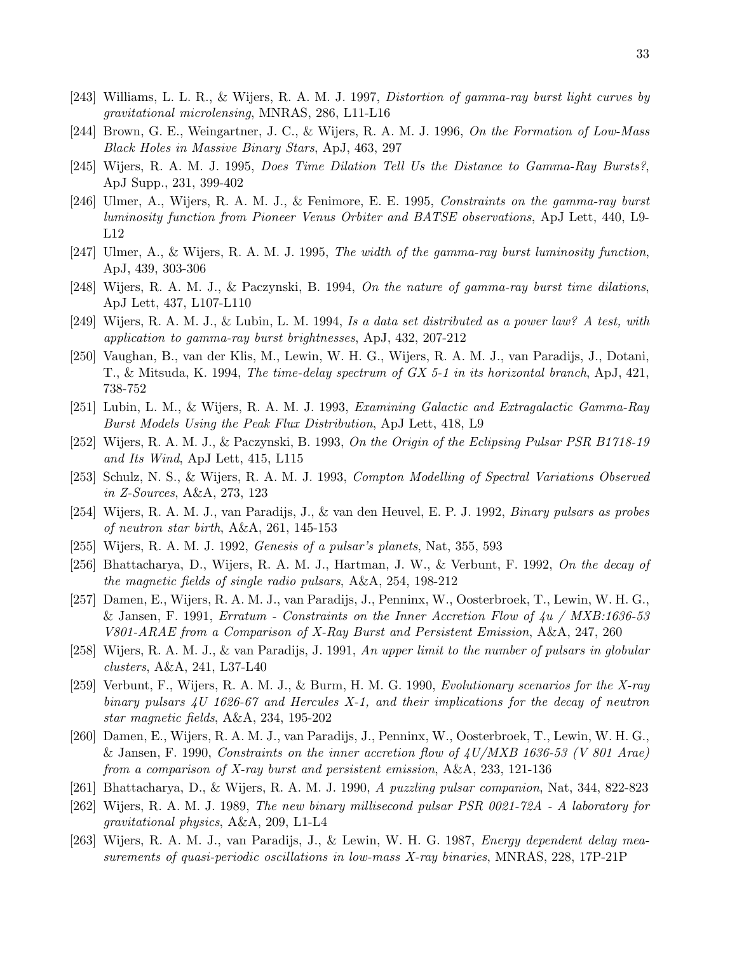- [243] Williams, L. L. R., & Wijers, R. A. M. J. 1997, Distortion of gamma-ray burst light curves by gravitational microlensing, MNRAS, 286, L11-L16
- [244] Brown, G. E., Weingartner, J. C., & Wijers, R. A. M. J. 1996, On the Formation of Low-Mass Black Holes in Massive Binary Stars, ApJ, 463, 297
- [245] Wijers, R. A. M. J. 1995, Does Time Dilation Tell Us the Distance to Gamma-Ray Bursts?, ApJ Supp., 231, 399-402
- [246] Ulmer, A., Wijers, R. A. M. J., & Fenimore, E. E. 1995, Constraints on the gamma-ray burst luminosity function from Pioneer Venus Orbiter and BATSE observations, ApJ Lett, 440, L9- L12
- [247] Ulmer, A., & Wijers, R. A. M. J. 1995, The width of the gamma-ray burst luminosity function, ApJ, 439, 303-306
- [248] Wijers, R. A. M. J., & Paczynski, B. 1994, On the nature of gamma-ray burst time dilations, ApJ Lett, 437, L107-L110
- [249] Wijers, R. A. M. J., & Lubin, L. M. 1994, Is a data set distributed as a power law? A test, with application to gamma-ray burst brightnesses, ApJ, 432, 207-212
- [250] Vaughan, B., van der Klis, M., Lewin, W. H. G., Wijers, R. A. M. J., van Paradijs, J., Dotani, T., & Mitsuda, K. 1994, The time-delay spectrum of GX 5-1 in its horizontal branch, ApJ, 421, 738-752
- [251] Lubin, L. M., & Wijers, R. A. M. J. 1993, Examining Galactic and Extragalactic Gamma-Ray Burst Models Using the Peak Flux Distribution, ApJ Lett, 418, L9
- [252] Wijers, R. A. M. J., & Paczynski, B. 1993, On the Origin of the Eclipsing Pulsar PSR B1718-19 and Its Wind, ApJ Lett, 415, L115
- [253] Schulz, N. S., & Wijers, R. A. M. J. 1993, Compton Modelling of Spectral Variations Observed in Z-Sources, A&A, 273, 123
- [254] Wijers, R. A. M. J., van Paradijs, J., & van den Heuvel, E. P. J. 1992, Binary pulsars as probes of neutron star birth, A&A, 261, 145-153
- [255] Wijers, R. A. M. J. 1992, Genesis of a pulsar's planets, Nat, 355, 593
- [256] Bhattacharya, D., Wijers, R. A. M. J., Hartman, J. W., & Verbunt, F. 1992, On the decay of the magnetic fields of single radio pulsars, A&A, 254, 198-212
- [257] Damen, E., Wijers, R. A. M. J., van Paradijs, J., Penninx, W., Oosterbroek, T., Lewin, W. H. G., & Jansen, F. 1991, Erratum - Constraints on the Inner Accretion Flow of  $4u / MXB:1636-53$ V801-ARAE from a Comparison of X-Ray Burst and Persistent Emission, A&A, 247, 260
- [258] Wijers, R. A. M. J., & van Paradijs, J. 1991, An upper limit to the number of pulsars in globular clusters, A&A, 241, L37-L40
- [259] Verbunt, F., Wijers, R. A. M. J., & Burm, H. M. G. 1990, *Evolutionary scenarios for the X-ray* binary pulsars 4U 1626-67 and Hercules X-1, and their implications for the decay of neutron star magnetic fields, A&A, 234, 195-202
- [260] Damen, E., Wijers, R. A. M. J., van Paradijs, J., Penninx, W., Oosterbroek, T., Lewin, W. H. G., & Jansen, F. 1990, Constraints on the inner accretion flow of  $4U/MXB$  1636-53 (V 801 Arae) from a comparison of X-ray burst and persistent emission, A&A, 233, 121-136
- [261] Bhattacharya, D., & Wijers, R. A. M. J. 1990, A puzzling pulsar companion, Nat, 344, 822-823
- [262] Wijers, R. A. M. J. 1989, The new binary millisecond pulsar PSR 0021-72A A laboratory for gravitational physics, A&A, 209, L1-L4
- [263] Wijers, R. A. M. J., van Paradijs, J., & Lewin, W. H. G. 1987, Energy dependent delay measurements of quasi-periodic oscillations in low-mass X-ray binaries, MNRAS, 228, 17P-21P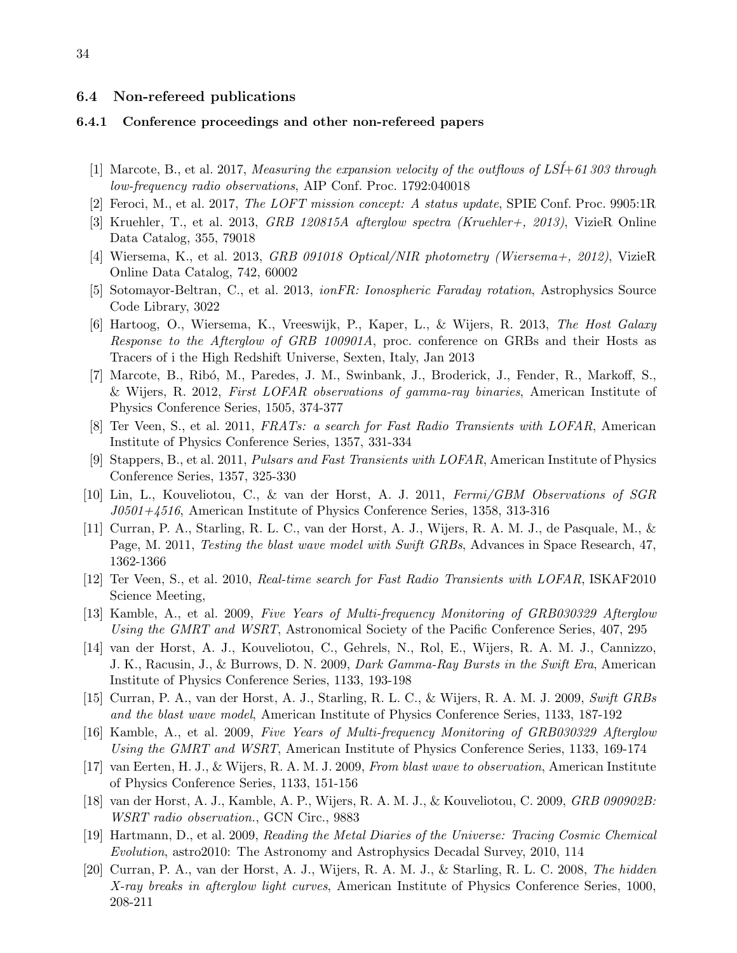### <span id="page-33-0"></span>6.4 Non-refereed publications

## 6.4.1 Conference proceedings and other non-refereed papers

- [1] Marcote, B., et al. 2017, Measuring the expansion velocity of the outflows of  $LSI+61303$  through low-frequency radio observations, AIP Conf. Proc. 1792:040018
- [2] Feroci, M., et al. 2017, The LOFT mission concept: A status update, SPIE Conf. Proc. 9905:1R
- [3] Kruehler, T., et al. 2013, GRB 120815A afterglow spectra (Kruehler+, 2013), VizieR Online Data Catalog, 355, 79018
- [4] Wiersema, K., et al. 2013, GRB 091018 Optical/NIR photometry (Wiersema+, 2012), VizieR Online Data Catalog, 742, 60002
- [5] Sotomayor-Beltran, C., et al. 2013, ionFR: Ionospheric Faraday rotation, Astrophysics Source Code Library, 3022
- [6] Hartoog, O., Wiersema, K., Vreeswijk, P., Kaper, L., & Wijers, R. 2013, The Host Galaxy Response to the Afterglow of GRB 100901A, proc. conference on GRBs and their Hosts as Tracers of i the High Redshift Universe, Sexten, Italy, Jan 2013
- [7] Marcote, B., Ribó, M., Paredes, J. M., Swinbank, J., Broderick, J., Fender, R., Markoff, S., & Wijers, R. 2012, First LOFAR observations of gamma-ray binaries, American Institute of Physics Conference Series, 1505, 374-377
- [8] Ter Veen, S., et al. 2011, FRATs: a search for Fast Radio Transients with LOFAR, American Institute of Physics Conference Series, 1357, 331-334
- [9] Stappers, B., et al. 2011, Pulsars and Fast Transients with LOFAR, American Institute of Physics Conference Series, 1357, 325-330
- [10] Lin, L., Kouveliotou, C., & van der Horst, A. J. 2011, Fermi/GBM Observations of SGR J0501+4516, American Institute of Physics Conference Series, 1358, 313-316
- [11] Curran, P. A., Starling, R. L. C., van der Horst, A. J., Wijers, R. A. M. J., de Pasquale, M., & Page, M. 2011, *Testing the blast wave model with Swift GRBs*, Advances in Space Research, 47, 1362-1366
- [12] Ter Veen, S., et al. 2010, Real-time search for Fast Radio Transients with LOFAR, ISKAF2010 Science Meeting,
- [13] Kamble, A., et al. 2009, Five Years of Multi-frequency Monitoring of GRB030329 Afterglow Using the GMRT and WSRT, Astronomical Society of the Pacific Conference Series, 407, 295
- [14] van der Horst, A. J., Kouveliotou, C., Gehrels, N., Rol, E., Wijers, R. A. M. J., Cannizzo, J. K., Racusin, J., & Burrows, D. N. 2009, Dark Gamma-Ray Bursts in the Swift Era, American Institute of Physics Conference Series, 1133, 193-198
- [15] Curran, P. A., van der Horst, A. J., Starling, R. L. C., & Wijers, R. A. M. J. 2009, Swift GRBs and the blast wave model, American Institute of Physics Conference Series, 1133, 187-192
- [16] Kamble, A., et al. 2009, Five Years of Multi-frequency Monitoring of GRB030329 Afterglow Using the GMRT and WSRT, American Institute of Physics Conference Series, 1133, 169-174
- [17] van Eerten, H. J., & Wijers, R. A. M. J. 2009, From blast wave to observation, American Institute of Physics Conference Series, 1133, 151-156
- [18] van der Horst, A. J., Kamble, A. P., Wijers, R. A. M. J., & Kouveliotou, C. 2009, GRB 090902B: WSRT radio observation., GCN Circ., 9883
- [19] Hartmann, D., et al. 2009, Reading the Metal Diaries of the Universe: Tracing Cosmic Chemical Evolution, astro2010: The Astronomy and Astrophysics Decadal Survey, 2010, 114
- [20] Curran, P. A., van der Horst, A. J., Wijers, R. A. M. J., & Starling, R. L. C. 2008, The hidden X-ray breaks in afterglow light curves, American Institute of Physics Conference Series, 1000, 208-211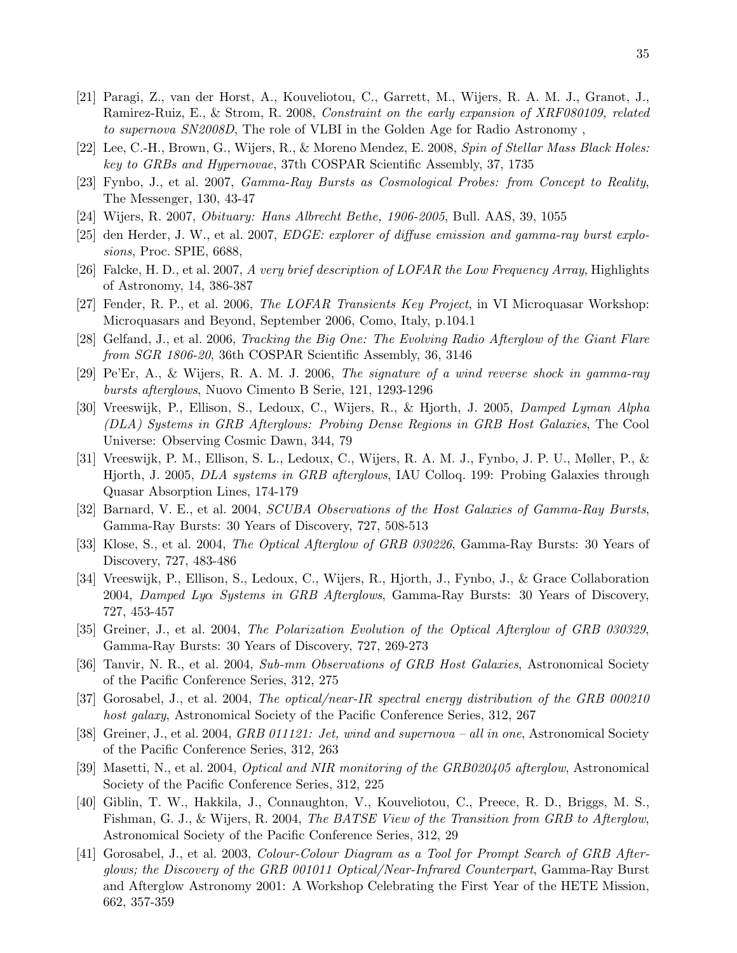- [21] Paragi, Z., van der Horst, A., Kouveliotou, C., Garrett, M., Wijers, R. A. M. J., Granot, J., Ramirez-Ruiz, E., & Strom, R. 2008, Constraint on the early expansion of XRF080109, related to supernova SN2008D, The role of VLBI in the Golden Age for Radio Astronomy ,
- [22] Lee, C.-H., Brown, G., Wijers, R., & Moreno Mendez, E. 2008, Spin of Stellar Mass Black Holes: key to GRBs and Hypernovae, 37th COSPAR Scientific Assembly, 37, 1735
- [23] Fynbo, J., et al. 2007, Gamma-Ray Bursts as Cosmological Probes: from Concept to Reality, The Messenger, 130, 43-47
- [24] Wijers, R. 2007, Obituary: Hans Albrecht Bethe, 1906-2005, Bull. AAS, 39, 1055
- [25] den Herder, J. W., et al. 2007, EDGE: explorer of diffuse emission and gamma-ray burst explosions, Proc. SPIE, 6688,
- [26] Falcke, H. D., et al. 2007, A very brief description of LOFAR the Low Frequency Array, Highlights of Astronomy, 14, 386-387
- [27] Fender, R. P., et al. 2006, *The LOFAR Transients Key Project*, in VI Microquasar Workshop: Microquasars and Beyond, September 2006, Como, Italy, p.104.1
- [28] Gelfand, J., et al. 2006, Tracking the Big One: The Evolving Radio Afterglow of the Giant Flare from SGR 1806-20, 36th COSPAR Scientific Assembly, 36, 3146
- [29] Pe'Er, A., & Wijers, R. A. M. J. 2006, The signature of a wind reverse shock in gamma-ray bursts afterglows, Nuovo Cimento B Serie, 121, 1293-1296
- [30] Vreeswijk, P., Ellison, S., Ledoux, C., Wijers, R., & Hjorth, J. 2005, Damped Lyman Alpha (DLA) Systems in GRB Afterglows: Probing Dense Regions in GRB Host Galaxies, The Cool Universe: Observing Cosmic Dawn, 344, 79
- [31] Vreeswijk, P. M., Ellison, S. L., Ledoux, C., Wijers, R. A. M. J., Fynbo, J. P. U., Møller, P., & Hjorth, J. 2005, DLA systems in GRB afterglows, IAU Colloq. 199: Probing Galaxies through Quasar Absorption Lines, 174-179
- [32] Barnard, V. E., et al. 2004, *SCUBA Observations of the Host Galaxies of Gamma-Ray Bursts*, Gamma-Ray Bursts: 30 Years of Discovery, 727, 508-513
- [33] Klose, S., et al. 2004, *The Optical Afterglow of GRB 030226*, Gamma-Ray Bursts: 30 Years of Discovery, 727, 483-486
- [34] Vreeswijk, P., Ellison, S., Ledoux, C., Wijers, R., Hjorth, J., Fynbo, J., & Grace Collaboration 2004, Damped Lya Systems in GRB Afterglows, Gamma-Ray Bursts: 30 Years of Discovery, 727, 453-457
- [35] Greiner, J., et al. 2004, The Polarization Evolution of the Optical Afterglow of GRB 030329, Gamma-Ray Bursts: 30 Years of Discovery, 727, 269-273
- [36] Tanvir, N. R., et al. 2004, Sub-mm Observations of GRB Host Galaxies, Astronomical Society of the Pacific Conference Series, 312, 275
- [37] Gorosabel, J., et al. 2004, The optical/near-IR spectral energy distribution of the GRB 000210 host galaxy, Astronomical Society of the Pacific Conference Series, 312, 267
- [38] Greiner, J., et al. 2004, GRB 011121: Jet, wind and supernova all in one, Astronomical Society of the Pacific Conference Series, 312, 263
- [39] Masetti, N., et al. 2004, Optical and NIR monitoring of the GRB020405 afterglow, Astronomical Society of the Pacific Conference Series, 312, 225
- [40] Giblin, T. W., Hakkila, J., Connaughton, V., Kouveliotou, C., Preece, R. D., Briggs, M. S., Fishman, G. J., & Wijers, R. 2004, The BATSE View of the Transition from GRB to Afterglow, Astronomical Society of the Pacific Conference Series, 312, 29
- [41] Gorosabel, J., et al. 2003, Colour-Colour Diagram as a Tool for Prompt Search of GRB Afterglows; the Discovery of the GRB 001011 Optical/Near-Infrared Counterpart, Gamma-Ray Burst and Afterglow Astronomy 2001: A Workshop Celebrating the First Year of the HETE Mission, 662, 357-359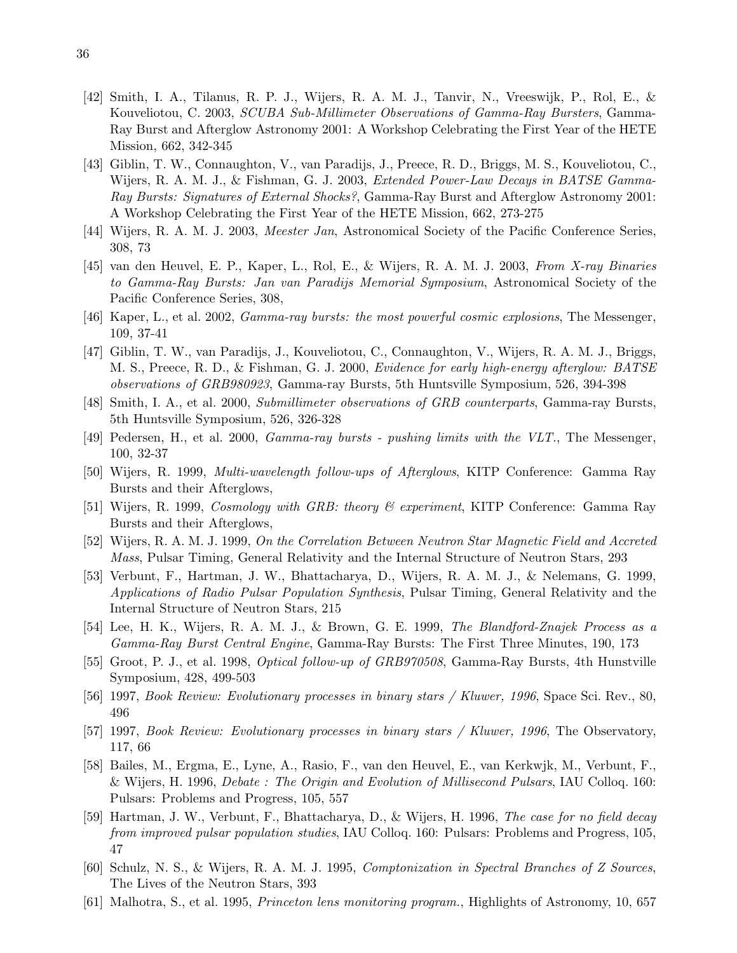- [42] Smith, I. A., Tilanus, R. P. J., Wijers, R. A. M. J., Tanvir, N., Vreeswijk, P., Rol, E., & Kouveliotou, C. 2003, SCUBA Sub-Millimeter Observations of Gamma-Ray Bursters, Gamma-Ray Burst and Afterglow Astronomy 2001: A Workshop Celebrating the First Year of the HETE Mission, 662, 342-345
- [43] Giblin, T. W., Connaughton, V., van Paradijs, J., Preece, R. D., Briggs, M. S., Kouveliotou, C., Wijers, R. A. M. J., & Fishman, G. J. 2003, *Extended Power-Law Decays in BATSE Gamma*-Ray Bursts: Signatures of External Shocks?, Gamma-Ray Burst and Afterglow Astronomy 2001: A Workshop Celebrating the First Year of the HETE Mission, 662, 273-275
- [44] Wijers, R. A. M. J. 2003, *Meester Jan*, Astronomical Society of the Pacific Conference Series, 308, 73
- [45] van den Heuvel, E. P., Kaper, L., Rol, E., & Wijers, R. A. M. J. 2003, From X-ray Binaries to Gamma-Ray Bursts: Jan van Paradijs Memorial Symposium, Astronomical Society of the Pacific Conference Series, 308,
- [46] Kaper, L., et al. 2002, Gamma-ray bursts: the most powerful cosmic explosions, The Messenger, 109, 37-41
- [47] Giblin, T. W., van Paradijs, J., Kouveliotou, C., Connaughton, V., Wijers, R. A. M. J., Briggs, M. S., Preece, R. D., & Fishman, G. J. 2000, Evidence for early high-energy afterglow: BATSE observations of GRB980923, Gamma-ray Bursts, 5th Huntsville Symposium, 526, 394-398
- [48] Smith, I. A., et al. 2000, Submillimeter observations of GRB counterparts, Gamma-ray Bursts, 5th Huntsville Symposium, 526, 326-328
- [49] Pedersen, H., et al. 2000, Gamma-ray bursts pushing limits with the VLT., The Messenger, 100, 32-37
- [50] Wijers, R. 1999, Multi-wavelength follow-ups of Afterglows, KITP Conference: Gamma Ray Bursts and their Afterglows,
- [51] Wijers, R. 1999, Cosmology with GRB: theory & experiment, KITP Conference: Gamma Ray Bursts and their Afterglows,
- [52] Wijers, R. A. M. J. 1999, On the Correlation Between Neutron Star Magnetic Field and Accreted Mass, Pulsar Timing, General Relativity and the Internal Structure of Neutron Stars, 293
- [53] Verbunt, F., Hartman, J. W., Bhattacharya, D., Wijers, R. A. M. J., & Nelemans, G. 1999, Applications of Radio Pulsar Population Synthesis, Pulsar Timing, General Relativity and the Internal Structure of Neutron Stars, 215
- [54] Lee, H. K., Wijers, R. A. M. J., & Brown, G. E. 1999, The Blandford-Znajek Process as a Gamma-Ray Burst Central Engine, Gamma-Ray Bursts: The First Three Minutes, 190, 173
- [55] Groot, P. J., et al. 1998, Optical follow-up of GRB970508, Gamma-Ray Bursts, 4th Hunstville Symposium, 428, 499-503
- [56] 1997, Book Review: Evolutionary processes in binary stars / Kluwer, 1996, Space Sci. Rev., 80, 496
- [57] 1997, Book Review: Evolutionary processes in binary stars / Kluwer, 1996, The Observatory, 117, 66
- [58] Bailes, M., Ergma, E., Lyne, A., Rasio, F., van den Heuvel, E., van Kerkwjk, M., Verbunt, F., & Wijers, H. 1996, Debate : The Origin and Evolution of Millisecond Pulsars, IAU Colloq. 160: Pulsars: Problems and Progress, 105, 557
- [59] Hartman, J. W., Verbunt, F., Bhattacharya, D., & Wijers, H. 1996, The case for no field decay from improved pulsar population studies, IAU Colloq. 160: Pulsars: Problems and Progress, 105, 47
- [60] Schulz, N. S., & Wijers, R. A. M. J. 1995, Comptonization in Spectral Branches of Z Sources, The Lives of the Neutron Stars, 393
- [61] Malhotra, S., et al. 1995, Princeton lens monitoring program., Highlights of Astronomy, 10, 657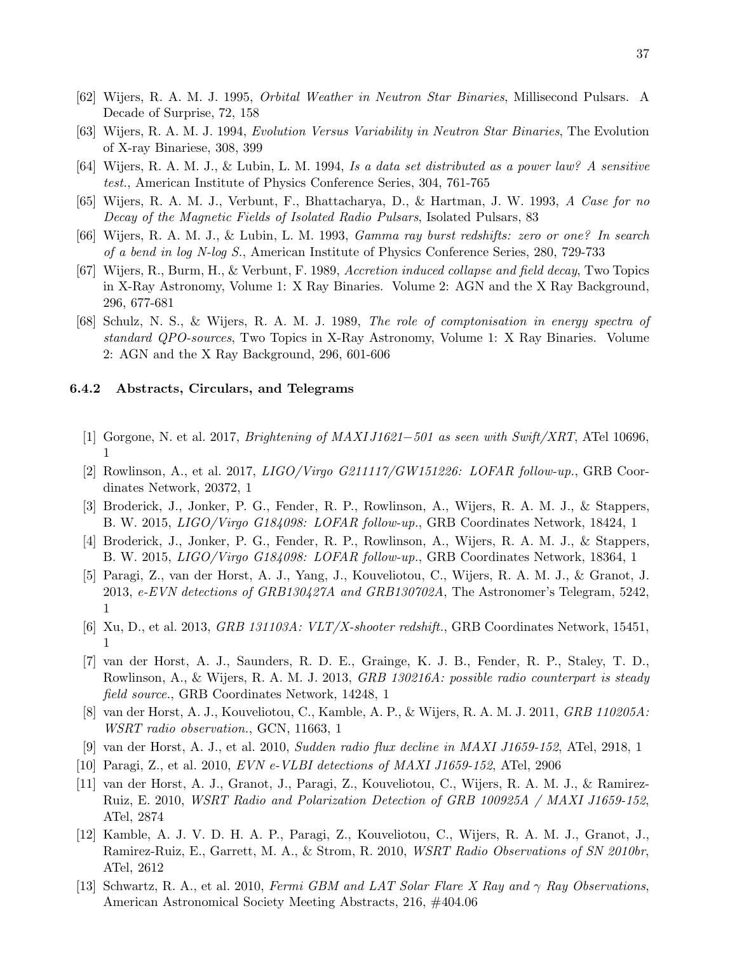- [62] Wijers, R. A. M. J. 1995, Orbital Weather in Neutron Star Binaries, Millisecond Pulsars. A Decade of Surprise, 72, 158
- [63] Wijers, R. A. M. J. 1994, Evolution Versus Variability in Neutron Star Binaries, The Evolution of X-ray Binariese, 308, 399
- [64] Wijers, R. A. M. J., & Lubin, L. M. 1994, Is a data set distributed as a power law? A sensitive test., American Institute of Physics Conference Series, 304, 761-765
- [65] Wijers, R. A. M. J., Verbunt, F., Bhattacharya, D., & Hartman, J. W. 1993, A Case for no Decay of the Magnetic Fields of Isolated Radio Pulsars, Isolated Pulsars, 83
- [66] Wijers, R. A. M. J., & Lubin, L. M. 1993, Gamma ray burst redshifts: zero or one? In search of a bend in log N-log S., American Institute of Physics Conference Series, 280, 729-733
- [67] Wijers, R., Burm, H., & Verbunt, F. 1989, Accretion induced collapse and field decay, Two Topics in X-Ray Astronomy, Volume 1: X Ray Binaries. Volume 2: AGN and the X Ray Background, 296, 677-681
- [68] Schulz, N. S., & Wijers, R. A. M. J. 1989, The role of comptonisation in energy spectra of standard QPO-sources, Two Topics in X-Ray Astronomy, Volume 1: X Ray Binaries. Volume 2: AGN and the X Ray Background, 296, 601-606

#### 6.4.2 Abstracts, Circulars, and Telegrams

- [1] Gorgone, N. et al. 2017, Brightening of MAXI J1621−501 as seen with Swift/XRT, ATel 10696, 1
- [2] Rowlinson, A., et al. 2017,  $LIGO/Virgo\ G211117/GW151226$ :  $LOFAR\ follow-up$ ., GRB Coordinates Network, 20372, 1
- [3] Broderick, J., Jonker, P. G., Fender, R. P., Rowlinson, A., Wijers, R. A. M. J., & Stappers, B. W. 2015, LIGO/Virgo G184098: LOFAR follow-up., GRB Coordinates Network, 18424, 1
- [4] Broderick, J., Jonker, P. G., Fender, R. P., Rowlinson, A., Wijers, R. A. M. J., & Stappers, B. W. 2015, LIGO/Virgo G184098: LOFAR follow-up., GRB Coordinates Network, 18364, 1
- [5] Paragi, Z., van der Horst, A. J., Yang, J., Kouveliotou, C., Wijers, R. A. M. J., & Granot, J. 2013, e-EVN detections of GRB130427A and GRB130702A, The Astronomer's Telegram, 5242, 1
- [6] Xu, D., et al. 2013, *GRB 131103A: VLT/X-shooter redshift.*, GRB Coordinates Network, 15451, 1
- [7] van der Horst, A. J., Saunders, R. D. E., Grainge, K. J. B., Fender, R. P., Staley, T. D., Rowlinson, A., & Wijers, R. A. M. J. 2013, GRB 130216A: possible radio counterpart is steady field source., GRB Coordinates Network, 14248, 1
- [8] van der Horst, A. J., Kouveliotou, C., Kamble, A. P., & Wijers, R. A. M. J. 2011, GRB 110205A: WSRT radio observation., GCN, 11663, 1
- [9] van der Horst, A. J., et al. 2010, Sudden radio flux decline in MAXI J1659-152, ATel, 2918, 1
- [10] Paragi, Z., et al. 2010, EVN e-VLBI detections of MAXI J1659-152, ATel, 2906
- [11] van der Horst, A. J., Granot, J., Paragi, Z., Kouveliotou, C., Wijers, R. A. M. J., & Ramirez-Ruiz, E. 2010, WSRT Radio and Polarization Detection of GRB 100925A / MAXI J1659-152, ATel, 2874
- [12] Kamble, A. J. V. D. H. A. P., Paragi, Z., Kouveliotou, C., Wijers, R. A. M. J., Granot, J., Ramirez-Ruiz, E., Garrett, M. A., & Strom, R. 2010, WSRT Radio Observations of SN 2010br, ATel, 2612
- [13] Schwartz, R. A., et al. 2010, Fermi GBM and LAT Solar Flare X Ray and  $\gamma$  Ray Observations, American Astronomical Society Meeting Abstracts, 216, #404.06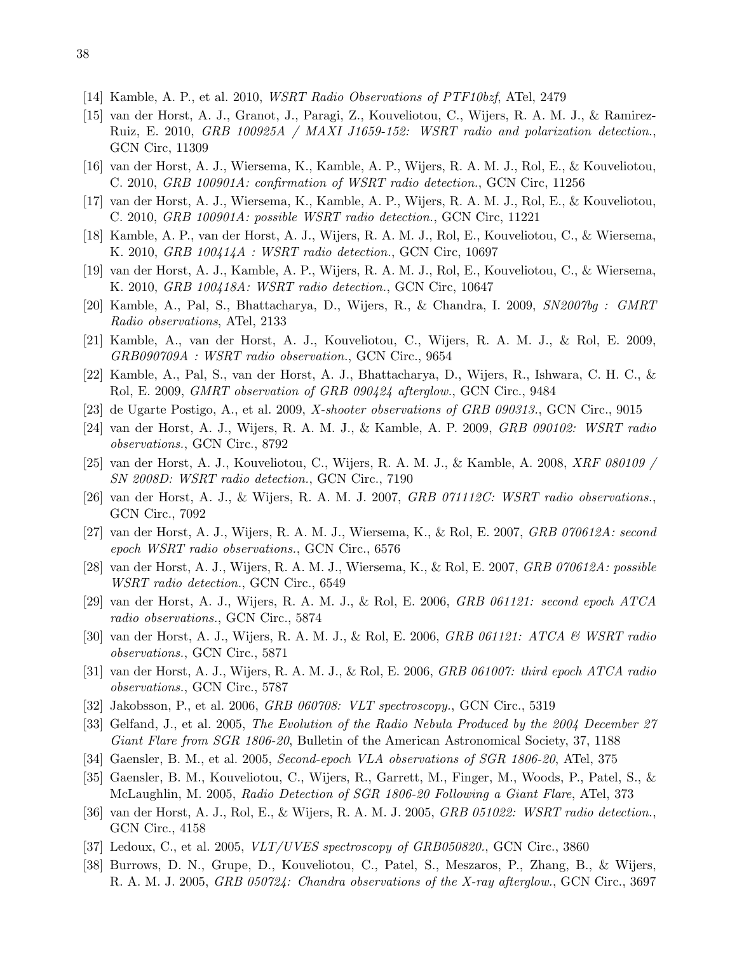- [14] Kamble, A. P., et al. 2010, WSRT Radio Observations of PTF10bzf, ATel, 2479
- [15] van der Horst, A. J., Granot, J., Paragi, Z., Kouveliotou, C., Wijers, R. A. M. J., & Ramirez-Ruiz, E. 2010, GRB 100925A / MAXI J1659-152: WSRT radio and polarization detection., GCN Circ, 11309
- [16] van der Horst, A. J., Wiersema, K., Kamble, A. P., Wijers, R. A. M. J., Rol, E., & Kouveliotou, C. 2010, GRB 100901A: confirmation of WSRT radio detection., GCN Circ, 11256
- [17] van der Horst, A. J., Wiersema, K., Kamble, A. P., Wijers, R. A. M. J., Rol, E., & Kouveliotou, C. 2010, GRB 100901A: possible WSRT radio detection., GCN Circ, 11221
- [18] Kamble, A. P., van der Horst, A. J., Wijers, R. A. M. J., Rol, E., Kouveliotou, C., & Wiersema, K. 2010, GRB 100414A : WSRT radio detection., GCN Circ, 10697
- [19] van der Horst, A. J., Kamble, A. P., Wijers, R. A. M. J., Rol, E., Kouveliotou, C., & Wiersema, K. 2010, GRB 100418A: WSRT radio detection., GCN Circ, 10647
- [20] Kamble, A., Pal, S., Bhattacharya, D., Wijers, R., & Chandra, I. 2009, SN2007bg : GMRT Radio observations, ATel, 2133
- [21] Kamble, A., van der Horst, A. J., Kouveliotou, C., Wijers, R. A. M. J., & Rol, E. 2009, GRB090709A : WSRT radio observation., GCN Circ., 9654
- [22] Kamble, A., Pal, S., van der Horst, A. J., Bhattacharya, D., Wijers, R., Ishwara, C. H. C., & Rol, E. 2009, GMRT observation of GRB 090424 afterglow., GCN Circ., 9484
- [23] de Ugarte Postigo, A., et al. 2009, X-shooter observations of GRB 090313., GCN Circ., 9015
- [24] van der Horst, A. J., Wijers, R. A. M. J., & Kamble, A. P. 2009, GRB 090102: WSRT radio observations., GCN Circ., 8792
- [25] van der Horst, A. J., Kouveliotou, C., Wijers, R. A. M. J., & Kamble, A. 2008, XRF 080109 / SN 2008D: WSRT radio detection., GCN Circ., 7190
- [26] van der Horst, A. J., & Wijers, R. A. M. J. 2007, GRB 071112C: WSRT radio observations., GCN Circ., 7092
- [27] van der Horst, A. J., Wijers, R. A. M. J., Wiersema, K., & Rol, E. 2007, GRB 070612A: second epoch WSRT radio observations., GCN Circ., 6576
- [28] van der Horst, A. J., Wijers, R. A. M. J., Wiersema, K., & Rol, E. 2007, GRB 070612A: possible WSRT radio detection., GCN Circ., 6549
- [29] van der Horst, A. J., Wijers, R. A. M. J., & Rol, E. 2006, GRB 061121: second epoch ATCA radio observations., GCN Circ., 5874
- [30] van der Horst, A. J., Wijers, R. A. M. J., & Rol, E. 2006, GRB 061121: ATCA & WSRT radio observations., GCN Circ., 5871
- [31] van der Horst, A. J., Wijers, R. A. M. J., & Rol, E. 2006, GRB 061007: third epoch ATCA radio observations., GCN Circ., 5787
- [32] Jakobsson, P., et al. 2006, GRB 060708: VLT spectroscopy., GCN Circ., 5319
- [33] Gelfand, J., et al. 2005, The Evolution of the Radio Nebula Produced by the 2004 December 27 Giant Flare from SGR 1806-20, Bulletin of the American Astronomical Society, 37, 1188
- [34] Gaensler, B. M., et al. 2005, Second-epoch VLA observations of SGR 1806-20, ATel, 375
- [35] Gaensler, B. M., Kouveliotou, C., Wijers, R., Garrett, M., Finger, M., Woods, P., Patel, S., & McLaughlin, M. 2005, Radio Detection of SGR 1806-20 Following a Giant Flare, ATel, 373
- [36] van der Horst, A. J., Rol, E., & Wijers, R. A. M. J. 2005, GRB 051022: WSRT radio detection., GCN Circ., 4158
- [37] Ledoux, C., et al. 2005,  $VLT/UVES$  spectroscopy of  $GRB050820$ ., GCN Circ., 3860
- [38] Burrows, D. N., Grupe, D., Kouveliotou, C., Patel, S., Meszaros, P., Zhang, B., & Wijers, R. A. M. J. 2005, GRB 050724: Chandra observations of the X-ray afterglow., GCN Circ., 3697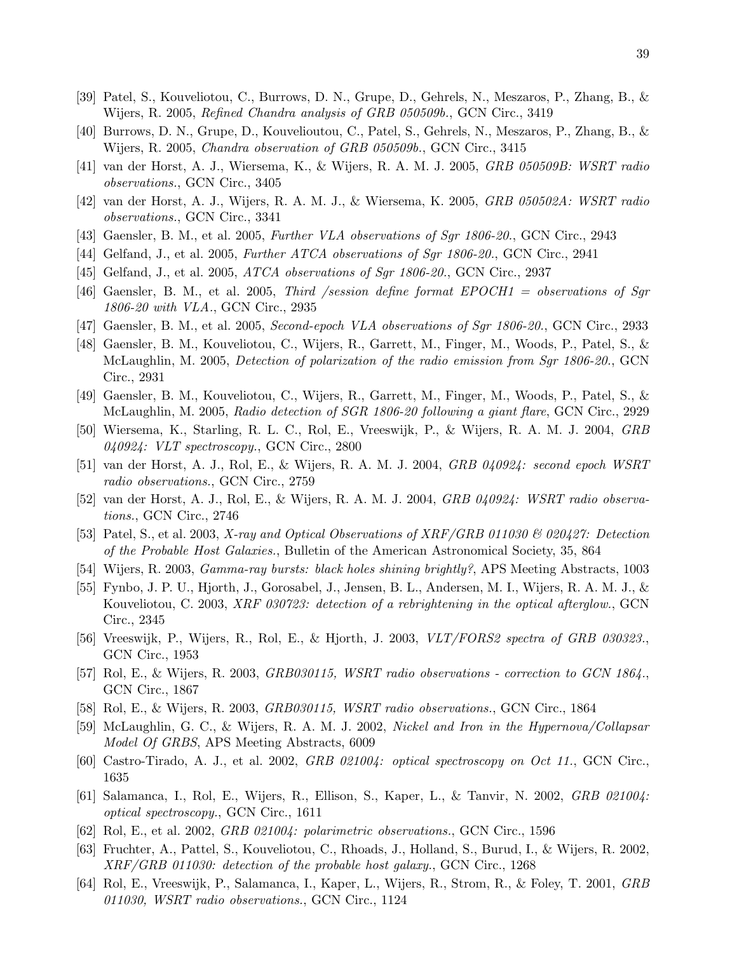- [39] Patel, S., Kouveliotou, C., Burrows, D. N., Grupe, D., Gehrels, N., Meszaros, P., Zhang, B., & Wijers, R. 2005, Refined Chandra analysis of GRB 050509b., GCN Circ., 3419
- [40] Burrows, D. N., Grupe, D., Kouvelioutou, C., Patel, S., Gehrels, N., Meszaros, P., Zhang, B., & Wijers, R. 2005, Chandra observation of GRB 050509b., GCN Circ., 3415
- [41] van der Horst, A. J., Wiersema, K., & Wijers, R. A. M. J. 2005, GRB 050509B: WSRT radio observations., GCN Circ., 3405
- [42] van der Horst, A. J., Wijers, R. A. M. J., & Wiersema, K. 2005, GRB 050502A: WSRT radio observations., GCN Circ., 3341
- [43] Gaensler, B. M., et al. 2005, Further VLA observations of Sgr 1806-20., GCN Circ., 2943
- [44] Gelfand, J., et al. 2005, Further ATCA observations of Sgr 1806-20., GCN Circ., 2941
- [45] Gelfand, J., et al. 2005, *ATCA observations of Sqr 1806-20.*, GCN Circ., 2937
- [46] Gaensler, B. M., et al. 2005, Third /session define format EPOCH1 = observations of Sgr 1806-20 with VLA., GCN Circ., 2935
- [47] Gaensler, B. M., et al. 2005, Second-epoch VLA observations of Sgr 1806-20., GCN Circ., 2933
- [48] Gaensler, B. M., Kouveliotou, C., Wijers, R., Garrett, M., Finger, M., Woods, P., Patel, S., & McLaughlin, M. 2005, Detection of polarization of the radio emission from Sgr 1806-20., GCN Circ., 2931
- [49] Gaensler, B. M., Kouveliotou, C., Wijers, R., Garrett, M., Finger, M., Woods, P., Patel, S., & McLaughlin, M. 2005, Radio detection of SGR 1806-20 following a giant flare, GCN Circ., 2929
- [50] Wiersema, K., Starling, R. L. C., Rol, E., Vreeswijk, P., & Wijers, R. A. M. J. 2004, GRB  $040924$ : VLT spectroscopy., GCN Circ., 2800
- [51] van der Horst, A. J., Rol, E., & Wijers, R. A. M. J. 2004, GRB 040924: second epoch WSRT radio observations., GCN Circ., 2759
- [52] van der Horst, A. J., Rol, E., & Wijers, R. A. M. J. 2004, GRB 040924: WSRT radio observations., GCN Circ., 2746
- [53] Patel, S., et al. 2003, X-ray and Optical Observations of XRF/GRB 011030 & 020427: Detection of the Probable Host Galaxies., Bulletin of the American Astronomical Society, 35, 864
- [54] Wijers, R. 2003, Gamma-ray bursts: black holes shining brightly?, APS Meeting Abstracts, 1003
- [55] Fynbo, J. P. U., Hjorth, J., Gorosabel, J., Jensen, B. L., Andersen, M. I., Wijers, R. A. M. J., & Kouveliotou, C. 2003, XRF 030723: detection of a rebrightening in the optical afterglow., GCN Circ., 2345
- [56] Vreeswijk, P., Wijers, R., Rol, E., & Hjorth, J. 2003, VLT/FORS2 spectra of GRB 030323., GCN Circ., 1953
- [57] Rol, E., & Wijers, R. 2003, GRB030115, WSRT radio observations correction to GCN 1864., GCN Circ., 1867
- [58] Rol, E., & Wijers, R. 2003, GRB030115, WSRT radio observations., GCN Circ., 1864
- [59] McLaughlin, G. C., & Wijers, R. A. M. J. 2002, Nickel and Iron in the Hypernova/Collapsar Model Of GRBS, APS Meeting Abstracts, 6009
- [60] Castro-Tirado, A. J., et al. 2002, GRB 021004: optical spectroscopy on Oct 11., GCN Circ., 1635
- [61] Salamanca, I., Rol, E., Wijers, R., Ellison, S., Kaper, L., & Tanvir, N. 2002, GRB 021004: optical spectroscopy., GCN Circ., 1611
- [62] Rol, E., et al. 2002, GRB 021004: polarimetric observations., GCN Circ., 1596
- [63] Fruchter, A., Pattel, S., Kouveliotou, C., Rhoads, J., Holland, S., Burud, I., & Wijers, R. 2002, XRF/GRB 011030: detection of the probable host galaxy., GCN Circ., 1268
- [64] Rol, E., Vreeswijk, P., Salamanca, I., Kaper, L., Wijers, R., Strom, R., & Foley, T. 2001, GRB 011030, WSRT radio observations., GCN Circ., 1124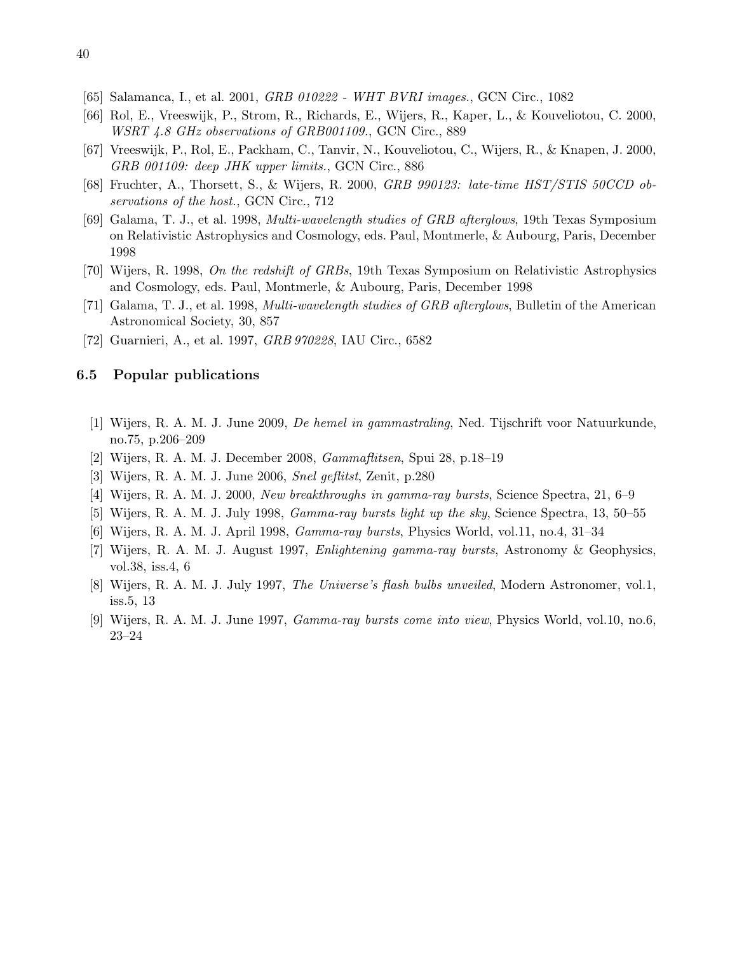- [65] Salamanca, I., et al. 2001, GRB 010222 WHT BVRI images., GCN Circ., 1082
- [66] Rol, E., Vreeswijk, P., Strom, R., Richards, E., Wijers, R., Kaper, L., & Kouveliotou, C. 2000, WSRT 4.8 GHz observations of GRB001109., GCN Circ., 889
- [67] Vreeswijk, P., Rol, E., Packham, C., Tanvir, N., Kouveliotou, C., Wijers, R., & Knapen, J. 2000, GRB 001109: deep JHK upper limits., GCN Circ., 886
- [68] Fruchter, A., Thorsett, S., & Wijers, R. 2000, GRB 990123: late-time HST/STIS 50CCD observations of the host., GCN Circ., 712
- [69] Galama, T. J., et al. 1998, Multi-wavelength studies of GRB afterglows, 19th Texas Symposium on Relativistic Astrophysics and Cosmology, eds. Paul, Montmerle, & Aubourg, Paris, December 1998
- [70] Wijers, R. 1998, On the redshift of GRBs, 19th Texas Symposium on Relativistic Astrophysics and Cosmology, eds. Paul, Montmerle, & Aubourg, Paris, December 1998
- [71] Galama, T. J., et al. 1998, Multi-wavelength studies of GRB afterglows, Bulletin of the American Astronomical Society, 30, 857
- [72] Guarnieri, A., et al. 1997, GRB 970228, IAU Circ., 6582

#### <span id="page-39-0"></span>6.5 Popular publications

- [1] Wijers, R. A. M. J. June 2009, De hemel in gammastraling, Ned. Tijschrift voor Natuurkunde, no.75, p.206–209
- [2] Wijers, R. A. M. J. December 2008, Gammaflitsen, Spui 28, p.18–19
- [3] Wijers, R. A. M. J. June 2006, Snel geflitst, Zenit, p.280
- [4] Wijers, R. A. M. J. 2000, New breakthroughs in gamma-ray bursts, Science Spectra, 21, 6–9
- [5] Wijers, R. A. M. J. July 1998, Gamma-ray bursts light up the sky, Science Spectra, 13, 50–55
- [6] Wijers, R. A. M. J. April 1998, Gamma-ray bursts, Physics World, vol.11, no.4, 31–34
- [7] Wijers, R. A. M. J. August 1997, Enlightening gamma-ray bursts, Astronomy & Geophysics, vol.38, iss.4, 6
- [8] Wijers, R. A. M. J. July 1997, The Universe's flash bulbs unveiled, Modern Astronomer, vol.1, iss.5, 13
- [9] Wijers, R. A. M. J. June 1997, Gamma-ray bursts come into view, Physics World, vol.10, no.6, 23–24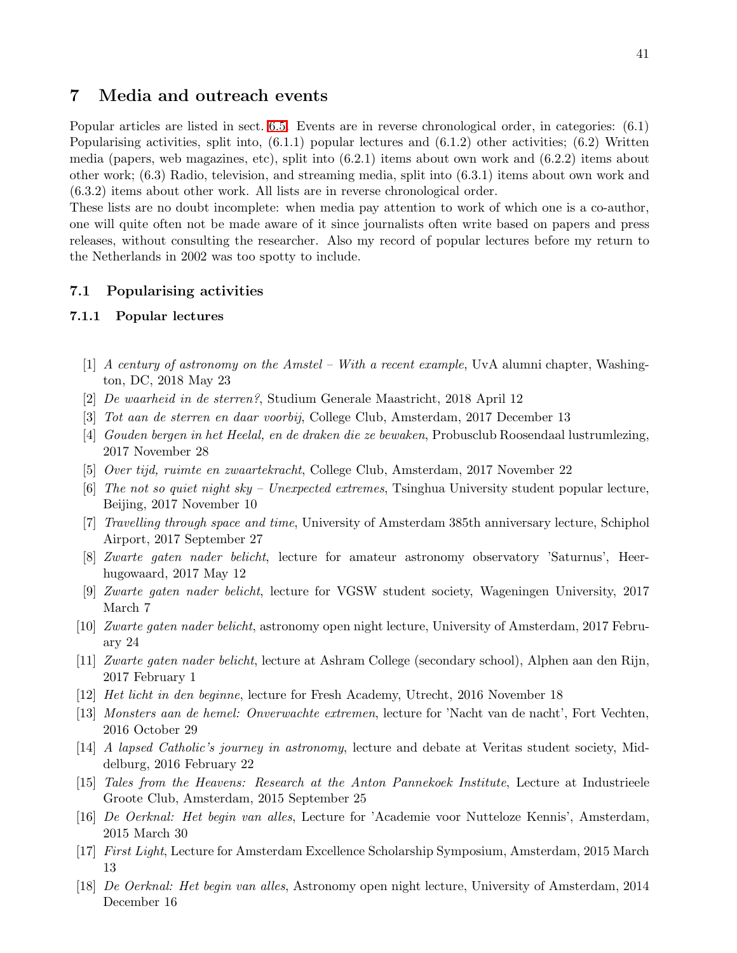## <span id="page-40-0"></span>7 Media and outreach events

Popular articles are listed in sect. [6.5.](#page-39-0) Events are in reverse chronological order, in categories: (6.1) Popularising activities, split into, (6.1.1) popular lectures and (6.1.2) other activities; (6.2) Written media (papers, web magazines, etc), split into (6.2.1) items about own work and (6.2.2) items about other work; (6.3) Radio, television, and streaming media, split into (6.3.1) items about own work and (6.3.2) items about other work. All lists are in reverse chronological order.

These lists are no doubt incomplete: when media pay attention to work of which one is a co-author, one will quite often not be made aware of it since journalists often write based on papers and press releases, without consulting the researcher. Also my record of popular lectures before my return to the Netherlands in 2002 was too spotty to include.

## <span id="page-40-1"></span>7.1 Popularising activities

### 7.1.1 Popular lectures

- [1] A century of astronomy on the Amstel With a recent example, UvA alumni chapter, Washington, DC, 2018 May 23
- [2] De waarheid in de sterren?, Studium Generale Maastricht, 2018 April 12
- [3] Tot aan de sterren en daar voorbij, College Club, Amsterdam, 2017 December 13
- [4] Gouden bergen in het Heelal, en de draken die ze bewaken, Probusclub Roosendaal lustrumlezing, 2017 November 28
- [5] Over tijd, ruimte en zwaartekracht, College Club, Amsterdam, 2017 November 22
- [6] The not so quiet night sky Unexpected extremes, Tsinghua University student popular lecture, Beijing, 2017 November 10
- [7] Travelling through space and time, University of Amsterdam 385th anniversary lecture, Schiphol Airport, 2017 September 27
- [8] Zwarte gaten nader belicht, lecture for amateur astronomy observatory 'Saturnus', Heerhugowaard, 2017 May 12
- [9] Zwarte gaten nader belicht, lecture for VGSW student society, Wageningen University, 2017 March 7
- [10] Zwarte gaten nader belicht, astronomy open night lecture, University of Amsterdam, 2017 February 24
- [11] Zwarte gaten nader belicht, lecture at Ashram College (secondary school), Alphen aan den Rijn, 2017 February 1
- [12] Het licht in den beginne, lecture for Fresh Academy, Utrecht, 2016 November 18
- [13] Monsters aan de hemel: Onverwachte extremen, lecture for 'Nacht van de nacht', Fort Vechten, 2016 October 29
- [14] A lapsed Catholic's journey in astronomy, lecture and debate at Veritas student society, Middelburg, 2016 February 22
- [15] Tales from the Heavens: Research at the Anton Pannekoek Institute, Lecture at Industrieele Groote Club, Amsterdam, 2015 September 25
- [16] De Oerknal: Het begin van alles, Lecture for 'Academie voor Nutteloze Kennis', Amsterdam, 2015 March 30
- [17] First Light, Lecture for Amsterdam Excellence Scholarship Symposium, Amsterdam, 2015 March 13
- [18] De Oerknal: Het begin van alles, Astronomy open night lecture, University of Amsterdam, 2014 December 16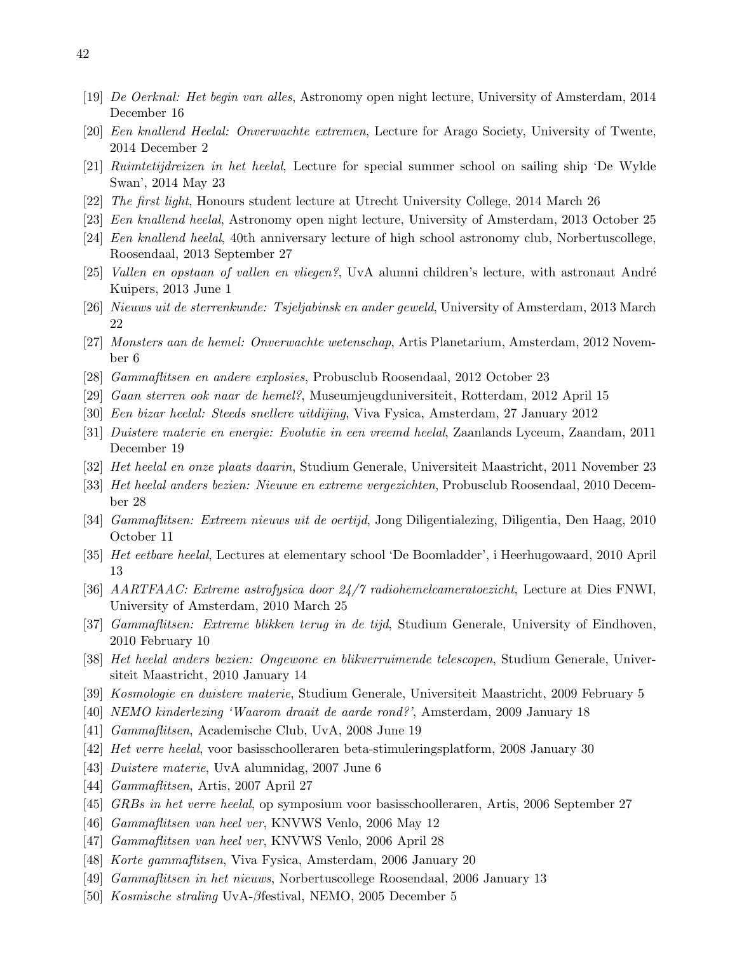- [19] De Oerknal: Het begin van alles, Astronomy open night lecture, University of Amsterdam, 2014 December 16
- [20] Een knallend Heelal: Onverwachte extremen, Lecture for Arago Society, University of Twente, 2014 December 2
- [21] Ruimtetijdreizen in het heelal, Lecture for special summer school on sailing ship 'De Wylde Swan', 2014 May 23
- [22] The first light, Honours student lecture at Utrecht University College, 2014 March 26
- [23] Een knallend heelal, Astronomy open night lecture, University of Amsterdam, 2013 October 25
- [24] Een knallend heelal, 40th anniversary lecture of high school astronomy club, Norbertuscollege, Roosendaal, 2013 September 27
- [25] Vallen en opstaan of vallen en vliegen?, UvA alumni children's lecture, with astronaut André Kuipers, 2013 June 1
- [26] Nieuws uit de sterrenkunde: Tsjeljabinsk en ander geweld, University of Amsterdam, 2013 March 22
- [27] Monsters aan de hemel: Onverwachte wetenschap, Artis Planetarium, Amsterdam, 2012 November 6
- [28] Gammaflitsen en andere explosies, Probusclub Roosendaal, 2012 October 23
- [29] Gaan sterren ook naar de hemel?, Museumjeugduniversiteit, Rotterdam, 2012 April 15
- [30] Een bizar heelal: Steeds snellere uitdijing, Viva Fysica, Amsterdam, 27 January 2012
- [31] Duistere materie en energie: Evolutie in een vreemd heelal, Zaanlands Lyceum, Zaandam, 2011 December 19
- [32] Het heelal en onze plaats daarin, Studium Generale, Universiteit Maastricht, 2011 November 23
- [33] Het heelal anders bezien: Nieuwe en extreme vergezichten, Probusclub Roosendaal, 2010 December 28
- [34] Gammaflitsen: Extreem nieuws uit de oertijd, Jong Diligentialezing, Diligentia, Den Haag, 2010 October 11
- [35] Het eetbare heelal, Lectures at elementary school 'De Boomladder', i Heerhugowaard, 2010 April 13
- [36] AARTFAAC: Extreme astrofysica door 24/7 radiohemelcameratoezicht, Lecture at Dies FNWI, University of Amsterdam, 2010 March 25
- [37] Gammaflitsen: Extreme blikken terug in de tijd, Studium Generale, University of Eindhoven, 2010 February 10
- [38] Het heelal anders bezien: Ongewone en blikverruimende telescopen, Studium Generale, Universiteit Maastricht, 2010 January 14
- [39] Kosmologie en duistere materie, Studium Generale, Universiteit Maastricht, 2009 February 5
- [40] NEMO kinderlezing 'Waarom draait de aarde rond?', Amsterdam, 2009 January 18
- [41] Gammaflitsen, Academische Club, UvA, 2008 June 19
- [42] Het verre heelal, voor basisschoolleraren beta-stimuleringsplatform, 2008 January 30
- [43] Duistere materie, UvA alumnidag, 2007 June 6
- [44] Gammaflitsen, Artis, 2007 April 27
- [45] GRBs in het verre heelal, op symposium voor basisschoolleraren, Artis, 2006 September 27
- [46] Gammaflitsen van heel ver, KNVWS Venlo, 2006 May 12
- [47] Gammaflitsen van heel ver, KNVWS Venlo, 2006 April 28
- [48] Korte gammaflitsen, Viva Fysica, Amsterdam, 2006 January 20
- [49] Gammaflitsen in het nieuws, Norbertuscollege Roosendaal, 2006 January 13
- [50] Kosmische straling UvA-βfestival, NEMO, 2005 December 5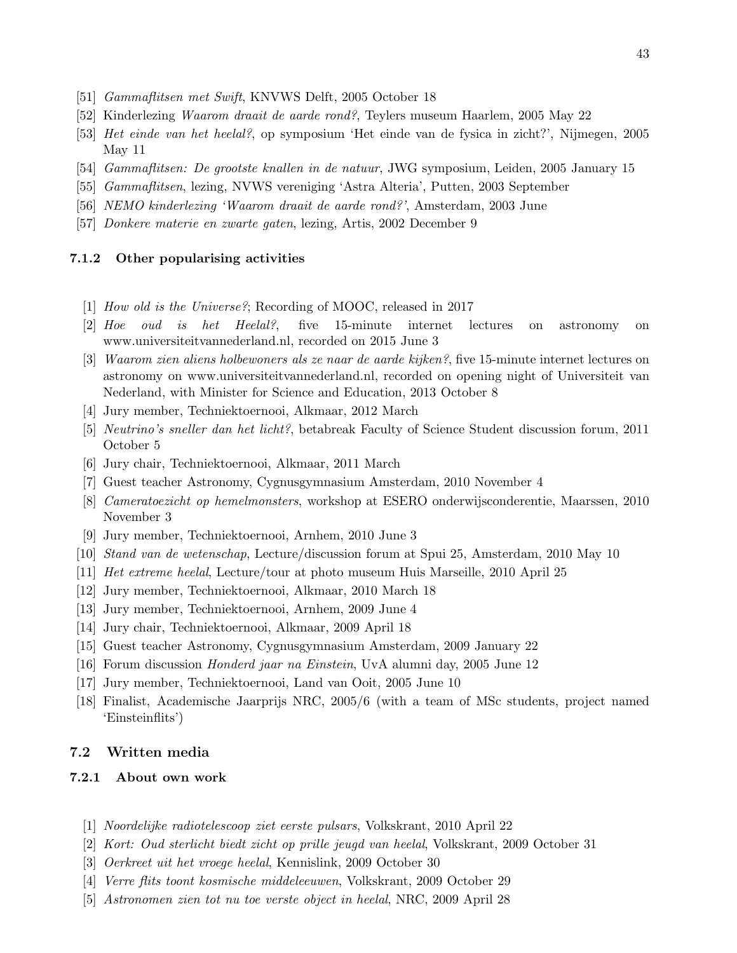- [51] Gammaflitsen met Swift, KNVWS Delft, 2005 October 18
- [52] Kinderlezing Waarom draait de aarde rond?, Teylers museum Haarlem, 2005 May 22
- [53] Het einde van het heelal?, op symposium 'Het einde van de fysica in zicht?', Nijmegen, 2005 May 11
- [54] Gammaflitsen: De grootste knallen in de natuur, JWG symposium, Leiden, 2005 January 15
- [55] Gammaflitsen, lezing, NVWS vereniging 'Astra Alteria', Putten, 2003 September
- [56] NEMO kinderlezing 'Waarom draait de aarde rond?', Amsterdam, 2003 June
- [57] Donkere materie en zwarte gaten, lezing, Artis, 2002 December 9

## 7.1.2 Other popularising activities

- [1] How old is the Universe?; Recording of MOOC, released in 2017
- [2] Hoe oud is het Heelal?, five 15-minute internet lectures on astronomy on www.universiteitvannederland.nl, recorded on 2015 June 3
- [3] Waarom zien aliens holbewoners als ze naar de aarde kijken?, five 15-minute internet lectures on astronomy on www.universiteitvannederland.nl, recorded on opening night of Universiteit van Nederland, with Minister for Science and Education, 2013 October 8
- [4] Jury member, Techniektoernooi, Alkmaar, 2012 March
- [5] Neutrino's sneller dan het licht?, betabreak Faculty of Science Student discussion forum, 2011 October 5
- [6] Jury chair, Techniektoernooi, Alkmaar, 2011 March
- [7] Guest teacher Astronomy, Cygnusgymnasium Amsterdam, 2010 November 4
- [8] Cameratoezicht op hemelmonsters, workshop at ESERO onderwijsconderentie, Maarssen, 2010 November 3
- [9] Jury member, Techniektoernooi, Arnhem, 2010 June 3
- [10] Stand van de wetenschap, Lecture/discussion forum at Spui 25, Amsterdam, 2010 May 10
- [11] Het extreme heelal, Lecture/tour at photo museum Huis Marseille, 2010 April 25
- [12] Jury member, Techniektoernooi, Alkmaar, 2010 March 18
- [13] Jury member, Techniektoernooi, Arnhem, 2009 June 4
- [14] Jury chair, Techniektoernooi, Alkmaar, 2009 April 18
- [15] Guest teacher Astronomy, Cygnusgymnasium Amsterdam, 2009 January 22
- [16] Forum discussion Honderd jaar na Einstein, UvA alumni day, 2005 June 12
- [17] Jury member, Techniektoernooi, Land van Ooit, 2005 June 10
- [18] Finalist, Academische Jaarprijs NRC, 2005/6 (with a team of MSc students, project named 'Einsteinflits')

## <span id="page-42-0"></span>7.2 Written media

#### 7.2.1 About own work

- [1] Noordelijke radiotelescoop ziet eerste pulsars, Volkskrant, 2010 April 22
- [2] Kort: Oud sterlicht biedt zicht op prille jeugd van heelal, Volkskrant, 2009 October 31
- [3] Oerkreet uit het vroege heelal, Kennislink, 2009 October 30
- [4] Verre flits toont kosmische middeleeuwen, Volkskrant, 2009 October 29
- [5] Astronomen zien tot nu toe verste object in heelal, NRC, 2009 April 28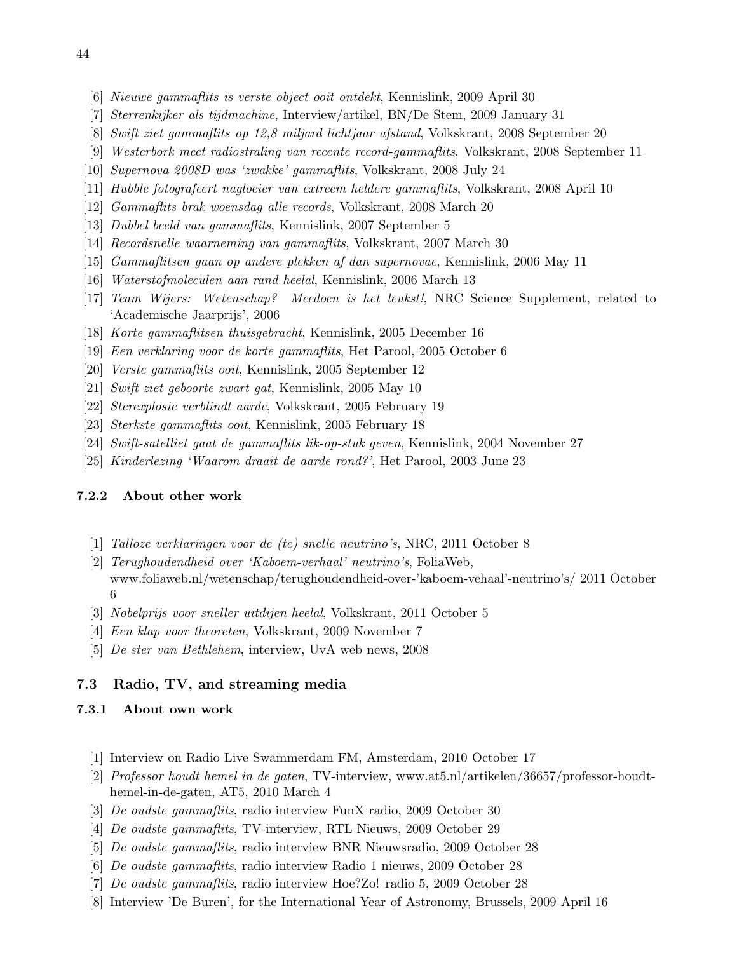- [6] Nieuwe gammaflits is verste object ooit ontdekt, Kennislink, 2009 April 30
- [7] Sterrenkijker als tijdmachine, Interview/artikel, BN/De Stem, 2009 January 31
- [8] Swift ziet gammaflits op 12,8 miljard lichtjaar afstand, Volkskrant, 2008 September 20
- [9] Westerbork meet radiostraling van recente record-gammaflits, Volkskrant, 2008 September 11
- [10] Supernova 2008D was 'zwakke' gammaflits, Volkskrant, 2008 July 24
- [11] Hubble fotografeert nagloeier van extreem heldere gammaflits, Volkskrant, 2008 April 10
- [12] Gammaflits brak woensdag alle records, Volkskrant, 2008 March 20
- [13] Dubbel beeld van gammaflits, Kennislink, 2007 September 5
- [14] Recordsnelle waarneming van gammaflits, Volkskrant, 2007 March 30
- [15] Gammaflitsen gaan op andere plekken af dan supernovae, Kennislink, 2006 May 11
- [16] Waterstofmoleculen aan rand heelal, Kennislink, 2006 March 13
- [17] Team Wijers: Wetenschap? Meedoen is het leukst!, NRC Science Supplement, related to 'Academische Jaarprijs', 2006
- [18] Korte gammaflitsen thuisgebracht, Kennislink, 2005 December 16
- [19] Een verklaring voor de korte gammaflits, Het Parool, 2005 October 6
- [20] Verste gammaflits ooit, Kennislink, 2005 September 12
- [21] Swift ziet geboorte zwart gat, Kennislink, 2005 May 10
- [22] Sterexplosie verblindt aarde, Volkskrant, 2005 February 19
- [23] Sterkste gammaflits ooit, Kennislink, 2005 February 18
- [24] Swift-satelliet gaat de gammaflits lik-op-stuk geven, Kennislink, 2004 November 27
- [25] Kinderlezing 'Waarom draait de aarde rond?', Het Parool, 2003 June 23

## 7.2.2 About other work

- [1] Talloze verklaringen voor de (te) snelle neutrino's, NRC, 2011 October 8
- [2] Terughoudendheid over 'Kaboem-verhaal' neutrino's, FoliaWeb, www.foliaweb.nl/wetenschap/terughoudendheid-over-'kaboem-vehaal'-neutrino's/ 2011 October 6
- [3] Nobelprijs voor sneller uitdijen heelal, Volkskrant, 2011 October 5
- [4] Een klap voor theoreten, Volkskrant, 2009 November 7
- [5] De ster van Bethlehem, interview, UvA web news, 2008

## <span id="page-43-0"></span>7.3 Radio, TV, and streaming media

#### 7.3.1 About own work

- [1] Interview on Radio Live Swammerdam FM, Amsterdam, 2010 October 17
- [2] Professor houdt hemel in de gaten, TV-interview, www.at5.nl/artikelen/36657/professor-houdthemel-in-de-gaten, AT5, 2010 March 4
- [3] De oudste gammaflits, radio interview FunX radio, 2009 October 30
- [4] De oudste gammaflits, TV-interview, RTL Nieuws, 2009 October 29
- [5] De oudste gammaflits, radio interview BNR Nieuwsradio, 2009 October 28
- [6] De oudste gammaflits, radio interview Radio 1 nieuws, 2009 October 28
- [7] De oudste gammaflits, radio interview Hoe?Zo! radio 5, 2009 October 28
- [8] Interview 'De Buren', for the International Year of Astronomy, Brussels, 2009 April 16